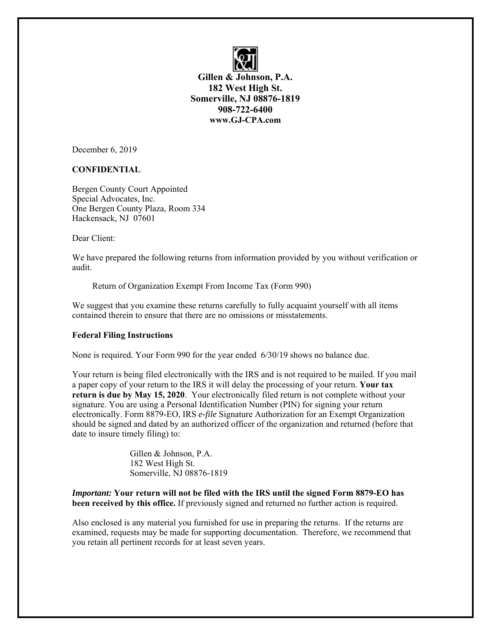

**Gillen & Johnson, P.A. 182 West High St. Somerville, NJ 08876-1819 908-722-6400 www.GJ-CPA.com**

December 6, 2019

## **CONFIDENTIAL**

Bergen County Court Appointed Special Advocates, Inc. One Bergen County Plaza, Room 334 Hackensack, NJ 07601

Dear Client:

We have prepared the following returns from information provided by you without verification or audit.

Return of Organization Exempt From Income Tax (Form 990)

We suggest that you examine these returns carefully to fully acquaint yourself with all items contained therein to ensure that there are no omissions or misstatements.

## **Federal Filing Instructions**

None is required. Your Form 990 for the year ended 6/30/19 shows no balance due.

Your return is being filed electronically with the IRS and is not required to be mailed. If you mail a paper copy of your return to the IRS it will delay the processing of your return. **Your tax return is due by May 15, 2020**. Your electronically filed return is not complete without your signature. You are using a Personal Identification Number (PIN) for signing your return electronically. Form 8879-EO, IRS *e-file* Signature Authorization for an Exempt Organization should be signed and dated by an authorized officer of the organization and returned (before that date to insure timely filing) to:

> Gillen & Johnson, P.A. 182 West High St. Somerville, NJ 08876-1819

*Important:* **Your return will not be filed with the IRS until the signed Form 8879-EO has been received by this office.** If previously signed and returned no further action is required.

Also enclosed is any material you furnished for use in preparing the returns. If the returns are examined, requests may be made for supporting documentation. Therefore, we recommend that you retain all pertinent records for at least seven years.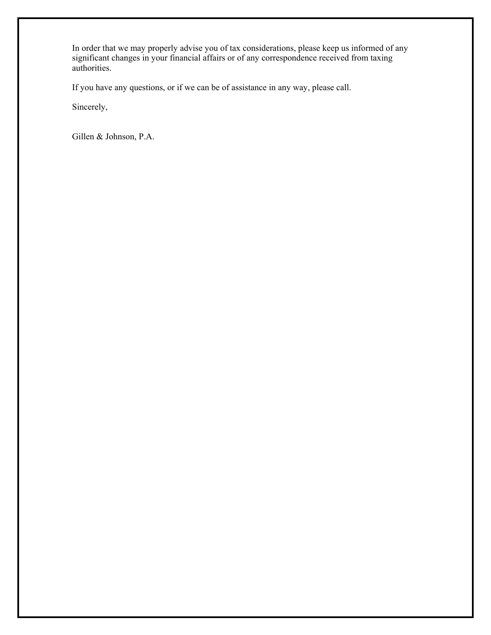In order that we may properly advise you of tax considerations, please keep us informed of any significant changes in your financial affairs or of any correspondence received from taxing authorities.

If you have any questions, or if we can be of assistance in any way, please call.

Sincerely,

Gillen & Johnson, P.A.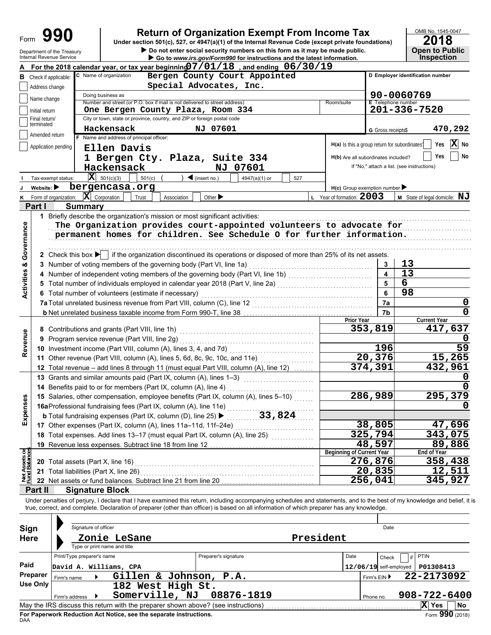Department of the Treasury

# **990 a 2018 2018 2018 2018 2018 2018 2018 2018 Dependent Organization Exempt From Income Tax 2018**

▶ Go to *www.irs.gov/Form990* for instructions and the latest information. **• Do not enter social security numbers on this form as it may be made public. Open to Public** 



|                                                                                                                     |                                 | For the 2018 calendar year, or tax year beginning $07/01/18$ , and ending $06/30/19$                                                                                                       |                                               |                          |                                            |  |  |  |  |  |
|---------------------------------------------------------------------------------------------------------------------|---------------------------------|--------------------------------------------------------------------------------------------------------------------------------------------------------------------------------------------|-----------------------------------------------|--------------------------|--------------------------------------------|--|--|--|--|--|
| C Name of organization<br>D Employer identification number<br>Bergen County Court Appointed<br>Check if applicable: |                                 |                                                                                                                                                                                            |                                               |                          |                                            |  |  |  |  |  |
|                                                                                                                     | Address change                  | Special Advocates, Inc.                                                                                                                                                                    |                                               |                          |                                            |  |  |  |  |  |
|                                                                                                                     | Name change                     | Doing business as                                                                                                                                                                          |                                               |                          | 90-0060769                                 |  |  |  |  |  |
|                                                                                                                     |                                 | Number and street (or P.O. box if mail is not delivered to street address)<br>One Bergen County Plaza, Room 334                                                                            | Room/suite                                    | E Telephone number       | 201-336-7520                               |  |  |  |  |  |
|                                                                                                                     | Initial return<br>Final return/ | City or town, state or province, country, and ZIP or foreign postal code                                                                                                                   |                                               |                          |                                            |  |  |  |  |  |
|                                                                                                                     | terminated                      |                                                                                                                                                                                            |                                               |                          |                                            |  |  |  |  |  |
|                                                                                                                     | Amended return                  | Hackensack<br>NJ 07601<br>F Name and address of principal officer:                                                                                                                         |                                               | G Gross receipts\$       | 470,292                                    |  |  |  |  |  |
|                                                                                                                     | Application pending             |                                                                                                                                                                                            | H(a) Is this a group return for subordinates? |                          | $ \mathbf{x} $<br>Yes<br>No                |  |  |  |  |  |
|                                                                                                                     |                                 | Ellen Davis                                                                                                                                                                                |                                               |                          | Yes<br>No                                  |  |  |  |  |  |
|                                                                                                                     |                                 | 1 Bergen Cty. Plaza, Suite 334                                                                                                                                                             | H(b) Are all subordinates included?           |                          |                                            |  |  |  |  |  |
|                                                                                                                     |                                 | Hackensack<br>NJ 07601                                                                                                                                                                     |                                               |                          | If "No," attach a list. (see instructions) |  |  |  |  |  |
|                                                                                                                     | Tax-exempt status:              | $ \mathbf{X} $ 501(c)(3)<br>$\blacktriangleleft$ (insert no.)<br>501(c)<br>4947(a)(1) or<br>527                                                                                            |                                               |                          |                                            |  |  |  |  |  |
|                                                                                                                     | Website: $\blacktriangleright$  | bergencasa.org                                                                                                                                                                             | $H(c)$ Group exemption number                 |                          |                                            |  |  |  |  |  |
|                                                                                                                     | K Form of organization:         | $ \mathbf{X} $ Corporation<br>Other $\blacktriangleright$<br>Association<br>Trust                                                                                                          | L Year of formation: 2003                     |                          | M State of legal domicile: NJ              |  |  |  |  |  |
|                                                                                                                     | Part I                          | <b>Summary</b>                                                                                                                                                                             |                                               |                          |                                            |  |  |  |  |  |
|                                                                                                                     |                                 | 1 Briefly describe the organization's mission or most significant activities:                                                                                                              |                                               |                          |                                            |  |  |  |  |  |
|                                                                                                                     |                                 | The Organization provides court-appointed volunteers to advocate for                                                                                                                       |                                               |                          |                                            |  |  |  |  |  |
|                                                                                                                     |                                 | permanent homes for children. See Schedule O for further information.                                                                                                                      |                                               |                          |                                            |  |  |  |  |  |
| <b>Activities &amp; Governance</b>                                                                                  |                                 |                                                                                                                                                                                            |                                               |                          |                                            |  |  |  |  |  |
|                                                                                                                     |                                 | 2 Check this box $\blacktriangleright$ if the organization discontinued its operations or disposed of more than 25% of its net assets.                                                     |                                               |                          |                                            |  |  |  |  |  |
|                                                                                                                     |                                 | 3 Number of voting members of the governing body (Part VI, line 1a)                                                                                                                        |                                               | 3                        | 13                                         |  |  |  |  |  |
|                                                                                                                     |                                 |                                                                                                                                                                                            |                                               | $\overline{\mathbf{4}}$  | 13                                         |  |  |  |  |  |
|                                                                                                                     |                                 |                                                                                                                                                                                            |                                               | 5                        | 6                                          |  |  |  |  |  |
|                                                                                                                     |                                 | 6 Total number of volunteers (estimate if necessary)                                                                                                                                       |                                               | 6                        | 98                                         |  |  |  |  |  |
|                                                                                                                     |                                 | 7a Total unrelated business revenue from Part VIII, column (C), line 12 [11] [11] [11] [12] [11] [11] [12] [1                                                                              |                                               | 7a                       | 0                                          |  |  |  |  |  |
|                                                                                                                     |                                 |                                                                                                                                                                                            |                                               | 7b                       | 0                                          |  |  |  |  |  |
|                                                                                                                     |                                 |                                                                                                                                                                                            | <b>Prior Year</b>                             |                          | <b>Current Year</b>                        |  |  |  |  |  |
|                                                                                                                     |                                 | 8 Contributions and grants (Part VIII, line 1h)                                                                                                                                            |                                               | 353,819                  | 417,637                                    |  |  |  |  |  |
|                                                                                                                     |                                 | 9 Program service revenue (Part VIII, line 2g)                                                                                                                                             |                                               |                          |                                            |  |  |  |  |  |
| Revenue                                                                                                             |                                 | 10 Investment income (Part VIII, column (A), lines 3, 4, and 7d)                                                                                                                           |                                               | 196                      | 59                                         |  |  |  |  |  |
|                                                                                                                     |                                 | 11 Other revenue (Part VIII, column (A), lines 5, 6d, 8c, 9c, 10c, and 11e)<br><u> 1986 - Johann Barnett, martin a</u>                                                                     |                                               | 20,376                   | 15,265                                     |  |  |  |  |  |
|                                                                                                                     |                                 | 12 Total revenue - add lines 8 through 11 (must equal Part VIII, column (A), line 12)                                                                                                      |                                               | 374,391                  | 432,961                                    |  |  |  |  |  |
|                                                                                                                     |                                 | 13 Grants and similar amounts paid (Part IX, column (A), lines 1-3)                                                                                                                        |                                               |                          | O                                          |  |  |  |  |  |
|                                                                                                                     |                                 | <u> 1999 - Johann Stoff, martin Stoff, martin Stoff, martin Stoff, martin Stoff, martin Stoff, martin Stoff, marti</u><br>14 Benefits paid to or for members (Part IX, column (A), line 4) |                                               |                          |                                            |  |  |  |  |  |
|                                                                                                                     |                                 | 15 Salaries, other compensation, employee benefits (Part IX, column (A), lines 5-10)                                                                                                       |                                               | 286,989                  | 295,379                                    |  |  |  |  |  |
| xpenses                                                                                                             |                                 | 16aProfessional fundraising fees (Part IX, column (A), line 11e)                                                                                                                           |                                               |                          |                                            |  |  |  |  |  |
|                                                                                                                     |                                 | 33,824<br><b>b</b> Total fundraising expenses (Part IX, column (D), line 25) ▶                                                                                                             |                                               |                          |                                            |  |  |  |  |  |
| Ш                                                                                                                   |                                 | 17 Other expenses (Part IX, column (A), lines 11a-11d, 11f-24e)                                                                                                                            |                                               | 38,805                   | 47,696                                     |  |  |  |  |  |
|                                                                                                                     |                                 | .<br>18 Total expenses. Add lines 13-17 (must equal Part IX, column (A), line 25) [                                                                                                        |                                               | 325,794                  | 343,075                                    |  |  |  |  |  |
|                                                                                                                     |                                 | 19 Revenue less expenses. Subtract line 18 from line 12                                                                                                                                    |                                               | 48,597                   | 89,886                                     |  |  |  |  |  |
|                                                                                                                     |                                 |                                                                                                                                                                                            | <b>Beginning of Current Year</b>              |                          | End of Year                                |  |  |  |  |  |
| Net Assets or<br>Fund Balances                                                                                      |                                 | 20 Total assets (Part X, line 16)                                                                                                                                                          |                                               | 276,876                  | 358,438                                    |  |  |  |  |  |
|                                                                                                                     |                                 | 21 Total liabilities (Part X, line 26)                                                                                                                                                     |                                               | 20,835                   | 12,511                                     |  |  |  |  |  |
|                                                                                                                     |                                 | 22 Net assets or fund balances. Subtract line 21 from line 20                                                                                                                              |                                               | 256,041                  | 345,927                                    |  |  |  |  |  |
|                                                                                                                     | Part II                         | <b>Signature Block</b>                                                                                                                                                                     |                                               |                          |                                            |  |  |  |  |  |
|                                                                                                                     |                                 | Under penalties of perjury, I declare that I have examined this return, including accompanying schedules and statements, and to the best of my knowledge and belief, it                    |                                               |                          |                                            |  |  |  |  |  |
|                                                                                                                     |                                 | true, correct, and complete. Declaration of preparer (other than officer) is based on all information of which preparer has any knowledge.                                                 |                                               |                          |                                            |  |  |  |  |  |
|                                                                                                                     |                                 |                                                                                                                                                                                            |                                               |                          |                                            |  |  |  |  |  |
| Sign                                                                                                                |                                 | Signature of officer                                                                                                                                                                       |                                               | Date                     |                                            |  |  |  |  |  |
| <b>Here</b>                                                                                                         |                                 |                                                                                                                                                                                            | President                                     |                          |                                            |  |  |  |  |  |
|                                                                                                                     |                                 | Zonie LeSane<br>Type or print name and title                                                                                                                                               |                                               |                          |                                            |  |  |  |  |  |
|                                                                                                                     |                                 | Print/Type preparer's name<br>Preparer's signature                                                                                                                                         | Date                                          |                          | PTIN<br>if                                 |  |  |  |  |  |
| Paid                                                                                                                |                                 |                                                                                                                                                                                            |                                               | Check                    |                                            |  |  |  |  |  |
|                                                                                                                     | Preparer                        | David A. Williams, CPA                                                                                                                                                                     |                                               | $12/06/19$ self-employed | P01308413                                  |  |  |  |  |  |
|                                                                                                                     | Firm's name<br><b>Use Only</b>  | Gillen & Johnson, P.A.                                                                                                                                                                     |                                               | Firm's EIN ▶             | 22-2173092                                 |  |  |  |  |  |
|                                                                                                                     |                                 | 182 West High St.                                                                                                                                                                          |                                               |                          |                                            |  |  |  |  |  |
|                                                                                                                     | Firm's address                  | Somerville, NJ<br>08876-1819                                                                                                                                                               |                                               | Phone no.                | 908-722-6400                               |  |  |  |  |  |
|                                                                                                                     |                                 | May the IRS discuss this return with the preparer shown above? (see instructions)                                                                                                          |                                               |                          | X Yes<br>No                                |  |  |  |  |  |

| Sign<br><b>Here</b>  | Signature of officer<br>Type or print name and title | Zonie LeSane                                                                                                                                                              |                      | President |           | Date                                    |                                                                  |
|----------------------|------------------------------------------------------|---------------------------------------------------------------------------------------------------------------------------------------------------------------------------|----------------------|-----------|-----------|-----------------------------------------|------------------------------------------------------------------|
| Paid                 | Print/Type preparer's name<br>David A. Williams, CPA |                                                                                                                                                                           | Preparer's signature |           | Date      | if<br>Check<br>$12/06/19$ self-employed | <b>PTIN</b><br>P01308413                                         |
| Preparer<br>Use Only | Firm's name                                          | Gillen & Johnson, P.A.<br>182 West High St.                                                                                                                               |                      |           |           | Firm's $EIN$                            | 22-2173092                                                       |
| <b>DAA</b>           | Firm's address                                       | Somerville, NJ<br>May the IRS discuss this return with the preparer shown above? (see instructions)<br>For Paperwork Reduction Act Notice, see the separate instructions. | 08876-1819           |           | Phone no. |                                         | $908 - 722 - 6400$<br>x<br>l No<br><b>Yes</b><br>Form 990 (2018) |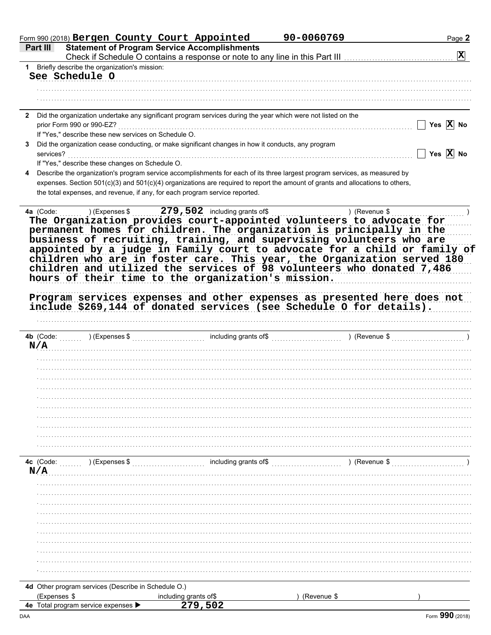|                                                                                                                    | Form 990 (2018) Bergen County Court Appointed                                                                                                                                                                                                                                                                                                                                                                                       | 90-0060769 |               | Page 2                |
|--------------------------------------------------------------------------------------------------------------------|-------------------------------------------------------------------------------------------------------------------------------------------------------------------------------------------------------------------------------------------------------------------------------------------------------------------------------------------------------------------------------------------------------------------------------------|------------|---------------|-----------------------|
| Part III                                                                                                           | <b>Statement of Program Service Accomplishments</b>                                                                                                                                                                                                                                                                                                                                                                                 |            |               | $ \mathbf{X} $        |
| 1 Briefly describe the organization's mission:                                                                     | Check if Schedule O contains a response or note to any line in this Part III                                                                                                                                                                                                                                                                                                                                                        |            |               |                       |
| See Schedule O                                                                                                     |                                                                                                                                                                                                                                                                                                                                                                                                                                     |            |               |                       |
|                                                                                                                    |                                                                                                                                                                                                                                                                                                                                                                                                                                     |            |               |                       |
|                                                                                                                    |                                                                                                                                                                                                                                                                                                                                                                                                                                     |            |               |                       |
|                                                                                                                    |                                                                                                                                                                                                                                                                                                                                                                                                                                     |            |               |                       |
|                                                                                                                    | 2 Did the organization undertake any significant program services during the year which were not listed on the                                                                                                                                                                                                                                                                                                                      |            |               |                       |
| prior Form 990 or 990-EZ?                                                                                          |                                                                                                                                                                                                                                                                                                                                                                                                                                     |            |               | Yes $X$ No            |
| If "Yes," describe these new services on Schedule O.                                                               |                                                                                                                                                                                                                                                                                                                                                                                                                                     |            |               |                       |
| 3                                                                                                                  | Did the organization cease conducting, or make significant changes in how it conducts, any program                                                                                                                                                                                                                                                                                                                                  |            |               |                       |
| services?                                                                                                          |                                                                                                                                                                                                                                                                                                                                                                                                                                     |            |               | Yes $\overline{X}$ No |
| If "Yes," describe these changes on Schedule O.                                                                    |                                                                                                                                                                                                                                                                                                                                                                                                                                     |            |               |                       |
| 4                                                                                                                  | Describe the organization's program service accomplishments for each of its three largest program services, as measured by                                                                                                                                                                                                                                                                                                          |            |               |                       |
|                                                                                                                    | expenses. Section 501(c)(3) and 501(c)(4) organizations are required to report the amount of grants and allocations to others,                                                                                                                                                                                                                                                                                                      |            |               |                       |
|                                                                                                                    | the total expenses, and revenue, if any, for each program service reported.                                                                                                                                                                                                                                                                                                                                                         |            |               |                       |
|                                                                                                                    | permanent homes for children. The organization is principally in the<br>business of recruiting, training, and supervising volunteers who are<br>appointed by a judge in Family court to advocate for a child or family of<br>children who are in foster care. This year, the Organization served 180<br>children and utilized the services of 98 volunteers who donated 7,486<br>hours of their time to the organization's mission. |            |               |                       |
|                                                                                                                    | Program services expenses and other expenses as presented here does not<br>include \$269,144 of donated services (see Schedule O for details).                                                                                                                                                                                                                                                                                      |            |               |                       |
|                                                                                                                    |                                                                                                                                                                                                                                                                                                                                                                                                                                     |            | ) (Revenue \$ |                       |
|                                                                                                                    |                                                                                                                                                                                                                                                                                                                                                                                                                                     |            |               |                       |
|                                                                                                                    |                                                                                                                                                                                                                                                                                                                                                                                                                                     |            |               |                       |
|                                                                                                                    |                                                                                                                                                                                                                                                                                                                                                                                                                                     |            |               |                       |
|                                                                                                                    |                                                                                                                                                                                                                                                                                                                                                                                                                                     |            |               |                       |
|                                                                                                                    |                                                                                                                                                                                                                                                                                                                                                                                                                                     |            |               |                       |
|                                                                                                                    |                                                                                                                                                                                                                                                                                                                                                                                                                                     |            |               |                       |
|                                                                                                                    |                                                                                                                                                                                                                                                                                                                                                                                                                                     |            |               |                       |
|                                                                                                                    |                                                                                                                                                                                                                                                                                                                                                                                                                                     |            |               |                       |
|                                                                                                                    |                                                                                                                                                                                                                                                                                                                                                                                                                                     |            |               |                       |
| $(\mathsf{Expenses}\, \mathsf{\$})$                                                                                |                                                                                                                                                                                                                                                                                                                                                                                                                                     |            | ) (Revenue \$ |                       |
|                                                                                                                    |                                                                                                                                                                                                                                                                                                                                                                                                                                     |            |               |                       |
|                                                                                                                    |                                                                                                                                                                                                                                                                                                                                                                                                                                     |            |               |                       |
|                                                                                                                    |                                                                                                                                                                                                                                                                                                                                                                                                                                     |            |               |                       |
|                                                                                                                    |                                                                                                                                                                                                                                                                                                                                                                                                                                     |            |               |                       |
|                                                                                                                    |                                                                                                                                                                                                                                                                                                                                                                                                                                     |            |               |                       |
|                                                                                                                    |                                                                                                                                                                                                                                                                                                                                                                                                                                     |            |               |                       |
|                                                                                                                    |                                                                                                                                                                                                                                                                                                                                                                                                                                     |            |               |                       |
|                                                                                                                    |                                                                                                                                                                                                                                                                                                                                                                                                                                     |            |               |                       |
|                                                                                                                    |                                                                                                                                                                                                                                                                                                                                                                                                                                     |            |               |                       |
|                                                                                                                    |                                                                                                                                                                                                                                                                                                                                                                                                                                     |            |               |                       |
|                                                                                                                    |                                                                                                                                                                                                                                                                                                                                                                                                                                     |            |               |                       |
|                                                                                                                    |                                                                                                                                                                                                                                                                                                                                                                                                                                     |            |               |                       |
| <b>4b</b> (Code:<br>N/A<br>4c (Code:<br>N/A<br>4d Other program services (Describe in Schedule O.)<br>(Expenses \$ | including grants of\$<br>279,502                                                                                                                                                                                                                                                                                                                                                                                                    |            | (Revenue \$   |                       |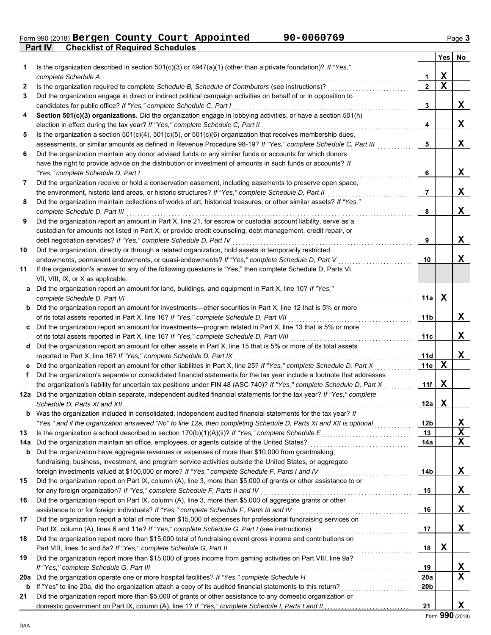|                                                |  | Form 990 (2018) Bergen County Court Appointed | 90-0060769 | Page $\bm{3}$ |
|------------------------------------------------|--|-----------------------------------------------|------------|---------------|
| <b>Part IV Checklist of Required Schedules</b> |  |                                               |            |               |

|     |                                                                                                                                                                                                                           |                 | $Yes \mid$  | No       |
|-----|---------------------------------------------------------------------------------------------------------------------------------------------------------------------------------------------------------------------------|-----------------|-------------|----------|
| 1.  | Is the organization described in section $501(c)(3)$ or $4947(a)(1)$ (other than a private foundation)? If "Yes,"                                                                                                         |                 |             |          |
|     | complete Schedule A                                                                                                                                                                                                       | 1               | X           |          |
| 2   | Is the organization required to complete Schedule B, Schedule of Contributors (see instructions)?                                                                                                                         | $\mathbf{2}$    | $\mathbf X$ |          |
| 3   | Did the organization engage in direct or indirect political campaign activities on behalf of or in opposition to                                                                                                          |                 |             |          |
|     | candidates for public office? If "Yes," complete Schedule C, Part I                                                                                                                                                       | 3               |             | X        |
| 4   | Section 501(c)(3) organizations. Did the organization engage in lobbying activities, or have a section 501(h)                                                                                                             |                 |             |          |
|     | election in effect during the tax year? If "Yes," complete Schedule C, Part II                                                                                                                                            | 4               |             | X        |
| 5   | Is the organization a section $501(c)(4)$ , $501(c)(5)$ , or $501(c)(6)$ organization that receives membership dues,                                                                                                      |                 |             |          |
|     | assessments, or similar amounts as defined in Revenue Procedure 98-19? If "Yes," complete Schedule C, Part III<br>Did the organization maintain any donor advised funds or any similar funds or accounts for which donors | 5               |             | X        |
| 6   | have the right to provide advice on the distribution or investment of amounts in such funds or accounts? If                                                                                                               |                 |             |          |
|     | "Yes," complete Schedule D, Part I                                                                                                                                                                                        | 6               |             | X        |
| 7   | Did the organization receive or hold a conservation easement, including easements to preserve open space,                                                                                                                 |                 |             |          |
|     | the environment, historic land areas, or historic structures? If "Yes," complete Schedule D, Part II                                                                                                                      | 7               |             | X        |
| 8   | Did the organization maintain collections of works of art, historical treasures, or other similar assets? If "Yes,"                                                                                                       |                 |             |          |
|     | complete Schedule D, Part III                                                                                                                                                                                             | 8               |             | X        |
| 9   | Did the organization report an amount in Part X, line 21, for escrow or custodial account liability, serve as a                                                                                                           |                 |             |          |
|     | custodian for amounts not listed in Part X; or provide credit counseling, debt management, credit repair, or                                                                                                              |                 |             |          |
|     | debt negotiation services? If "Yes," complete Schedule D, Part IV                                                                                                                                                         | 9               |             | X        |
| 10  | Did the organization, directly or through a related organization, hold assets in temporarily restricted                                                                                                                   |                 |             |          |
|     | endowments, permanent endowments, or quasi-endowments? If "Yes," complete Schedule D, Part V                                                                                                                              | 10              |             | X        |
| 11  | If the organization's answer to any of the following questions is "Yes," then complete Schedule D, Parts VI,                                                                                                              |                 |             |          |
|     | VII, VIII, IX, or X as applicable.                                                                                                                                                                                        |                 |             |          |
| a   | Did the organization report an amount for land, buildings, and equipment in Part X, line 10? If "Yes,"                                                                                                                    |                 |             |          |
|     | complete Schedule D, Part VI                                                                                                                                                                                              | 11a             | X           |          |
| b   | Did the organization report an amount for investments—other securities in Part X, line 12 that is 5% or more                                                                                                              |                 |             |          |
|     | of its total assets reported in Part X, line 16? If "Yes," complete Schedule D, Part VII                                                                                                                                  | 11 <sub>b</sub> |             | X        |
| c   | Did the organization report an amount for investments—program related in Part X, line 13 that is 5% or more                                                                                                               |                 |             |          |
|     | of its total assets reported in Part X, line 16? If "Yes," complete Schedule D, Part VIII                                                                                                                                 | 11c             |             | X        |
| d   | Did the organization report an amount for other assets in Part X, line 15 that is 5% or more of its total assets                                                                                                          |                 |             |          |
|     | reported in Part X, line 16? If "Yes," complete Schedule D, Part IX                                                                                                                                                       | 11d             |             | X        |
| е   | Did the organization report an amount for other liabilities in Part X, line 25? If "Yes," complete Schedule D, Part X                                                                                                     | 11e             | X           |          |
| f   | Did the organization's separate or consolidated financial statements for the tax year include a footnote that addresses                                                                                                   |                 |             |          |
|     | the organization's liability for uncertain tax positions under FIN 48 (ASC 740)? If "Yes," complete Schedule D, Part X                                                                                                    | 11f             | X           |          |
|     | 12a Did the organization obtain separate, independent audited financial statements for the tax year? If "Yes," complete                                                                                                   |                 |             |          |
|     | Schedule D, Parts XI and XII                                                                                                                                                                                              | 12a             | X           |          |
|     | <b>b</b> Was the organization included in consolidated, independent audited financial statements for the tax year? If                                                                                                     |                 |             |          |
|     | "Yes," and if the organization answered "No" to line 12a, then completing Schedule D, Parts XI and XII is optional                                                                                                        | 12 <sub>b</sub> |             | <u>x</u> |
| 13  | Is the organization a school described in section 170(b)(1)(A)(ii)? If "Yes," complete Schedule E                                                                                                                         | 13              |             | X        |
| 14a | Did the organization maintain an office, employees, or agents outside of the United States?                                                                                                                               | 14a             |             | X        |
| b   | Did the organization have aggregate revenues or expenses of more than \$10,000 from grantmaking,                                                                                                                          |                 |             |          |
|     | fundraising, business, investment, and program service activities outside the United States, or aggregate                                                                                                                 |                 |             |          |
|     | foreign investments valued at \$100,000 or more? If "Yes," complete Schedule F, Parts I and IV [[[[[[[[[[[[[[[                                                                                                            | 14b             |             | X        |
| 15  | Did the organization report on Part IX, column (A), line 3, more than \$5,000 of grants or other assistance to or                                                                                                         |                 |             |          |
|     | for any foreign organization? If "Yes," complete Schedule F, Parts II and IV                                                                                                                                              | 15              |             | X        |
| 16  | Did the organization report on Part IX, column (A), line 3, more than \$5,000 of aggregate grants or other                                                                                                                |                 |             |          |
|     | assistance to or for foreign individuals? If "Yes," complete Schedule F, Parts III and IV                                                                                                                                 | 16              |             | X        |
| 17  | Did the organization report a total of more than \$15,000 of expenses for professional fundraising services on                                                                                                            |                 |             |          |
|     |                                                                                                                                                                                                                           | 17              |             | X        |
| 18  | Did the organization report more than \$15,000 total of fundraising event gross income and contributions on                                                                                                               |                 |             |          |
|     | Part VIII, lines 1c and 8a? If "Yes," complete Schedule G, Part II                                                                                                                                                        | 18              | Х           |          |
| 19  | Did the organization report more than \$15,000 of gross income from gaming activities on Part VIII, line 9a?                                                                                                              |                 |             |          |
|     |                                                                                                                                                                                                                           | 19              |             | <u>x</u> |
| 20a | Did the organization operate one or more hospital facilities? If "Yes," complete Schedule H                                                                                                                               | <b>20a</b>      |             | X        |
| b   | If "Yes" to line 20a, did the organization attach a copy of its audited financial statements to this return?                                                                                                              | 20 <sub>b</sub> |             |          |
| 21  | Did the organization report more than \$5,000 of grants or other assistance to any domestic organization or                                                                                                               |                 |             |          |
|     |                                                                                                                                                                                                                           | 21              |             | X        |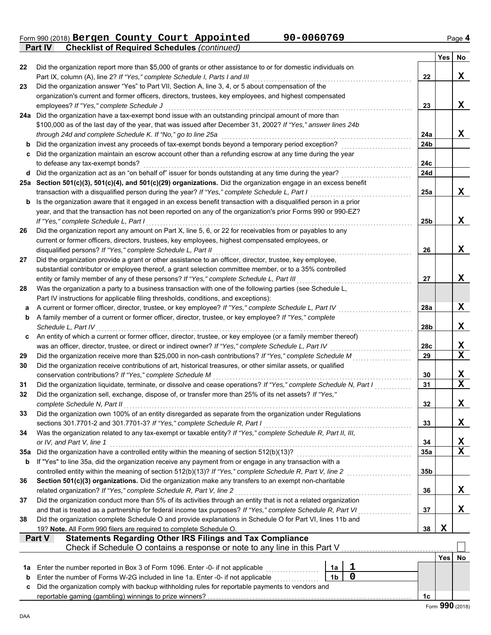Form 990 (2018) Page **4 Part IV Checklist of Required Schedules** *(continued)* **Bergen County Court Appointed 90-0060769**

|             |                                                                                                                                                                                                                      |                |             |     | Yes | No |
|-------------|----------------------------------------------------------------------------------------------------------------------------------------------------------------------------------------------------------------------|----------------|-------------|-----|-----|----|
| 22          | Did the organization report more than \$5,000 of grants or other assistance to or for domestic individuals on                                                                                                        |                |             |     |     |    |
|             | Part IX, column (A), line 2? If "Yes," complete Schedule I, Parts I and III                                                                                                                                          |                |             | 22  |     | X  |
| 23          | Did the organization answer "Yes" to Part VII, Section A, line 3, 4, or 5 about compensation of the                                                                                                                  |                |             |     |     |    |
|             | organization's current and former officers, directors, trustees, key employees, and highest compensated                                                                                                              |                |             |     |     |    |
|             | employees? If "Yes," complete Schedule J                                                                                                                                                                             |                |             | 23  |     | X  |
|             | 24a Did the organization have a tax-exempt bond issue with an outstanding principal amount of more than                                                                                                              |                |             |     |     |    |
|             | \$100,000 as of the last day of the year, that was issued after December 31, 2002? If "Yes," answer lines 24b                                                                                                        |                |             |     |     |    |
|             | through 24d and complete Schedule K. If "No," go to line 25a                                                                                                                                                         |                |             | 24a |     | X  |
| b           | Did the organization invest any proceeds of tax-exempt bonds beyond a temporary period exception?                                                                                                                    |                |             | 24b |     |    |
|             | Did the organization maintain an escrow account other than a refunding escrow at any time during the year<br>to defease any tax-exempt bonds?                                                                        |                |             | 24c |     |    |
| d           | Did the organization act as an "on behalf of" issuer for bonds outstanding at any time during the year?                                                                                                              |                |             | 24d |     |    |
|             | 25a Section 501(c)(3), 501(c)(4), and 501(c)(29) organizations. Did the organization engage in an excess benefit                                                                                                     |                |             |     |     |    |
|             | transaction with a disqualified person during the year? If "Yes," complete Schedule L, Part I                                                                                                                        |                |             | 25a |     | X  |
| b           | Is the organization aware that it engaged in an excess benefit transaction with a disqualified person in a prior                                                                                                     |                |             |     |     |    |
|             | year, and that the transaction has not been reported on any of the organization's prior Forms 990 or 990-EZ?                                                                                                         |                |             |     |     |    |
|             | If "Yes," complete Schedule L, Part I                                                                                                                                                                                |                |             | 25b |     | X  |
| 26          | Did the organization report any amount on Part X, line 5, 6, or 22 for receivables from or payables to any                                                                                                           |                |             |     |     |    |
|             | current or former officers, directors, trustees, key employees, highest compensated employees, or                                                                                                                    |                |             |     |     |    |
|             | disqualified persons? If "Yes," complete Schedule L, Part II                                                                                                                                                         |                |             | 26  |     | X  |
| 27          | Did the organization provide a grant or other assistance to an officer, director, trustee, key employee,                                                                                                             |                |             |     |     |    |
|             | substantial contributor or employee thereof, a grant selection committee member, or to a 35% controlled                                                                                                              |                |             |     |     |    |
|             | entity or family member of any of these persons? If "Yes," complete Schedule L, Part III                                                                                                                             |                |             | 27  |     | X  |
| 28          | Was the organization a party to a business transaction with one of the following parties (see Schedule L,                                                                                                            |                |             |     |     |    |
|             | Part IV instructions for applicable filing thresholds, conditions, and exceptions):                                                                                                                                  |                |             |     |     |    |
| а           | A current or former officer, director, trustee, or key employee? If "Yes," complete Schedule L, Part IV<br>A family member of a current or former officer, director, trustee, or key employee? If "Yes," complete    |                |             | 28a |     | X  |
| b           | Schedule L, Part IV                                                                                                                                                                                                  |                |             | 28b |     | X  |
| c           | An entity of which a current or former officer, director, trustee, or key employee (or a family member thereof)                                                                                                      |                |             |     |     |    |
|             | was an officer, director, trustee, or direct or indirect owner? If "Yes," complete Schedule L, Part IV                                                                                                               |                |             | 28c |     | X  |
| 29          | Did the organization receive more than \$25,000 in non-cash contributions? If "Yes," complete Schedule M                                                                                                             |                |             | 29  |     | X  |
| 30          | Did the organization receive contributions of art, historical treasures, or other similar assets, or qualified                                                                                                       |                |             |     |     |    |
|             | conservation contributions? If "Yes," complete Schedule M                                                                                                                                                            |                |             | 30  |     | X  |
| 31          | Did the organization liquidate, terminate, or dissolve and cease operations? If "Yes," complete Schedule N, Part I                                                                                                   |                |             | 31  |     | X  |
| 32          | Did the organization sell, exchange, dispose of, or transfer more than 25% of its net assets? If "Yes,"                                                                                                              |                |             |     |     |    |
|             | complete Schedule N, Part II                                                                                                                                                                                         |                |             | 32  |     | X  |
| 33          | Did the organization own 100% of an entity disregarded as separate from the organization under Regulations                                                                                                           |                |             |     |     |    |
|             | sections 301.7701-2 and 301.7701-3? If "Yes," complete Schedule R, Part I                                                                                                                                            |                |             | 33  |     | X  |
| 34          | Was the organization related to any tax-exempt or taxable entity? If "Yes," complete Schedule R, Part II, III,                                                                                                       |                |             |     |     |    |
|             | or IV, and Part V, line 1                                                                                                                                                                                            |                |             | 34  |     | X  |
| 35a         | Did the organization have a controlled entity within the meaning of section 512(b)(13)?                                                                                                                              |                |             | 35a |     | X  |
| b           | If "Yes" to line 35a, did the organization receive any payment from or engage in any transaction with a<br>controlled entity within the meaning of section 512(b)(13)? If "Yes," complete Schedule R, Part V, line 2 |                |             | 35b |     |    |
| 36          | Section 501(c)(3) organizations. Did the organization make any transfers to an exempt non-charitable                                                                                                                 |                |             |     |     |    |
|             | related organization? If "Yes," complete Schedule R, Part V, line 2                                                                                                                                                  |                |             | 36  |     | X  |
| 37          | Did the organization conduct more than 5% of its activities through an entity that is not a related organization                                                                                                     |                |             |     |     |    |
|             | and that is treated as a partnership for federal income tax purposes? If "Yes," complete Schedule R, Part VI                                                                                                         |                |             | 37  |     | X  |
| 38          | Did the organization complete Schedule O and provide explanations in Schedule O for Part VI, lines 11b and                                                                                                           |                |             |     |     |    |
|             | 19? Note. All Form 990 filers are required to complete Schedule O.                                                                                                                                                   |                |             | 38  | X   |    |
|             | <b>Statements Regarding Other IRS Filings and Tax Compliance</b><br>Part V                                                                                                                                           |                |             |     |     |    |
|             | Check if Schedule O contains a response or note to any line in this Part V.                                                                                                                                          |                |             |     |     |    |
|             |                                                                                                                                                                                                                      |                |             |     | Yes | No |
| 1a          | Enter the number reported in Box 3 of Form 1096. Enter -0- if not applicable                                                                                                                                         | 1a             | 1           |     |     |    |
| $\mathbf b$ | Enter the number of Forms W-2G included in line 1a. Enter -0- if not applicable                                                                                                                                      | 1 <sub>b</sub> | $\mathbf 0$ |     |     |    |
| c           | Did the organization comply with backup withholding rules for reportable payments to vendors and                                                                                                                     |                |             |     |     |    |
|             |                                                                                                                                                                                                                      |                |             | 1c  |     |    |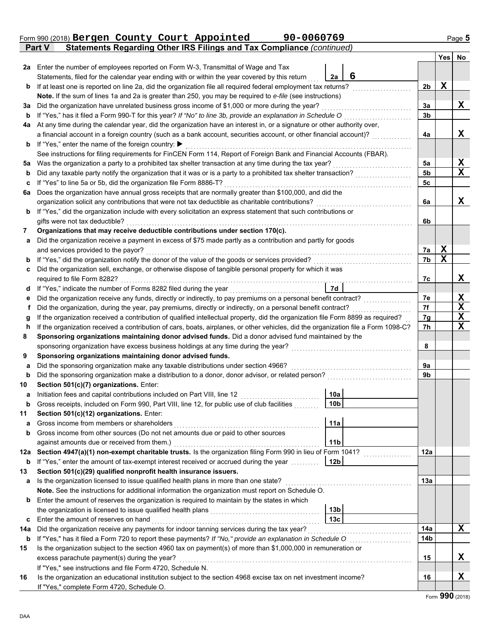|         | Part V | Statements Regarding Other IRS Filings and Tax Compliance (continued)                                                                            |                 |   |                |             |    |
|---------|--------|--------------------------------------------------------------------------------------------------------------------------------------------------|-----------------|---|----------------|-------------|----|
|         |        |                                                                                                                                                  |                 |   |                | Yes         | No |
|         |        | 2a Enter the number of employees reported on Form W-3, Transmittal of Wage and Tax                                                               |                 |   |                |             |    |
|         |        | Statements, filed for the calendar year ending with or within the year covered by this return                                                    | 2a              | 6 |                |             |    |
| b       |        | If at least one is reported on line 2a, did the organization file all required federal employment tax returns?                                   |                 |   | 2 <sub>b</sub> | X           |    |
|         |        | Note. If the sum of lines 1a and 2a is greater than 250, you may be required to e-file (see instructions)                                        |                 |   |                |             |    |
| За      |        | Did the organization have unrelated business gross income of \$1,000 or more during the year?                                                    |                 |   | 3a             |             | X  |
| b       |        | If "Yes," has it filed a Form 990-T for this year? If "No" to line 3b, provide an explanation in Schedule O                                      |                 |   | 3 <sub>b</sub> |             |    |
| 4a      |        | At any time during the calendar year, did the organization have an interest in, or a signature or other authority over,                          |                 |   |                |             |    |
|         |        | a financial account in a foreign country (such as a bank account, securities account, or other financial account)?                               |                 |   | 4a             |             | X  |
| b       |        | If "Yes," enter the name of the foreign country: ▶                                                                                               |                 |   |                |             |    |
|         |        | See instructions for filing requirements for FinCEN Form 114, Report of Foreign Bank and Financial Accounts (FBAR).                              |                 |   |                |             |    |
| 5a      |        | Was the organization a party to a prohibited tax shelter transaction at any time during the tax year?                                            |                 |   | 5a             |             | X  |
| b       |        | Did any taxable party notify the organization that it was or is a party to a prohibited tax shelter transaction?                                 |                 |   | 5b             |             | X  |
| c       |        | If "Yes" to line 5a or 5b, did the organization file Form 8886-T?                                                                                |                 |   | 5c             |             |    |
| 6a      |        | Does the organization have annual gross receipts that are normally greater than \$100,000, and did the                                           |                 |   |                |             |    |
|         |        | organization solicit any contributions that were not tax deductible as charitable contributions?                                                 |                 |   | 6a             |             | X  |
| b       |        | If "Yes," did the organization include with every solicitation an express statement that such contributions or<br>gifts were not tax deductible? |                 |   | 6b             |             |    |
| 7       |        | Organizations that may receive deductible contributions under section 170(c).                                                                    |                 |   |                |             |    |
|         |        | Did the organization receive a payment in excess of \$75 made partly as a contribution and partly for goods                                      |                 |   |                |             |    |
| a       |        | and services provided to the payor?                                                                                                              |                 |   | 7a             | $\mathbf x$ |    |
| b       |        | If "Yes," did the organization notify the donor of the value of the goods or services provided?                                                  |                 |   | 7b             | $\mathbf X$ |    |
| c       |        | Did the organization sell, exchange, or otherwise dispose of tangible personal property for which it was                                         |                 |   |                |             |    |
|         |        | required to file Form 8282?                                                                                                                      |                 |   | 7c             |             | X  |
| d       |        |                                                                                                                                                  | 7d              |   |                |             |    |
| е       |        | Did the organization receive any funds, directly or indirectly, to pay premiums on a personal benefit contract?                                  |                 |   | 7e             |             | X  |
| f       |        | Did the organization, during the year, pay premiums, directly or indirectly, on a personal benefit contract?                                     |                 |   | 7f             |             | X  |
| g       |        | If the organization received a contribution of qualified intellectual property, did the organization file Form 8899 as required?                 |                 |   | 7g             |             | X  |
| h       |        | If the organization received a contribution of cars, boats, airplanes, or other vehicles, did the organization file a Form 1098-C?               |                 |   | 7h             |             | X  |
| 8       |        | Sponsoring organizations maintaining donor advised funds. Did a donor advised fund maintained by the                                             |                 |   |                |             |    |
|         |        | sponsoring organization have excess business holdings at any time during the year?                                                               |                 |   | 8              |             |    |
| 9       |        | Sponsoring organizations maintaining donor advised funds.                                                                                        |                 |   |                |             |    |
| a       |        | Did the sponsoring organization make any taxable distributions under section 4966?                                                               |                 |   | 9а             |             |    |
| b       |        | Did the sponsoring organization make a distribution to a donor, donor advisor, or related person?                                                |                 |   | 9b             |             |    |
| 10      |        | Section 501(c)(7) organizations. Enter:                                                                                                          |                 |   |                |             |    |
| а       |        | Initiation fees and capital contributions included on Part VIII, line 12                                                                         | 10a             |   |                |             |    |
|         |        | Gross receipts, included on Form 990, Part VIII, line 12, for public use of club facilities                                                      | 10 <sub>b</sub> |   |                |             |    |
| 11      |        | Section 501(c)(12) organizations. Enter:                                                                                                         |                 |   |                |             |    |
| a       |        | Gross income from members or shareholders                                                                                                        | 11a             |   |                |             |    |
| b       |        | Gross income from other sources (Do not net amounts due or paid to other sources                                                                 |                 |   |                |             |    |
|         |        | against amounts due or received from them.)                                                                                                      | 11 <sub>b</sub> |   |                |             |    |
| 12а     |        | Section 4947(a)(1) non-exempt charitable trusts. Is the organization filing Form 990 in lieu of Form 1041?                                       |                 |   | 12a            |             |    |
| b       |        | If "Yes," enter the amount of tax-exempt interest received or accrued during the year                                                            | 12 <sub>b</sub> |   |                |             |    |
| 13      |        | Section 501(c)(29) qualified nonprofit health insurance issuers.                                                                                 |                 |   |                |             |    |
| a       |        | Is the organization licensed to issue qualified health plans in more than one state?                                                             |                 |   | 13а            |             |    |
|         |        | Note. See the instructions for additional information the organization must report on Schedule O.                                                |                 |   |                |             |    |
| b       |        | Enter the amount of reserves the organization is required to maintain by the states in which                                                     |                 |   |                |             |    |
|         |        |                                                                                                                                                  | 13 <sub>b</sub> |   |                |             |    |
| c       |        | Enter the amount of reserves on hand                                                                                                             | 13 <sub>c</sub> |   | 14a            |             | x  |
| 14a     |        | Did the organization receive any payments for indoor tanning services during the tax year?                                                       |                 |   | 14b            |             |    |
| b<br>15 |        | Is the organization subject to the section 4960 tax on payment(s) of more than \$1,000,000 in remuneration or                                    |                 |   |                |             |    |
|         |        | excess parachute payment(s) during the year?                                                                                                     |                 |   | 15             |             | X  |
|         |        | If "Yes," see instructions and file Form 4720, Schedule N.                                                                                       |                 |   |                |             |    |
| 16      |        | Is the organization an educational institution subject to the section 4968 excise tax on net investment income?                                  |                 |   | 16             |             | X  |
|         |        |                                                                                                                                                  |                 |   |                |             |    |

| $\frac{1}{1}$ res, see instructions and the Form +720, ochedule iv.                                             |
|-----------------------------------------------------------------------------------------------------------------|
| Is the organization an educational institution subject to the section 4968 excise tax on net investment income? |
| If "Yes." complete Form 4720, Schedule O.                                                                       |
|                                                                                                                 |

# Form 990 (2018) Bergen County Court Appointed 90-0060769 Page 5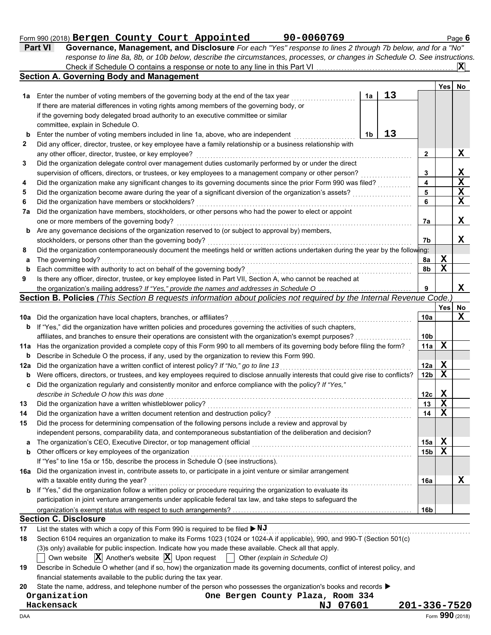#### Form 990 (2018) Page **6 Part VI Governance, Management, and Disclosure** *For each "Yes" response to lines 2 through 7b below, and for a "No"* **Bergen County Court Appointed 90-0060769**

|        | response to line 8a, 8b, or 10b below, describe the circumstances, processes, or changes in Schedule O. See instructions.                                    |              |                 |             |                              |
|--------|--------------------------------------------------------------------------------------------------------------------------------------------------------------|--------------|-----------------|-------------|------------------------------|
|        | Check if Schedule O contains a response or note to any line in this Part VI                                                                                  |              |                 |             | ΙXΙ                          |
|        | <b>Section A. Governing Body and Management</b>                                                                                                              |              |                 |             |                              |
|        |                                                                                                                                                              |              |                 | Yes         | No                           |
| 1а     | 13<br>Enter the number of voting members of the governing body at the end of the tax year<br>1a                                                              |              |                 |             |                              |
|        | If there are material differences in voting rights among members of the governing body, or                                                                   |              |                 |             |                              |
|        | if the governing body delegated broad authority to an executive committee or similar                                                                         |              |                 |             |                              |
|        | committee, explain in Schedule O.                                                                                                                            |              |                 |             |                              |
| b      | 13<br>1 <sub>b</sub><br>Enter the number of voting members included in line 1a, above, who are independent                                                   |              |                 |             |                              |
| 2      | Did any officer, director, trustee, or key employee have a family relationship or a business relationship with                                               |              |                 |             |                              |
|        | any other officer, director, trustee, or key employee?                                                                                                       |              | $\mathbf{2}$    |             | X                            |
| 3      | Did the organization delegate control over management duties customarily performed by or under the direct                                                    |              |                 |             |                              |
|        | supervision of officers, directors, or trustees, or key employees to a management company or other person?                                                   |              | 3<br>4          |             | X<br>$\overline{\mathbf{X}}$ |
| 4      | Did the organization make any significant changes to its governing documents since the prior Form 990 was filed?                                             |              |                 |             | $\mathbf{x}$                 |
| 5      | Did the organization become aware during the year of a significant diversion of the organization's assets?                                                   |              | 5<br>6          |             | $\mathbf X$                  |
| 6      | Did the organization have members or stockholders?                                                                                                           |              |                 |             |                              |
| 7a     | Did the organization have members, stockholders, or other persons who had the power to elect or appoint                                                      |              |                 |             | X                            |
|        | one or more members of the governing body?                                                                                                                   |              | 7a              |             |                              |
| b      | Are any governance decisions of the organization reserved to (or subject to approval by) members,<br>stockholders, or persons other than the governing body? |              | 7b              |             | X                            |
| 8      | Did the organization contemporaneously document the meetings held or written actions undertaken during the year by the following:                            |              |                 |             |                              |
|        | The governing body?                                                                                                                                          |              |                 | X           |                              |
| a      | Each committee with authority to act on behalf of the governing body?                                                                                        |              | 8a<br>8b        | $\mathbf X$ |                              |
| b<br>9 | Is there any officer, director, trustee, or key employee listed in Part VII, Section A, who cannot be reached at                                             |              |                 |             |                              |
|        | the organization's mailing address? If "Yes," provide the names and addresses in Schedule O                                                                  |              |                 |             | X                            |
|        | Section B. Policies (This Section B requests information about policies not required by the Internal Revenue Code.)                                          |              |                 |             |                              |
|        |                                                                                                                                                              |              |                 | Yes         | No                           |
| 10a    | Did the organization have local chapters, branches, or affiliates?                                                                                           |              | 10a             |             | X                            |
| b      | If "Yes," did the organization have written policies and procedures governing the activities of such chapters,                                               |              |                 |             |                              |
|        | affiliates, and branches to ensure their operations are consistent with the organization's exempt purposes?                                                  |              | 10 <sub>b</sub> |             |                              |
| 11a    | Has the organization provided a complete copy of this Form 990 to all members of its governing body before filing the form?                                  |              | 11a             | $\mathbf X$ |                              |
| b      | Describe in Schedule O the process, if any, used by the organization to review this Form 990.                                                                |              |                 |             |                              |
| 12a    | Did the organization have a written conflict of interest policy? If "No," go to line 13                                                                      |              | 12a             | X           |                              |
| b      | Were officers, directors, or trustees, and key employees required to disclose annually interests that could give rise to conflicts?                          |              | 12 <sub>b</sub> | $\mathbf X$ |                              |
| c      | Did the organization regularly and consistently monitor and enforce compliance with the policy? If "Yes,"                                                    |              |                 |             |                              |
|        | describe in Schedule O how this was done                                                                                                                     |              | 12c             | X           |                              |
| 13     | Did the organization have a written whistleblower policy?                                                                                                    |              | 13              | $\mathbf X$ |                              |
|        | Did the organization have a written document retention and destruction policy?                                                                               |              | 14              | $\mathbf X$ |                              |
| 15     | Did the process for determining compensation of the following persons include a review and approval by                                                       |              |                 |             |                              |
|        | independent persons, comparability data, and contemporaneous substantiation of the deliberation and decision?                                                |              |                 |             |                              |
| a      | The organization's CEO, Executive Director, or top management official                                                                                       |              | 15a             | X           |                              |
| b      | Other officers or key employees of the organization                                                                                                          |              | 15 <sub>b</sub> | $\mathbf X$ |                              |
|        | If "Yes" to line 15a or 15b, describe the process in Schedule O (see instructions).                                                                          |              |                 |             |                              |
| 16a    | Did the organization invest in, contribute assets to, or participate in a joint venture or similar arrangement                                               |              |                 |             |                              |
|        | with a taxable entity during the year?                                                                                                                       |              | 16a             |             | х                            |
| b      | If "Yes," did the organization follow a written policy or procedure requiring the organization to evaluate its                                               |              |                 |             |                              |
|        | participation in joint venture arrangements under applicable federal tax law, and take steps to safeguard the                                                |              |                 |             |                              |
|        |                                                                                                                                                              |              | 16 <sub>b</sub> |             |                              |
|        | <b>Section C. Disclosure</b>                                                                                                                                 |              |                 |             |                              |
| 17     | List the states with which a copy of this Form 990 is required to be filed ▶ NJ                                                                              |              |                 |             |                              |
| 18     | Section 6104 requires an organization to make its Forms 1023 (1024 or 1024-A if applicable), 990, and 990-T (Section 501(c)                                  |              |                 |             |                              |
|        | (3)s only) available for public inspection. Indicate how you made these available. Check all that apply.                                                     |              |                 |             |                              |
|        | Own website $ \mathbf{X} $ Another's website $ \mathbf{X} $ Upon request<br>Other (explain in Schedule O)                                                    |              |                 |             |                              |
| 19     | Describe in Schedule O whether (and if so, how) the organization made its governing documents, conflict of interest policy, and                              |              |                 |             |                              |
|        | financial statements available to the public during the tax year.                                                                                            |              |                 |             |                              |
| 20     | State the name, address, and telephone number of the person who possesses the organization's books and records $\blacktriangleright$                         |              |                 |             |                              |
|        | Organization<br>One Bergen County Plaza, Room 334                                                                                                            |              |                 |             |                              |
|        | Hackensack<br><u>NJ 07601</u>                                                                                                                                | 201-336-7520 |                 |             |                              |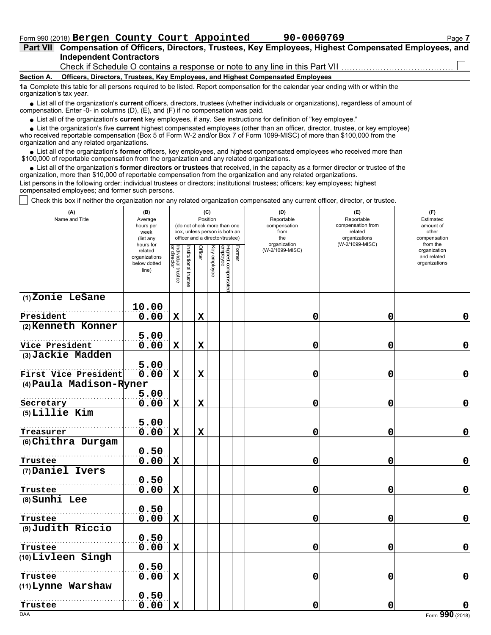# Form 990 (2018) Bergen County Court Appointed 90-0060769 Page 7

# **Independent Contractors Part VII Compensation of Officers, Directors, Trustees, Key Employees, Highest Compensated Employees, and**

Check if Schedule O contains a response or note to any line in this Part VII

#### **Section A. Officers, Directors, Trustees, Key Employees, and Highest Compensated Employees**

**1a** Complete this table for all persons required to be listed. Report compensation for the calendar year ending with or within the organization's tax year.

■ List all of the organization's **current** officers, directors, trustees (whether individuals or organizations), regardless of amount of compensation. Enter -0- in columns (D), (E), and (F) if no compensation was paid.

List all of the organization's **current** key employees, if any. See instructions for definition of "key employee."

who received reportable compensation (Box 5 of Form W-2 and/or Box 7 of Form 1099-MISC) of more than \$100,000 from the organization and any related organizations. ■ List all of the organization's **current** key employees, if any. See instructions for definition of "key employee."<br>■ List the organization's five **current** highest compensated employees (other than an officer, director,

• List all of the organization's **former** officers, key employees, and highest compensated employees who received more than<br>00,000 of reportable compensation from the organization and any related erganizations. \$100,000 of reportable compensation from the organization and any related organizations.

List all of the organization's **former directors or trustees** that received, in the capacity as a former director or trustee of the • List all of the organization's **former directors or trustees** that received, in the capacity as a former director organization, more than \$10,000 of reportable compensation from the organization and any related organizat List persons in the following order: individual trustees or directors; institutional trustees; officers; key employees; highest compensated employees; and former such persons.

Check this box if neither the organization nor any related organization compensated any current officer, director, or trustee.

| (A)<br>Name and Title               | (B)<br>Average<br>hours per<br>week<br>(list any               |                                   |                      | Position    | (C)          | (do not check more than one<br>box, unless person is both an<br>officer and a director/trustee) |        | (D)<br>Reportable<br>compensation<br>from<br>the | (E)<br>Reportable<br>compensation from<br>related<br>organizations | (F)<br>Estimated<br>amount of<br>other<br>compensation   |
|-------------------------------------|----------------------------------------------------------------|-----------------------------------|----------------------|-------------|--------------|-------------------------------------------------------------------------------------------------|--------|--------------------------------------------------|--------------------------------------------------------------------|----------------------------------------------------------|
|                                     | hours for<br>related<br>organizations<br>below dotted<br>line) | Individual trustee<br>or director | nstitutional trustee | Officer     | Key employee | Highest compensated<br>employee                                                                 | Former | organization<br>(W-2/1099-MISC)                  | (W-2/1099-MISC)                                                    | from the<br>organization<br>and related<br>organizations |
| (1) Zonie LeSane                    |                                                                |                                   |                      |             |              |                                                                                                 |        |                                                  |                                                                    |                                                          |
|                                     | 10.00                                                          |                                   |                      |             |              |                                                                                                 |        |                                                  |                                                                    |                                                          |
| President                           | 0.00                                                           | $\mathbf x$                       |                      | $\mathbf x$ |              |                                                                                                 |        | 0                                                | 0                                                                  | 0                                                        |
| (2) Kenneth Konner                  |                                                                |                                   |                      |             |              |                                                                                                 |        |                                                  |                                                                    |                                                          |
|                                     | 5.00                                                           |                                   |                      |             |              |                                                                                                 |        |                                                  |                                                                    |                                                          |
| Vice President<br>(3) Jackie Madden | 0.00                                                           | $\mathbf X$                       |                      | $\mathbf x$ |              |                                                                                                 |        | 0                                                | 0                                                                  | 0                                                        |
|                                     | 5.00                                                           |                                   |                      |             |              |                                                                                                 |        |                                                  |                                                                    |                                                          |
| First Vice President                | 0.00                                                           | $\mathbf X$                       |                      | $\mathbf X$ |              |                                                                                                 |        | 0                                                | 0                                                                  | $\mathbf 0$                                              |
| (4) Paula Madison-Ryner             |                                                                |                                   |                      |             |              |                                                                                                 |        |                                                  |                                                                    |                                                          |
|                                     | 5.00                                                           |                                   |                      |             |              |                                                                                                 |        |                                                  |                                                                    |                                                          |
| Secretary                           | 0.00                                                           | $\mathbf X$                       |                      | $\mathbf x$ |              |                                                                                                 |        | 0                                                | 0                                                                  | 0                                                        |
| (5) Lillie Kim                      |                                                                |                                   |                      |             |              |                                                                                                 |        |                                                  |                                                                    |                                                          |
|                                     | 5.00                                                           |                                   |                      |             |              |                                                                                                 |        |                                                  |                                                                    |                                                          |
| Treasurer                           | 0.00                                                           | $\mathbf X$                       |                      | $\mathbf x$ |              |                                                                                                 |        | 0                                                | 0                                                                  | $\mathbf 0$                                              |
| (6) Chithra Durgam                  |                                                                |                                   |                      |             |              |                                                                                                 |        |                                                  |                                                                    |                                                          |
|                                     | 0.50                                                           |                                   |                      |             |              |                                                                                                 |        |                                                  |                                                                    |                                                          |
| Trustee                             | 0.00                                                           | $\mathbf X$                       |                      |             |              |                                                                                                 |        | 0                                                | 0                                                                  | 0                                                        |
| (7) Daniel Ivers                    |                                                                |                                   |                      |             |              |                                                                                                 |        |                                                  |                                                                    |                                                          |
|                                     | 0.50                                                           |                                   |                      |             |              |                                                                                                 |        |                                                  |                                                                    |                                                          |
| Trustee<br>(8) Sunhi Lee            | 0.00                                                           | $\mathbf X$                       |                      |             |              |                                                                                                 |        | 0                                                | 0                                                                  | 0                                                        |
|                                     | 0.50                                                           |                                   |                      |             |              |                                                                                                 |        |                                                  |                                                                    |                                                          |
| Trustee                             | 0.00                                                           | $\mathbf X$                       |                      |             |              |                                                                                                 |        | 0                                                | 0                                                                  | $\mathbf 0$                                              |
| (9) Judith Riccio                   |                                                                |                                   |                      |             |              |                                                                                                 |        |                                                  |                                                                    |                                                          |
|                                     | 0.50                                                           |                                   |                      |             |              |                                                                                                 |        |                                                  |                                                                    |                                                          |
| Trustee                             | 0.00                                                           | $\mathbf X$                       |                      |             |              |                                                                                                 |        | 0                                                | 0                                                                  | $\mathbf 0$                                              |
| (10) Livleen Singh                  |                                                                |                                   |                      |             |              |                                                                                                 |        |                                                  |                                                                    |                                                          |
|                                     | 0.50                                                           |                                   |                      |             |              |                                                                                                 |        |                                                  |                                                                    |                                                          |
| Trustee                             | 0.00                                                           | X                                 |                      |             |              |                                                                                                 |        | 0                                                | 0                                                                  | $\mathbf 0$                                              |
| (11) Lynne Warshaw                  |                                                                |                                   |                      |             |              |                                                                                                 |        |                                                  |                                                                    |                                                          |
|                                     | 0.50                                                           |                                   |                      |             |              |                                                                                                 |        |                                                  |                                                                    |                                                          |
| Trustee<br><b>DAA</b>               | 0.00                                                           | $\mathbf X$                       |                      |             |              |                                                                                                 |        | 0                                                | 0                                                                  | Form 990 (2018)                                          |
|                                     |                                                                |                                   |                      |             |              |                                                                                                 |        |                                                  |                                                                    |                                                          |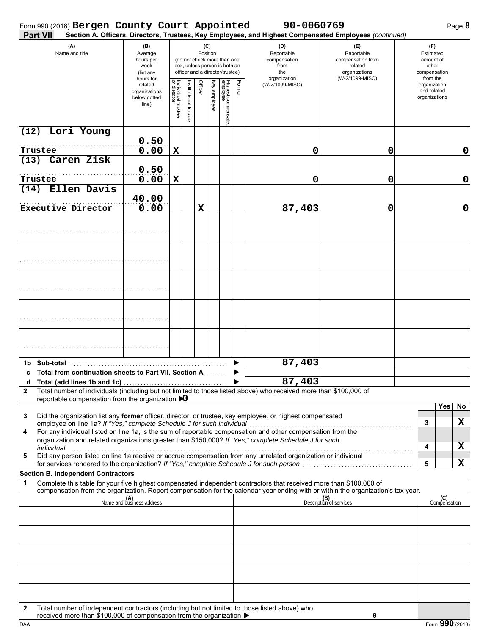# Form 990 (2018) Page **8 Bergen County Court Appointed 90-0060769**

| <b>Part VII</b>                                                                                                                                                                                                                                             |                                                                                  |                                   |                       |                          |                       |                                 |                            | Section A. Officers, Directors, Trustees, Key Employees, and Highest Compensated Employees (continued) |                                |                             |
|-------------------------------------------------------------------------------------------------------------------------------------------------------------------------------------------------------------------------------------------------------------|----------------------------------------------------------------------------------|-----------------------------------|-----------------------|--------------------------|-----------------------|---------------------------------|----------------------------|--------------------------------------------------------------------------------------------------------|--------------------------------|-----------------------------|
| (A)                                                                                                                                                                                                                                                         | (B)                                                                              |                                   |                       |                          | (C)                   |                                 |                            | (D)                                                                                                    | (E)                            | (F)                         |
| Name and title                                                                                                                                                                                                                                              | Position<br>Average<br>(do not check more than one<br>hours per                  |                                   |                       |                          |                       |                                 | Reportable<br>compensation | Reportable<br>compensation from                                                                        | Estimated<br>amount of         |                             |
|                                                                                                                                                                                                                                                             | box, unless person is both an<br>from<br>week<br>officer and a director/trustee) |                                   | the                   | related<br>organizations | other<br>compensation |                                 |                            |                                                                                                        |                                |                             |
|                                                                                                                                                                                                                                                             | (list any<br>hours for                                                           |                                   |                       |                          |                       |                                 |                            | organization                                                                                           | (W-2/1099-MISC)                | from the                    |
|                                                                                                                                                                                                                                                             | related<br>organizations                                                         |                                   |                       | Officer                  |                       |                                 | Former                     | (W-2/1099-MISC)                                                                                        |                                | organization<br>and related |
|                                                                                                                                                                                                                                                             | below dotted                                                                     |                                   |                       |                          | Key employee          |                                 |                            |                                                                                                        |                                | organizations               |
|                                                                                                                                                                                                                                                             | line)                                                                            | Individual trustee<br>or director | Institutional trustee |                          |                       | Highest compensatec<br>employee |                            |                                                                                                        |                                |                             |
|                                                                                                                                                                                                                                                             |                                                                                  |                                   |                       |                          |                       |                                 |                            |                                                                                                        |                                |                             |
| Lori Young<br>(12)                                                                                                                                                                                                                                          |                                                                                  |                                   |                       |                          |                       |                                 |                            |                                                                                                        |                                |                             |
|                                                                                                                                                                                                                                                             | 0.50                                                                             |                                   |                       |                          |                       |                                 |                            |                                                                                                        |                                |                             |
| Trustee                                                                                                                                                                                                                                                     | 0.00                                                                             | $\mathbf X$                       |                       |                          |                       |                                 |                            | 0                                                                                                      | 0                              | 0                           |
| (13)<br>Caren Zisk                                                                                                                                                                                                                                          |                                                                                  |                                   |                       |                          |                       |                                 |                            |                                                                                                        |                                |                             |
|                                                                                                                                                                                                                                                             | 0.50                                                                             |                                   |                       |                          |                       |                                 |                            |                                                                                                        |                                |                             |
| Trustee                                                                                                                                                                                                                                                     | 0.00                                                                             | $\mathbf X$                       |                       |                          |                       |                                 |                            | 0                                                                                                      | 0                              | 0                           |
| Ellen Davis<br>(14)                                                                                                                                                                                                                                         |                                                                                  |                                   |                       |                          |                       |                                 |                            |                                                                                                        |                                |                             |
| Executive Director                                                                                                                                                                                                                                          | 40.00<br>0.00                                                                    |                                   |                       | $\mathbf x$              |                       |                                 |                            | 87,403                                                                                                 | 0                              | 0                           |
|                                                                                                                                                                                                                                                             |                                                                                  |                                   |                       |                          |                       |                                 |                            |                                                                                                        |                                |                             |
|                                                                                                                                                                                                                                                             |                                                                                  |                                   |                       |                          |                       |                                 |                            |                                                                                                        |                                |                             |
|                                                                                                                                                                                                                                                             |                                                                                  |                                   |                       |                          |                       |                                 |                            |                                                                                                        |                                |                             |
|                                                                                                                                                                                                                                                             |                                                                                  |                                   |                       |                          |                       |                                 |                            |                                                                                                        |                                |                             |
|                                                                                                                                                                                                                                                             |                                                                                  |                                   |                       |                          |                       |                                 |                            |                                                                                                        |                                |                             |
|                                                                                                                                                                                                                                                             |                                                                                  |                                   |                       |                          |                       |                                 |                            |                                                                                                        |                                |                             |
|                                                                                                                                                                                                                                                             |                                                                                  |                                   |                       |                          |                       |                                 |                            |                                                                                                        |                                |                             |
|                                                                                                                                                                                                                                                             |                                                                                  |                                   |                       |                          |                       |                                 |                            |                                                                                                        |                                |                             |
|                                                                                                                                                                                                                                                             |                                                                                  |                                   |                       |                          |                       |                                 |                            |                                                                                                        |                                |                             |
|                                                                                                                                                                                                                                                             |                                                                                  |                                   |                       |                          |                       |                                 |                            |                                                                                                        |                                |                             |
|                                                                                                                                                                                                                                                             |                                                                                  |                                   |                       |                          |                       |                                 |                            |                                                                                                        |                                |                             |
|                                                                                                                                                                                                                                                             |                                                                                  |                                   |                       |                          |                       |                                 |                            |                                                                                                        |                                |                             |
|                                                                                                                                                                                                                                                             |                                                                                  |                                   |                       |                          |                       |                                 |                            |                                                                                                        |                                |                             |
|                                                                                                                                                                                                                                                             |                                                                                  |                                   |                       |                          |                       |                                 |                            |                                                                                                        |                                |                             |
|                                                                                                                                                                                                                                                             |                                                                                  |                                   |                       |                          |                       |                                 | ▶                          | 87,403                                                                                                 |                                |                             |
| Total from continuation sheets to Part VII, Section A<br>C                                                                                                                                                                                                  |                                                                                  |                                   |                       |                          |                       |                                 | ▶                          |                                                                                                        |                                |                             |
| d Total (add lines 1b and 1c)                                                                                                                                                                                                                               |                                                                                  |                                   |                       |                          |                       |                                 |                            | 87,403                                                                                                 |                                |                             |
| Total number of individuals (including but not limited to those listed above) who received more than \$100,000 of<br>2                                                                                                                                      |                                                                                  |                                   |                       |                          |                       |                                 |                            |                                                                                                        |                                |                             |
| reportable compensation from the organization $\bigtriangledown$                                                                                                                                                                                            |                                                                                  |                                   |                       |                          |                       |                                 |                            |                                                                                                        |                                | No<br>Yes                   |
| Did the organization list any former officer, director, or trustee, key employee, or highest compensated<br>3                                                                                                                                               |                                                                                  |                                   |                       |                          |                       |                                 |                            |                                                                                                        |                                |                             |
| employee on line 1a? If "Yes," complete Schedule J for such individual                                                                                                                                                                                      |                                                                                  |                                   |                       |                          |                       |                                 |                            |                                                                                                        |                                | X<br>3                      |
| Employee on line 1a f it 1 res, complete Scriegule J for such individual compensation and other compensation from the<br>4                                                                                                                                  |                                                                                  |                                   |                       |                          |                       |                                 |                            |                                                                                                        |                                |                             |
| organization and related organizations greater than \$150,000? If "Yes," complete Schedule J for such                                                                                                                                                       |                                                                                  |                                   |                       |                          |                       |                                 |                            |                                                                                                        |                                | X<br>4                      |
| individual<br>Did any person listed on line 1a receive or accrue compensation from any unrelated organization or individual<br>5                                                                                                                            |                                                                                  |                                   |                       |                          |                       |                                 |                            |                                                                                                        |                                |                             |
| for services rendered to the organization? If "Yes," complete Schedule J for such person                                                                                                                                                                    |                                                                                  |                                   |                       |                          |                       |                                 |                            |                                                                                                        |                                | X<br>5                      |
| <b>Section B. Independent Contractors</b>                                                                                                                                                                                                                   |                                                                                  |                                   |                       |                          |                       |                                 |                            |                                                                                                        |                                |                             |
| Complete this table for your five highest compensated independent contractors that received more than \$100,000 of<br>1<br>compensation from the organization. Report compensation for the calendar year ending with or within the organization's tax year. |                                                                                  |                                   |                       |                          |                       |                                 |                            |                                                                                                        |                                |                             |
|                                                                                                                                                                                                                                                             | (A)<br>Name and business address                                                 |                                   |                       |                          |                       |                                 |                            |                                                                                                        | (B)<br>Description of services | (C)<br>Compensation         |
|                                                                                                                                                                                                                                                             |                                                                                  |                                   |                       |                          |                       |                                 |                            |                                                                                                        |                                |                             |
|                                                                                                                                                                                                                                                             |                                                                                  |                                   |                       |                          |                       |                                 |                            |                                                                                                        |                                |                             |
|                                                                                                                                                                                                                                                             |                                                                                  |                                   |                       |                          |                       |                                 |                            |                                                                                                        |                                |                             |
|                                                                                                                                                                                                                                                             |                                                                                  |                                   |                       |                          |                       |                                 |                            |                                                                                                        |                                |                             |
|                                                                                                                                                                                                                                                             |                                                                                  |                                   |                       |                          |                       |                                 |                            |                                                                                                        |                                |                             |
|                                                                                                                                                                                                                                                             |                                                                                  |                                   |                       |                          |                       |                                 |                            |                                                                                                        |                                |                             |
|                                                                                                                                                                                                                                                             |                                                                                  |                                   |                       |                          |                       |                                 |                            |                                                                                                        |                                |                             |
|                                                                                                                                                                                                                                                             |                                                                                  |                                   |                       |                          |                       |                                 |                            |                                                                                                        |                                |                             |
|                                                                                                                                                                                                                                                             |                                                                                  |                                   |                       |                          |                       |                                 |                            |                                                                                                        |                                |                             |
|                                                                                                                                                                                                                                                             |                                                                                  |                                   |                       |                          |                       |                                 |                            |                                                                                                        |                                |                             |
| Total number of independent contractors (including but not limited to those listed above) who<br>2                                                                                                                                                          |                                                                                  |                                   |                       |                          |                       |                                 |                            |                                                                                                        |                                |                             |

received more than \$100,000 of compensation from the organization  $\blacktriangleright$ 

**0**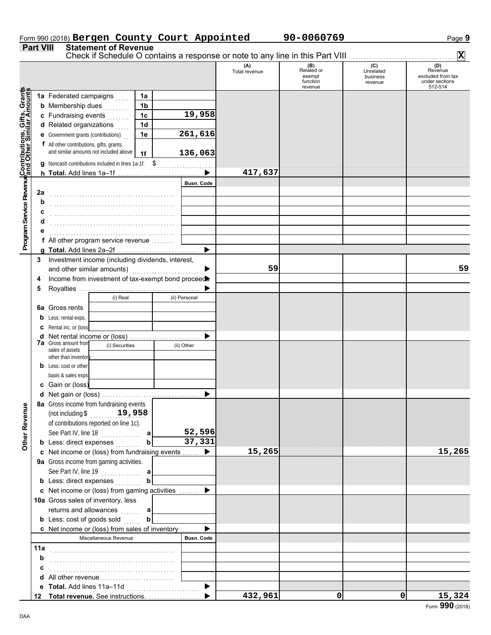## Form 990 (2018) Bergen County Court Appointed 90-0060769 Page 9

**Part VIII Statement of Revenue**

|                                                                                                                                       |     |                                                                                     |                |                   |                      |                                                    | Check if Schedule O contains a response or note to any line in this Part VIII | $ \mathbf{X} $                                                   |
|---------------------------------------------------------------------------------------------------------------------------------------|-----|-------------------------------------------------------------------------------------|----------------|-------------------|----------------------|----------------------------------------------------|-------------------------------------------------------------------------------|------------------------------------------------------------------|
|                                                                                                                                       |     |                                                                                     |                |                   | (A)<br>Total revenue | (B)<br>Related or<br>exempt<br>function<br>revenue | (C)<br>Unrelated<br>business<br>revenue                                       | (D)<br>Revenue<br>excluded from tax<br>under sections<br>512-514 |
| Program Service Revenu <mark>¢Contributions, Gifts, Grant</mark> s<br>Program Service Revenu <mark>¢and Other Similar Amount</mark> s |     | 1a Federated campaigns                                                              | 1a             |                   |                      |                                                    |                                                                               |                                                                  |
|                                                                                                                                       |     | <b>b</b> Membership dues<br>a sa salala                                             | 1 <sub>b</sub> |                   |                      |                                                    |                                                                               |                                                                  |
|                                                                                                                                       |     | c Fundraising events<br>in de la cal                                                | 1 <sub>c</sub> | 19,958            |                      |                                                    |                                                                               |                                                                  |
|                                                                                                                                       |     | d Related organizations                                                             | 1 <sub>d</sub> |                   |                      |                                                    |                                                                               |                                                                  |
|                                                                                                                                       |     | <b>e</b> Government grants (contributions)                                          | 1e             | 261,616           |                      |                                                    |                                                                               |                                                                  |
|                                                                                                                                       |     |                                                                                     |                |                   |                      |                                                    |                                                                               |                                                                  |
|                                                                                                                                       |     | f All other contributions, gifts, grants,<br>and similar amounts not included above | 1f             | 136,063           |                      |                                                    |                                                                               |                                                                  |
|                                                                                                                                       |     |                                                                                     |                |                   |                      |                                                    |                                                                               |                                                                  |
|                                                                                                                                       |     | <b>q</b> Noncash contributions included in lines 1a-1f: \$                          |                |                   |                      |                                                    |                                                                               |                                                                  |
|                                                                                                                                       |     | h Total. Add lines 1a-1f                                                            |                |                   | 417,637              |                                                    |                                                                               |                                                                  |
|                                                                                                                                       |     |                                                                                     |                | <b>Busn. Code</b> |                      |                                                    |                                                                               |                                                                  |
|                                                                                                                                       | 2a  |                                                                                     |                |                   |                      |                                                    |                                                                               |                                                                  |
|                                                                                                                                       | b   |                                                                                     |                |                   |                      |                                                    |                                                                               |                                                                  |
|                                                                                                                                       |     |                                                                                     |                |                   |                      |                                                    |                                                                               |                                                                  |
|                                                                                                                                       |     |                                                                                     |                |                   |                      |                                                    |                                                                               |                                                                  |
|                                                                                                                                       |     |                                                                                     |                |                   |                      |                                                    |                                                                               |                                                                  |
|                                                                                                                                       |     | f All other program service revenue                                                 |                |                   |                      |                                                    |                                                                               |                                                                  |
|                                                                                                                                       |     |                                                                                     |                | ▶                 |                      |                                                    |                                                                               |                                                                  |
|                                                                                                                                       | 3   | Investment income (including dividends, interest,                                   |                |                   |                      |                                                    |                                                                               |                                                                  |
|                                                                                                                                       |     | and other similar amounts)                                                          |                |                   | 59                   |                                                    |                                                                               | 59                                                               |
|                                                                                                                                       | 4   | Income from investment of tax-exempt bond proceed                                   |                |                   |                      |                                                    |                                                                               |                                                                  |
|                                                                                                                                       | 5   |                                                                                     |                |                   |                      |                                                    |                                                                               |                                                                  |
|                                                                                                                                       |     | (i) Real                                                                            |                | (ii) Personal     |                      |                                                    |                                                                               |                                                                  |
|                                                                                                                                       |     | <b>6a</b> Gross rents                                                               |                |                   |                      |                                                    |                                                                               |                                                                  |
|                                                                                                                                       | b   | Less: rental exps.                                                                  |                |                   |                      |                                                    |                                                                               |                                                                  |
|                                                                                                                                       | c   | Rental inc. or (loss)                                                               |                |                   |                      |                                                    |                                                                               |                                                                  |
|                                                                                                                                       | d   | Net rental income or (loss)                                                         |                |                   |                      |                                                    |                                                                               |                                                                  |
|                                                                                                                                       |     | <b>7a</b> Gross amount from<br>(i) Securities                                       |                | (ii) Other        |                      |                                                    |                                                                               |                                                                  |
|                                                                                                                                       |     | sales of assets                                                                     |                |                   |                      |                                                    |                                                                               |                                                                  |
|                                                                                                                                       |     | other than inventor                                                                 |                |                   |                      |                                                    |                                                                               |                                                                  |
|                                                                                                                                       |     | <b>b</b> Less: cost or other                                                        |                |                   |                      |                                                    |                                                                               |                                                                  |
|                                                                                                                                       |     | basis & sales exps                                                                  |                |                   |                      |                                                    |                                                                               |                                                                  |
|                                                                                                                                       |     | c Gain or (loss)                                                                    |                |                   |                      |                                                    |                                                                               |                                                                  |
|                                                                                                                                       |     |                                                                                     |                |                   |                      |                                                    |                                                                               |                                                                  |
| g                                                                                                                                     |     | 8a Gross income from fundraising events                                             |                |                   |                      |                                                    |                                                                               |                                                                  |
|                                                                                                                                       |     | 19,958<br>(not including \$                                                         |                |                   |                      |                                                    |                                                                               |                                                                  |
|                                                                                                                                       |     | of contributions reported on line 1c).                                              |                |                   |                      |                                                    |                                                                               |                                                                  |
|                                                                                                                                       |     | See Part IV, line 18                                                                | a              | 52,596            |                      |                                                    |                                                                               |                                                                  |
| Other Reven                                                                                                                           |     | <b>b</b> Less: direct expenses                                                      |                | 37,331            |                      |                                                    |                                                                               |                                                                  |
|                                                                                                                                       |     | c Net income or (loss) from fundraising events                                      |                |                   | 15,265               |                                                    |                                                                               | 15,265                                                           |
|                                                                                                                                       |     | 9a Gross income from gaming activities.                                             |                |                   |                      |                                                    |                                                                               |                                                                  |
|                                                                                                                                       |     |                                                                                     |                |                   |                      |                                                    |                                                                               |                                                                  |
|                                                                                                                                       |     | <b>b</b> Less: direct expenses                                                      |                |                   |                      |                                                    |                                                                               |                                                                  |
|                                                                                                                                       |     | c Net income or (loss) from gaming activities                                       |                |                   |                      |                                                    |                                                                               |                                                                  |
|                                                                                                                                       |     | 10a Gross sales of inventory, less                                                  |                |                   |                      |                                                    |                                                                               |                                                                  |
|                                                                                                                                       |     | returns and allowances                                                              | a              |                   |                      |                                                    |                                                                               |                                                                  |
|                                                                                                                                       |     | <b>b</b> Less: cost of goods sold                                                   |                |                   |                      |                                                    |                                                                               |                                                                  |
|                                                                                                                                       |     | c Net income or (loss) from sales of inventory                                      |                |                   |                      |                                                    |                                                                               |                                                                  |
|                                                                                                                                       |     | Miscellaneous Revenue                                                               |                | <b>Busn. Code</b> |                      |                                                    |                                                                               |                                                                  |
|                                                                                                                                       | 11a |                                                                                     |                |                   |                      |                                                    |                                                                               |                                                                  |
|                                                                                                                                       |     |                                                                                     |                |                   |                      |                                                    |                                                                               |                                                                  |
|                                                                                                                                       | b   |                                                                                     |                |                   |                      |                                                    |                                                                               |                                                                  |
|                                                                                                                                       | c   |                                                                                     |                |                   |                      |                                                    |                                                                               |                                                                  |
|                                                                                                                                       | d   | All other revenue                                                                   |                |                   |                      |                                                    |                                                                               |                                                                  |
|                                                                                                                                       |     |                                                                                     |                | ▶                 |                      |                                                    |                                                                               |                                                                  |
|                                                                                                                                       |     | 12 Total revenue. See instructions.                                                 |                |                   | 432,961              | 0                                                  | $\mathbf 0$                                                                   | 15,324                                                           |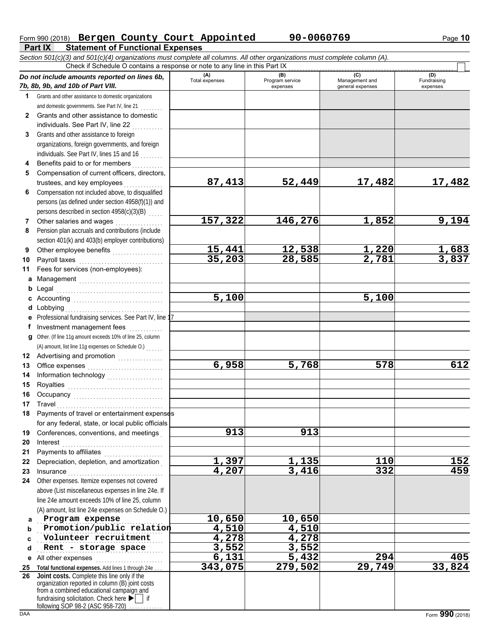### **Part IX Statement of Functional Expenses** Form 990 (2018) Bergen County Court Appointed 90-0060769 Page 10

*Section 501(c)(3) and 501(c)(4) organizations must complete all columns. All other organizations must complete column (A).* Check if Schedule O contains a response or note to any line in this Part IX . . . . . . . . . . . . . . . . . . . . . . . . . . . . . . . . . . . . . . . . . . . . . . . . . . . . . . . . . . .

|              | Do not include amounts reported on lines 6b,<br>7b, 8b, 9b, and 10b of Part VIII.                                                                                                                                                                 | (A)<br>Total expenses | (B)<br>Program service<br>expenses | (C)<br>Management and<br>general expenses | (D)<br>Fundraising<br>expenses |
|--------------|---------------------------------------------------------------------------------------------------------------------------------------------------------------------------------------------------------------------------------------------------|-----------------------|------------------------------------|-------------------------------------------|--------------------------------|
| 1.           | Grants and other assistance to domestic organizations                                                                                                                                                                                             |                       |                                    |                                           |                                |
|              | and domestic governments. See Part IV, line 21                                                                                                                                                                                                    |                       |                                    |                                           |                                |
| $\mathbf{2}$ | Grants and other assistance to domestic                                                                                                                                                                                                           |                       |                                    |                                           |                                |
|              | individuals. See Part IV, line 22                                                                                                                                                                                                                 |                       |                                    |                                           |                                |
| 3            | Grants and other assistance to foreign                                                                                                                                                                                                            |                       |                                    |                                           |                                |
|              | organizations, foreign governments, and foreign                                                                                                                                                                                                   |                       |                                    |                                           |                                |
|              | individuals. See Part IV, lines 15 and 16                                                                                                                                                                                                         |                       |                                    |                                           |                                |
| 4            | Benefits paid to or for members<br><u>.</u>                                                                                                                                                                                                       |                       |                                    |                                           |                                |
| 5            | Compensation of current officers, directors,                                                                                                                                                                                                      |                       |                                    |                                           |                                |
|              | trustees, and key employees                                                                                                                                                                                                                       | 87,413                | 52,449                             | 17,482                                    | 17,482                         |
| 6            | Compensation not included above, to disqualified                                                                                                                                                                                                  |                       |                                    |                                           |                                |
|              | persons (as defined under section 4958(f)(1)) and                                                                                                                                                                                                 |                       |                                    |                                           |                                |
|              | persons described in section 4958(c)(3)(B)                                                                                                                                                                                                        |                       |                                    |                                           |                                |
| 7            | Other salaries and wages<br>.                                                                                                                                                                                                                     | 157,322               | 146,276                            | 1,852                                     | 9,194                          |
| 8            | Pension plan accruals and contributions (include                                                                                                                                                                                                  |                       |                                    |                                           |                                |
|              | section 401(k) and 403(b) employer contributions)                                                                                                                                                                                                 |                       |                                    |                                           |                                |
| 9            |                                                                                                                                                                                                                                                   | <u>15,441</u>         | <u>12,538</u>                      |                                           |                                |
| 10           |                                                                                                                                                                                                                                                   | 35, 203               | 28,585                             | $\frac{1,220}{2,781}$                     | <u>1,683</u><br>3,837          |
| 11           | Fees for services (non-employees):                                                                                                                                                                                                                |                       |                                    |                                           |                                |
| a            | Management                                                                                                                                                                                                                                        |                       |                                    |                                           |                                |
| b            |                                                                                                                                                                                                                                                   |                       |                                    |                                           |                                |
| c            |                                                                                                                                                                                                                                                   | 5,100                 |                                    | 5,100                                     |                                |
| d            |                                                                                                                                                                                                                                                   |                       |                                    |                                           |                                |
| е            | Professional fundraising services. See Part IV, line 17                                                                                                                                                                                           |                       |                                    |                                           |                                |
| f.           | Investment management fees                                                                                                                                                                                                                        |                       |                                    |                                           |                                |
| a            | Other. (If line 11g amount exceeds 10% of line 25, column                                                                                                                                                                                         |                       |                                    |                                           |                                |
|              | (A) amount, list line 11g expenses on Schedule O.)                                                                                                                                                                                                |                       |                                    |                                           |                                |
| 12           | Advertising and promotion<br>                                                                                                                                                                                                                     |                       |                                    |                                           |                                |
| 13           |                                                                                                                                                                                                                                                   | 6,958                 | 5,768                              | 578                                       | 612                            |
| 14           |                                                                                                                                                                                                                                                   |                       |                                    |                                           |                                |
| 15           |                                                                                                                                                                                                                                                   |                       |                                    |                                           |                                |
| 16           |                                                                                                                                                                                                                                                   |                       |                                    |                                           |                                |
| 17           |                                                                                                                                                                                                                                                   |                       |                                    |                                           |                                |
| 18           | Payments of travel or entertainment expenses                                                                                                                                                                                                      |                       |                                    |                                           |                                |
|              | for any federal, state, or local public officials                                                                                                                                                                                                 |                       |                                    |                                           |                                |
| 19           | Conferences, conventions, and meetings                                                                                                                                                                                                            | 913                   | 913                                |                                           |                                |
| 20           | Interest                                                                                                                                                                                                                                          |                       |                                    |                                           |                                |
| 21           |                                                                                                                                                                                                                                                   |                       |                                    |                                           |                                |
| 22           | Depreciation, depletion, and amortization                                                                                                                                                                                                         | <u>1,397</u>          | $\frac{1,135}{3,416}$              | 110                                       | 152                            |
| 23           |                                                                                                                                                                                                                                                   | 4,207                 |                                    | 332                                       | 459                            |
| 24           | Other expenses. Itemize expenses not covered                                                                                                                                                                                                      |                       |                                    |                                           |                                |
|              | above (List miscellaneous expenses in line 24e. If                                                                                                                                                                                                |                       |                                    |                                           |                                |
|              | line 24e amount exceeds 10% of line 25, column                                                                                                                                                                                                    |                       |                                    |                                           |                                |
|              | (A) amount, list line 24e expenses on Schedule O.)                                                                                                                                                                                                |                       |                                    |                                           |                                |
| a            | Program expense                                                                                                                                                                                                                                   | 10,650                | 10,650                             |                                           |                                |
| b            | Promotion/public relation                                                                                                                                                                                                                         | 4,510                 | 4,510                              |                                           |                                |
| C            | Volunteer recruitment                                                                                                                                                                                                                             | 4,278                 | 4,278                              |                                           |                                |
| d            | Rent - storage space                                                                                                                                                                                                                              | 3,552                 | 3,552                              |                                           |                                |
|              | e All other expenses                                                                                                                                                                                                                              | 6,131                 | $\overline{5}$ , 432               | 294                                       | 405                            |
| 25           | Total functional expenses. Add lines 1 through 24e                                                                                                                                                                                                | 343,075               | 279,502                            | 29,749                                    | 33,824                         |
| 26           | Joint costs. Complete this line only if the<br>organization reported in column (B) joint costs<br>from a combined educational campaign and<br>fundraising solicitation. Check here $\blacktriangleright$   if<br>following SOP 98-2 (ASC 958-720) |                       |                                    |                                           |                                |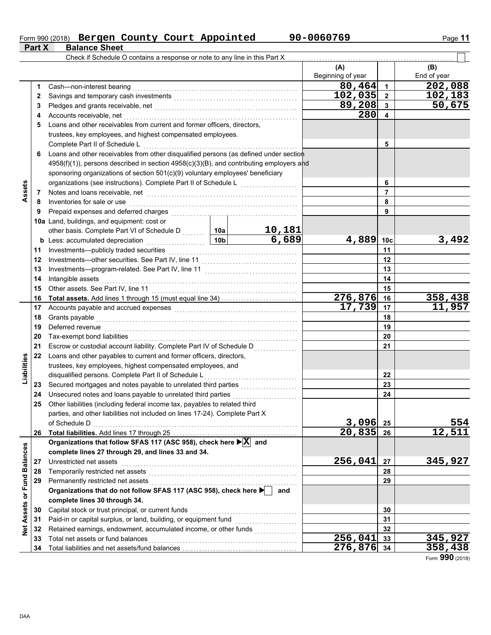#### Form 990 (2018) Bergen County Court Appointed 50-0060769 Page 11 **Bergen County Court Appointed 90-0060769**

**Part X Balance Sheet**

|                             |    | Check if Schedule O contains a response or note to any line in this Part X                            |  |                        |                          |                         |                    |
|-----------------------------|----|-------------------------------------------------------------------------------------------------------|--|------------------------|--------------------------|-------------------------|--------------------|
|                             |    |                                                                                                       |  |                        | (A)<br>Beginning of year |                         | (B)<br>End of year |
|                             | 1  | Cash-non-interest bearing                                                                             |  |                        | 80,464                   | $\mathbf{1}$            | 202,088            |
|                             | 2  |                                                                                                       |  |                        | 102, 035                 | $\overline{2}$          | 102,183            |
|                             | 3  |                                                                                                       |  |                        | 89,208                   | $\mathbf{3}$            | 50,675             |
|                             | 4  |                                                                                                       |  |                        | 280                      | $\overline{\mathbf{4}}$ |                    |
|                             | 5  | Loans and other receivables from current and former officers, directors,                              |  |                        |                          |                         |                    |
|                             |    | trustees, key employees, and highest compensated employees.                                           |  |                        |                          |                         |                    |
|                             |    | Complete Part II of Schedule L                                                                        |  |                        |                          | 5                       |                    |
|                             | 6  | Loans and other receivables from other disqualified persons (as defined under section                 |  |                        |                          |                         |                    |
|                             |    | $4958(f)(1)$ ), persons described in section $4958(c)(3)(B)$ , and contributing employers and         |  |                        |                          |                         |                    |
|                             |    | sponsoring organizations of section 501(c)(9) voluntary employees' beneficiary                        |  |                        |                          |                         |                    |
|                             |    | organizations (see instructions). Complete Part II of Schedule L [ [ [ [ [ [ ] ] [ ] [ ] [ ] [ ] [ ]  |  |                        | 6                        |                         |                    |
| Assets                      |    |                                                                                                       |  |                        |                          | $\overline{7}$          |                    |
|                             | 7  | Inventories for sale or use                                                                           |  |                        |                          | 8                       |                    |
|                             | 8  |                                                                                                       |  |                        |                          | 9                       |                    |
|                             | 9  |                                                                                                       |  |                        |                          |                         |                    |
|                             |    | 10a Land, buildings, and equipment: cost or                                                           |  |                        |                          |                         |                    |
|                             |    | other basis. Complete Part VI of Schedule D  10a                                                      |  | <u>10,181</u><br>6,689 | 4,889 10c                |                         | 3,492              |
|                             |    | <b>b</b> Less: accumulated depreciation <b>container and allegen</b> 10b                              |  |                        |                          |                         |                    |
|                             | 11 |                                                                                                       |  |                        |                          | 11                      |                    |
|                             | 12 |                                                                                                       |  |                        |                          | 12                      |                    |
|                             | 13 |                                                                                                       |  |                        |                          | 13                      |                    |
|                             | 14 | Intangible assets                                                                                     |  | 14                     |                          |                         |                    |
|                             | 15 |                                                                                                       |  |                        |                          | 15                      |                    |
|                             | 16 |                                                                                                       |  |                        | 276,876 16               |                         | 358,438            |
|                             | 17 |                                                                                                       |  |                        | 17,739 17                |                         | 11,957             |
|                             | 18 |                                                                                                       |  |                        |                          | 18                      |                    |
|                             | 19 | Deferred revenue <b>construction and the construction of the construction of the construction</b>     |  |                        |                          | 19                      |                    |
|                             | 20 |                                                                                                       |  |                        | 20                       |                         |                    |
|                             | 21 | Escrow or custodial account liability. Complete Part IV of Schedule D                                 |  |                        |                          | 21                      |                    |
| Liabilities                 | 22 | Loans and other payables to current and former officers, directors,                                   |  |                        |                          |                         |                    |
|                             |    | trustees, key employees, highest compensated employees, and                                           |  |                        |                          |                         |                    |
|                             |    | disqualified persons. Complete Part II of Schedule L                                                  |  |                        |                          | 22                      |                    |
|                             | 23 |                                                                                                       |  |                        |                          | 23                      |                    |
|                             | 24 |                                                                                                       |  |                        |                          | 24                      |                    |
|                             | 25 | Other liabilities (including federal income tax, payables to related third                            |  |                        |                          |                         |                    |
|                             |    | parties, and other liabilities not included on lines 17-24). Complete Part X                          |  |                        |                          |                         |                    |
|                             |    | of Schedule D                                                                                         |  |                        | $3,096$ 25               |                         | 554                |
|                             | 26 |                                                                                                       |  |                        | $20,835$ 26              |                         | 12,511             |
|                             |    | Organizations that follow SFAS 117 (ASC 958), check here $\blacktriangleright$ $\boxed{\text{X}}$ and |  |                        |                          |                         |                    |
|                             |    | complete lines 27 through 29, and lines 33 and 34.                                                    |  |                        |                          |                         |                    |
|                             | 27 | Unrestricted net assets                                                                               |  |                        | 256,041                  | 27                      | 345,927            |
|                             | 28 |                                                                                                       |  |                        |                          | 28                      |                    |
|                             | 29 | Permanently restricted net assets                                                                     |  |                        |                          | 29                      |                    |
|                             |    | Organizations that do not follow SFAS 117 (ASC 958), check here                                       |  | and                    |                          |                         |                    |
|                             |    | complete lines 30 through 34.                                                                         |  |                        |                          |                         |                    |
|                             | 30 | Capital stock or trust principal, or current funds                                                    |  |                        |                          | 30                      |                    |
|                             | 31 | Paid-in or capital surplus, or land, building, or equipment fund [[[[[[[[[[[[[[[[[[[[[[[[[[[[[[[[[[[  |  |                        |                          | 31                      |                    |
| Net Assets or Fund Balances | 32 |                                                                                                       |  |                        |                          | 32                      |                    |
|                             | 33 | Total net assets or fund balances                                                                     |  |                        | 256,041                  | 33                      | 345,927            |
|                             |    |                                                                                                       |  |                        | 276,876 34               |                         | 358,438            |

Form **990** (2018)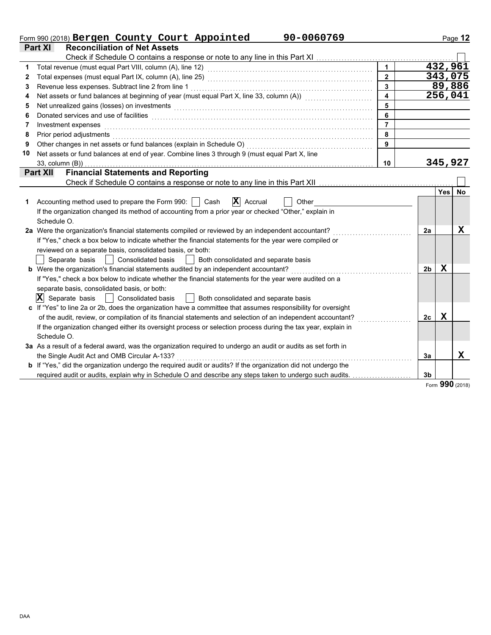| <b>Reconciliation of Net Assets</b><br>Part XI<br>$\overline{1}$<br>432,961<br>1<br>343,075<br>$2^{\circ}$<br>2<br>89,886<br>$\overline{3}$<br>3<br>$\overline{\mathbf{4}}$<br>256,041<br>Net assets or fund balances at beginning of year (must equal Part X, line 33, column (A)) [[[[[[[[[[[[[[[[[[[<br>4<br>5<br>Net unrealized gains (losses) on investments [11] with an intervention of the state of the state of the state of the state of the state of the state of the state of the state of the state of the state of the state of the s<br>5<br>6<br>6<br>$\overline{7}$<br>Investment expenses<br>7<br>8<br>8<br>Prior period adjustments with the contract of the contract of the contract of the contract of the contract of<br>$\overline{9}$<br>9<br>Net assets or fund balances at end of year. Combine lines 3 through 9 (must equal Part X, line<br>10<br>345,927<br>33, column (B))<br>10<br><b>Financial Statements and Reporting</b><br><b>Part XII</b><br>Yes<br><b>No</b><br>$ \mathbf{X} $ Accrual<br>Accounting method used to prepare the Form 990:     Cash<br>Other<br>1<br>If the organization changed its method of accounting from a prior year or checked "Other," explain in<br>Schedule O.<br>$\mathbf x$<br>2a Were the organization's financial statements compiled or reviewed by an independent accountant?<br>2a<br>If "Yes," check a box below to indicate whether the financial statements for the year were compiled or<br>reviewed on a separate basis, consolidated basis, or both:<br>Separate basis<br><b>Consolidated basis</b><br>Both consolidated and separate basis<br>$\sim$ 1 $\sim$ 1<br>X<br><b>b</b> Were the organization's financial statements audited by an independent accountant?<br>2 <sub>b</sub><br>If "Yes," check a box below to indicate whether the financial statements for the year were audited on a<br>separate basis, consolidated basis, or both:<br>$ \mathbf{X} $ Separate basis<br>Consolidated basis<br>    Both consolidated and separate basis<br>c If "Yes" to line 2a or 2b, does the organization have a committee that assumes responsibility for oversight<br>$\mathbf x$<br>of the audit, review, or compilation of its financial statements and selection of an independent accountant?<br>2c<br>If the organization changed either its oversight process or selection process during the tax year, explain in<br>Schedule O.<br>3a As a result of a federal award, was the organization required to undergo an audit or audits as set forth in<br>X<br>the Single Audit Act and OMB Circular A-133?<br>3a<br><b>b</b> If "Yes," did the organization undergo the required audit or audits? If the organization did not undergo the<br>required audit or audits, explain why in Schedule O and describe any steps taken to undergo such audits.<br>3 <sub>b</sub> | 90-0060769<br>Form 990 (2018) Bergen County Court Appointed |  | Page 12 |
|-------------------------------------------------------------------------------------------------------------------------------------------------------------------------------------------------------------------------------------------------------------------------------------------------------------------------------------------------------------------------------------------------------------------------------------------------------------------------------------------------------------------------------------------------------------------------------------------------------------------------------------------------------------------------------------------------------------------------------------------------------------------------------------------------------------------------------------------------------------------------------------------------------------------------------------------------------------------------------------------------------------------------------------------------------------------------------------------------------------------------------------------------------------------------------------------------------------------------------------------------------------------------------------------------------------------------------------------------------------------------------------------------------------------------------------------------------------------------------------------------------------------------------------------------------------------------------------------------------------------------------------------------------------------------------------------------------------------------------------------------------------------------------------------------------------------------------------------------------------------------------------------------------------------------------------------------------------------------------------------------------------------------------------------------------------------------------------------------------------------------------------------------------------------------------------------------------------------------------------------------------------------------------------------------------------------------------------------------------------------------------------------------------------------------------------------------------------------------------------------------------------------------------------------------------------------------------------------------------------------------------------------------------------------------------------------------------------------------------------------------------------------------------------------------------------------------------------------------------------|-------------------------------------------------------------|--|---------|
|                                                                                                                                                                                                                                                                                                                                                                                                                                                                                                                                                                                                                                                                                                                                                                                                                                                                                                                                                                                                                                                                                                                                                                                                                                                                                                                                                                                                                                                                                                                                                                                                                                                                                                                                                                                                                                                                                                                                                                                                                                                                                                                                                                                                                                                                                                                                                                                                                                                                                                                                                                                                                                                                                                                                                                                                                                                             |                                                             |  |         |
|                                                                                                                                                                                                                                                                                                                                                                                                                                                                                                                                                                                                                                                                                                                                                                                                                                                                                                                                                                                                                                                                                                                                                                                                                                                                                                                                                                                                                                                                                                                                                                                                                                                                                                                                                                                                                                                                                                                                                                                                                                                                                                                                                                                                                                                                                                                                                                                                                                                                                                                                                                                                                                                                                                                                                                                                                                                             |                                                             |  |         |
|                                                                                                                                                                                                                                                                                                                                                                                                                                                                                                                                                                                                                                                                                                                                                                                                                                                                                                                                                                                                                                                                                                                                                                                                                                                                                                                                                                                                                                                                                                                                                                                                                                                                                                                                                                                                                                                                                                                                                                                                                                                                                                                                                                                                                                                                                                                                                                                                                                                                                                                                                                                                                                                                                                                                                                                                                                                             |                                                             |  |         |
|                                                                                                                                                                                                                                                                                                                                                                                                                                                                                                                                                                                                                                                                                                                                                                                                                                                                                                                                                                                                                                                                                                                                                                                                                                                                                                                                                                                                                                                                                                                                                                                                                                                                                                                                                                                                                                                                                                                                                                                                                                                                                                                                                                                                                                                                                                                                                                                                                                                                                                                                                                                                                                                                                                                                                                                                                                                             |                                                             |  |         |
|                                                                                                                                                                                                                                                                                                                                                                                                                                                                                                                                                                                                                                                                                                                                                                                                                                                                                                                                                                                                                                                                                                                                                                                                                                                                                                                                                                                                                                                                                                                                                                                                                                                                                                                                                                                                                                                                                                                                                                                                                                                                                                                                                                                                                                                                                                                                                                                                                                                                                                                                                                                                                                                                                                                                                                                                                                                             |                                                             |  |         |
|                                                                                                                                                                                                                                                                                                                                                                                                                                                                                                                                                                                                                                                                                                                                                                                                                                                                                                                                                                                                                                                                                                                                                                                                                                                                                                                                                                                                                                                                                                                                                                                                                                                                                                                                                                                                                                                                                                                                                                                                                                                                                                                                                                                                                                                                                                                                                                                                                                                                                                                                                                                                                                                                                                                                                                                                                                                             |                                                             |  |         |
|                                                                                                                                                                                                                                                                                                                                                                                                                                                                                                                                                                                                                                                                                                                                                                                                                                                                                                                                                                                                                                                                                                                                                                                                                                                                                                                                                                                                                                                                                                                                                                                                                                                                                                                                                                                                                                                                                                                                                                                                                                                                                                                                                                                                                                                                                                                                                                                                                                                                                                                                                                                                                                                                                                                                                                                                                                                             |                                                             |  |         |
|                                                                                                                                                                                                                                                                                                                                                                                                                                                                                                                                                                                                                                                                                                                                                                                                                                                                                                                                                                                                                                                                                                                                                                                                                                                                                                                                                                                                                                                                                                                                                                                                                                                                                                                                                                                                                                                                                                                                                                                                                                                                                                                                                                                                                                                                                                                                                                                                                                                                                                                                                                                                                                                                                                                                                                                                                                                             |                                                             |  |         |
|                                                                                                                                                                                                                                                                                                                                                                                                                                                                                                                                                                                                                                                                                                                                                                                                                                                                                                                                                                                                                                                                                                                                                                                                                                                                                                                                                                                                                                                                                                                                                                                                                                                                                                                                                                                                                                                                                                                                                                                                                                                                                                                                                                                                                                                                                                                                                                                                                                                                                                                                                                                                                                                                                                                                                                                                                                                             |                                                             |  |         |
|                                                                                                                                                                                                                                                                                                                                                                                                                                                                                                                                                                                                                                                                                                                                                                                                                                                                                                                                                                                                                                                                                                                                                                                                                                                                                                                                                                                                                                                                                                                                                                                                                                                                                                                                                                                                                                                                                                                                                                                                                                                                                                                                                                                                                                                                                                                                                                                                                                                                                                                                                                                                                                                                                                                                                                                                                                                             |                                                             |  |         |
|                                                                                                                                                                                                                                                                                                                                                                                                                                                                                                                                                                                                                                                                                                                                                                                                                                                                                                                                                                                                                                                                                                                                                                                                                                                                                                                                                                                                                                                                                                                                                                                                                                                                                                                                                                                                                                                                                                                                                                                                                                                                                                                                                                                                                                                                                                                                                                                                                                                                                                                                                                                                                                                                                                                                                                                                                                                             |                                                             |  |         |
|                                                                                                                                                                                                                                                                                                                                                                                                                                                                                                                                                                                                                                                                                                                                                                                                                                                                                                                                                                                                                                                                                                                                                                                                                                                                                                                                                                                                                                                                                                                                                                                                                                                                                                                                                                                                                                                                                                                                                                                                                                                                                                                                                                                                                                                                                                                                                                                                                                                                                                                                                                                                                                                                                                                                                                                                                                                             |                                                             |  |         |
|                                                                                                                                                                                                                                                                                                                                                                                                                                                                                                                                                                                                                                                                                                                                                                                                                                                                                                                                                                                                                                                                                                                                                                                                                                                                                                                                                                                                                                                                                                                                                                                                                                                                                                                                                                                                                                                                                                                                                                                                                                                                                                                                                                                                                                                                                                                                                                                                                                                                                                                                                                                                                                                                                                                                                                                                                                                             |                                                             |  |         |
|                                                                                                                                                                                                                                                                                                                                                                                                                                                                                                                                                                                                                                                                                                                                                                                                                                                                                                                                                                                                                                                                                                                                                                                                                                                                                                                                                                                                                                                                                                                                                                                                                                                                                                                                                                                                                                                                                                                                                                                                                                                                                                                                                                                                                                                                                                                                                                                                                                                                                                                                                                                                                                                                                                                                                                                                                                                             |                                                             |  |         |
|                                                                                                                                                                                                                                                                                                                                                                                                                                                                                                                                                                                                                                                                                                                                                                                                                                                                                                                                                                                                                                                                                                                                                                                                                                                                                                                                                                                                                                                                                                                                                                                                                                                                                                                                                                                                                                                                                                                                                                                                                                                                                                                                                                                                                                                                                                                                                                                                                                                                                                                                                                                                                                                                                                                                                                                                                                                             |                                                             |  |         |
|                                                                                                                                                                                                                                                                                                                                                                                                                                                                                                                                                                                                                                                                                                                                                                                                                                                                                                                                                                                                                                                                                                                                                                                                                                                                                                                                                                                                                                                                                                                                                                                                                                                                                                                                                                                                                                                                                                                                                                                                                                                                                                                                                                                                                                                                                                                                                                                                                                                                                                                                                                                                                                                                                                                                                                                                                                                             |                                                             |  |         |
|                                                                                                                                                                                                                                                                                                                                                                                                                                                                                                                                                                                                                                                                                                                                                                                                                                                                                                                                                                                                                                                                                                                                                                                                                                                                                                                                                                                                                                                                                                                                                                                                                                                                                                                                                                                                                                                                                                                                                                                                                                                                                                                                                                                                                                                                                                                                                                                                                                                                                                                                                                                                                                                                                                                                                                                                                                                             |                                                             |  |         |
|                                                                                                                                                                                                                                                                                                                                                                                                                                                                                                                                                                                                                                                                                                                                                                                                                                                                                                                                                                                                                                                                                                                                                                                                                                                                                                                                                                                                                                                                                                                                                                                                                                                                                                                                                                                                                                                                                                                                                                                                                                                                                                                                                                                                                                                                                                                                                                                                                                                                                                                                                                                                                                                                                                                                                                                                                                                             |                                                             |  |         |
|                                                                                                                                                                                                                                                                                                                                                                                                                                                                                                                                                                                                                                                                                                                                                                                                                                                                                                                                                                                                                                                                                                                                                                                                                                                                                                                                                                                                                                                                                                                                                                                                                                                                                                                                                                                                                                                                                                                                                                                                                                                                                                                                                                                                                                                                                                                                                                                                                                                                                                                                                                                                                                                                                                                                                                                                                                                             |                                                             |  |         |
|                                                                                                                                                                                                                                                                                                                                                                                                                                                                                                                                                                                                                                                                                                                                                                                                                                                                                                                                                                                                                                                                                                                                                                                                                                                                                                                                                                                                                                                                                                                                                                                                                                                                                                                                                                                                                                                                                                                                                                                                                                                                                                                                                                                                                                                                                                                                                                                                                                                                                                                                                                                                                                                                                                                                                                                                                                                             |                                                             |  |         |
|                                                                                                                                                                                                                                                                                                                                                                                                                                                                                                                                                                                                                                                                                                                                                                                                                                                                                                                                                                                                                                                                                                                                                                                                                                                                                                                                                                                                                                                                                                                                                                                                                                                                                                                                                                                                                                                                                                                                                                                                                                                                                                                                                                                                                                                                                                                                                                                                                                                                                                                                                                                                                                                                                                                                                                                                                                                             |                                                             |  |         |
|                                                                                                                                                                                                                                                                                                                                                                                                                                                                                                                                                                                                                                                                                                                                                                                                                                                                                                                                                                                                                                                                                                                                                                                                                                                                                                                                                                                                                                                                                                                                                                                                                                                                                                                                                                                                                                                                                                                                                                                                                                                                                                                                                                                                                                                                                                                                                                                                                                                                                                                                                                                                                                                                                                                                                                                                                                                             |                                                             |  |         |
|                                                                                                                                                                                                                                                                                                                                                                                                                                                                                                                                                                                                                                                                                                                                                                                                                                                                                                                                                                                                                                                                                                                                                                                                                                                                                                                                                                                                                                                                                                                                                                                                                                                                                                                                                                                                                                                                                                                                                                                                                                                                                                                                                                                                                                                                                                                                                                                                                                                                                                                                                                                                                                                                                                                                                                                                                                                             |                                                             |  |         |
|                                                                                                                                                                                                                                                                                                                                                                                                                                                                                                                                                                                                                                                                                                                                                                                                                                                                                                                                                                                                                                                                                                                                                                                                                                                                                                                                                                                                                                                                                                                                                                                                                                                                                                                                                                                                                                                                                                                                                                                                                                                                                                                                                                                                                                                                                                                                                                                                                                                                                                                                                                                                                                                                                                                                                                                                                                                             |                                                             |  |         |
|                                                                                                                                                                                                                                                                                                                                                                                                                                                                                                                                                                                                                                                                                                                                                                                                                                                                                                                                                                                                                                                                                                                                                                                                                                                                                                                                                                                                                                                                                                                                                                                                                                                                                                                                                                                                                                                                                                                                                                                                                                                                                                                                                                                                                                                                                                                                                                                                                                                                                                                                                                                                                                                                                                                                                                                                                                                             |                                                             |  |         |
|                                                                                                                                                                                                                                                                                                                                                                                                                                                                                                                                                                                                                                                                                                                                                                                                                                                                                                                                                                                                                                                                                                                                                                                                                                                                                                                                                                                                                                                                                                                                                                                                                                                                                                                                                                                                                                                                                                                                                                                                                                                                                                                                                                                                                                                                                                                                                                                                                                                                                                                                                                                                                                                                                                                                                                                                                                                             |                                                             |  |         |
|                                                                                                                                                                                                                                                                                                                                                                                                                                                                                                                                                                                                                                                                                                                                                                                                                                                                                                                                                                                                                                                                                                                                                                                                                                                                                                                                                                                                                                                                                                                                                                                                                                                                                                                                                                                                                                                                                                                                                                                                                                                                                                                                                                                                                                                                                                                                                                                                                                                                                                                                                                                                                                                                                                                                                                                                                                                             |                                                             |  |         |
|                                                                                                                                                                                                                                                                                                                                                                                                                                                                                                                                                                                                                                                                                                                                                                                                                                                                                                                                                                                                                                                                                                                                                                                                                                                                                                                                                                                                                                                                                                                                                                                                                                                                                                                                                                                                                                                                                                                                                                                                                                                                                                                                                                                                                                                                                                                                                                                                                                                                                                                                                                                                                                                                                                                                                                                                                                                             |                                                             |  |         |
|                                                                                                                                                                                                                                                                                                                                                                                                                                                                                                                                                                                                                                                                                                                                                                                                                                                                                                                                                                                                                                                                                                                                                                                                                                                                                                                                                                                                                                                                                                                                                                                                                                                                                                                                                                                                                                                                                                                                                                                                                                                                                                                                                                                                                                                                                                                                                                                                                                                                                                                                                                                                                                                                                                                                                                                                                                                             |                                                             |  |         |
|                                                                                                                                                                                                                                                                                                                                                                                                                                                                                                                                                                                                                                                                                                                                                                                                                                                                                                                                                                                                                                                                                                                                                                                                                                                                                                                                                                                                                                                                                                                                                                                                                                                                                                                                                                                                                                                                                                                                                                                                                                                                                                                                                                                                                                                                                                                                                                                                                                                                                                                                                                                                                                                                                                                                                                                                                                                             |                                                             |  |         |
|                                                                                                                                                                                                                                                                                                                                                                                                                                                                                                                                                                                                                                                                                                                                                                                                                                                                                                                                                                                                                                                                                                                                                                                                                                                                                                                                                                                                                                                                                                                                                                                                                                                                                                                                                                                                                                                                                                                                                                                                                                                                                                                                                                                                                                                                                                                                                                                                                                                                                                                                                                                                                                                                                                                                                                                                                                                             |                                                             |  |         |
|                                                                                                                                                                                                                                                                                                                                                                                                                                                                                                                                                                                                                                                                                                                                                                                                                                                                                                                                                                                                                                                                                                                                                                                                                                                                                                                                                                                                                                                                                                                                                                                                                                                                                                                                                                                                                                                                                                                                                                                                                                                                                                                                                                                                                                                                                                                                                                                                                                                                                                                                                                                                                                                                                                                                                                                                                                                             |                                                             |  |         |
|                                                                                                                                                                                                                                                                                                                                                                                                                                                                                                                                                                                                                                                                                                                                                                                                                                                                                                                                                                                                                                                                                                                                                                                                                                                                                                                                                                                                                                                                                                                                                                                                                                                                                                                                                                                                                                                                                                                                                                                                                                                                                                                                                                                                                                                                                                                                                                                                                                                                                                                                                                                                                                                                                                                                                                                                                                                             |                                                             |  |         |
|                                                                                                                                                                                                                                                                                                                                                                                                                                                                                                                                                                                                                                                                                                                                                                                                                                                                                                                                                                                                                                                                                                                                                                                                                                                                                                                                                                                                                                                                                                                                                                                                                                                                                                                                                                                                                                                                                                                                                                                                                                                                                                                                                                                                                                                                                                                                                                                                                                                                                                                                                                                                                                                                                                                                                                                                                                                             |                                                             |  |         |
|                                                                                                                                                                                                                                                                                                                                                                                                                                                                                                                                                                                                                                                                                                                                                                                                                                                                                                                                                                                                                                                                                                                                                                                                                                                                                                                                                                                                                                                                                                                                                                                                                                                                                                                                                                                                                                                                                                                                                                                                                                                                                                                                                                                                                                                                                                                                                                                                                                                                                                                                                                                                                                                                                                                                                                                                                                                             |                                                             |  |         |

Form **990** (2018)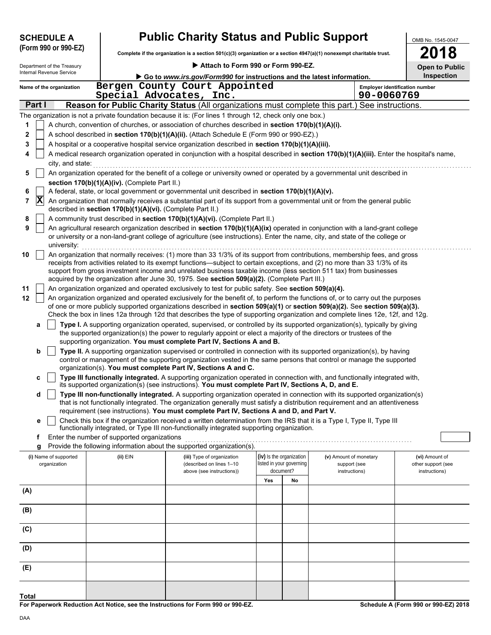|                     | <b>SCHEDULE A</b>                                                                                                                                                                                                                                |                                                            | <b>Public Charity Status and Public Support</b>                                                                                                                                                                                                           |     |                                                      |                                        | OMB No. 1545-0047                          |
|---------------------|--------------------------------------------------------------------------------------------------------------------------------------------------------------------------------------------------------------------------------------------------|------------------------------------------------------------|-----------------------------------------------------------------------------------------------------------------------------------------------------------------------------------------------------------------------------------------------------------|-----|------------------------------------------------------|----------------------------------------|--------------------------------------------|
|                     | (Form 990 or 990-EZ)                                                                                                                                                                                                                             |                                                            | Complete if the organization is a section 501(c)(3) organization or a section 4947(a)(1) nonexempt charitable trust.                                                                                                                                      |     |                                                      |                                        | 2018                                       |
|                     | Department of the Treasury                                                                                                                                                                                                                       |                                                            | Attach to Form 990 or Form 990-EZ.                                                                                                                                                                                                                        |     |                                                      |                                        |                                            |
|                     | Internal Revenue Service                                                                                                                                                                                                                         |                                                            | Go to www.irs.gov/Form990 for instructions and the latest information.                                                                                                                                                                                    |     |                                                      |                                        | <b>Open to Public</b><br><b>Inspection</b> |
|                     | Name of the organization                                                                                                                                                                                                                         |                                                            | Bergen County Court Appointed                                                                                                                                                                                                                             |     |                                                      |                                        | <b>Employer identification number</b>      |
|                     |                                                                                                                                                                                                                                                  |                                                            | Special Advocates, Inc.                                                                                                                                                                                                                                   |     |                                                      | 90-0060769                             |                                            |
| Part I              |                                                                                                                                                                                                                                                  |                                                            | Reason for Public Charity Status (All organizations must complete this part.) See instructions.                                                                                                                                                           |     |                                                      |                                        |                                            |
|                     |                                                                                                                                                                                                                                                  |                                                            | The organization is not a private foundation because it is: (For lines 1 through 12, check only one box.)                                                                                                                                                 |     |                                                      |                                        |                                            |
| 1                   |                                                                                                                                                                                                                                                  |                                                            | A church, convention of churches, or association of churches described in section 170(b)(1)(A)(i).                                                                                                                                                        |     |                                                      |                                        |                                            |
| 2                   |                                                                                                                                                                                                                                                  |                                                            | A school described in section 170(b)(1)(A)(ii). (Attach Schedule E (Form 990 or 990-EZ).)                                                                                                                                                                 |     |                                                      |                                        |                                            |
| 3                   |                                                                                                                                                                                                                                                  |                                                            | A hospital or a cooperative hospital service organization described in section 170(b)(1)(A)(iii).<br>A medical research organization operated in conjunction with a hospital described in section 170(b)(1)(A)(iii). Enter the hospital's name,           |     |                                                      |                                        |                                            |
|                     | city, and state:                                                                                                                                                                                                                                 |                                                            |                                                                                                                                                                                                                                                           |     |                                                      |                                        |                                            |
| 5                   |                                                                                                                                                                                                                                                  |                                                            | An organization operated for the benefit of a college or university owned or operated by a governmental unit described in                                                                                                                                 |     |                                                      |                                        |                                            |
|                     |                                                                                                                                                                                                                                                  | section 170(b)(1)(A)(iv). (Complete Part II.)              |                                                                                                                                                                                                                                                           |     |                                                      |                                        |                                            |
| 6                   |                                                                                                                                                                                                                                                  |                                                            | A federal, state, or local government or governmental unit described in section 170(b)(1)(A)(v).                                                                                                                                                          |     |                                                      |                                        |                                            |
| $ \mathbf{X} $<br>7 |                                                                                                                                                                                                                                                  | described in section 170(b)(1)(A)(vi). (Complete Part II.) | An organization that normally receives a substantial part of its support from a governmental unit or from the general public                                                                                                                              |     |                                                      |                                        |                                            |
| 8<br>9              |                                                                                                                                                                                                                                                  |                                                            | A community trust described in section 170(b)(1)(A)(vi). (Complete Part II.)<br>An agricultural research organization described in section 170(b)(1)(A)(ix) operated in conjunction with a land-grant college                                             |     |                                                      |                                        |                                            |
|                     | university:                                                                                                                                                                                                                                      |                                                            | or university or a non-land-grant college of agriculture (see instructions). Enter the name, city, and state of the college or                                                                                                                            |     |                                                      |                                        |                                            |
| 10                  |                                                                                                                                                                                                                                                  |                                                            | An organization that normally receives: (1) more than 33 1/3% of its support from contributions, membership fees, and gross                                                                                                                               |     |                                                      |                                        |                                            |
|                     | receipts from activities related to its exempt functions—subject to certain exceptions, and (2) no more than 33 1/3% of its<br>support from gross investment income and unrelated business taxable income (less section 511 tax) from businesses |                                                            |                                                                                                                                                                                                                                                           |     |                                                      |                                        |                                            |
|                     |                                                                                                                                                                                                                                                  |                                                            | acquired by the organization after June 30, 1975. See section 509(a)(2). (Complete Part III.)                                                                                                                                                             |     |                                                      |                                        |                                            |
| 11<br>12            |                                                                                                                                                                                                                                                  |                                                            | An organization organized and operated exclusively to test for public safety. See section 509(a)(4).<br>An organization organized and operated exclusively for the benefit of, to perform the functions of, or to carry out the purposes                  |     |                                                      |                                        |                                            |
|                     |                                                                                                                                                                                                                                                  |                                                            | of one or more publicly supported organizations described in section 509(a)(1) or section 509(a)(2). See section 509(a)(3).                                                                                                                               |     |                                                      |                                        |                                            |
|                     |                                                                                                                                                                                                                                                  |                                                            | Check the box in lines 12a through 12d that describes the type of supporting organization and complete lines 12e, 12f, and 12g.                                                                                                                           |     |                                                      |                                        |                                            |
| а                   |                                                                                                                                                                                                                                                  |                                                            | Type I. A supporting organization operated, supervised, or controlled by its supported organization(s), typically by giving<br>the supported organization(s) the power to regularly appoint or elect a majority of the directors or trustees of the       |     |                                                      |                                        |                                            |
| b                   |                                                                                                                                                                                                                                                  |                                                            | supporting organization. You must complete Part IV, Sections A and B.<br>Type II. A supporting organization supervised or controlled in connection with its supported organization(s), by having                                                          |     |                                                      |                                        |                                            |
|                     |                                                                                                                                                                                                                                                  |                                                            | control or management of the supporting organization vested in the same persons that control or manage the supported<br>organization(s). You must complete Part IV, Sections A and C.                                                                     |     |                                                      |                                        |                                            |
| c                   |                                                                                                                                                                                                                                                  |                                                            | Type III functionally integrated. A supporting organization operated in connection with, and functionally integrated with,                                                                                                                                |     |                                                      |                                        |                                            |
|                     |                                                                                                                                                                                                                                                  |                                                            | its supported organization(s) (see instructions). You must complete Part IV, Sections A, D, and E.                                                                                                                                                        |     |                                                      |                                        |                                            |
| d                   |                                                                                                                                                                                                                                                  |                                                            | Type III non-functionally integrated. A supporting organization operated in connection with its supported organization(s)<br>that is not functionally integrated. The organization generally must satisfy a distribution requirement and an attentiveness |     |                                                      |                                        |                                            |
|                     |                                                                                                                                                                                                                                                  |                                                            | requirement (see instructions). You must complete Part IV, Sections A and D, and Part V.                                                                                                                                                                  |     |                                                      |                                        |                                            |
| е                   |                                                                                                                                                                                                                                                  |                                                            | Check this box if the organization received a written determination from the IRS that it is a Type I, Type II, Type III                                                                                                                                   |     |                                                      |                                        |                                            |
| f                   |                                                                                                                                                                                                                                                  | Enter the number of supported organizations                | functionally integrated, or Type III non-functionally integrated supporting organization.                                                                                                                                                                 |     |                                                      |                                        |                                            |
| g                   |                                                                                                                                                                                                                                                  |                                                            | Provide the following information about the supported organization(s).                                                                                                                                                                                    |     |                                                      |                                        |                                            |
|                     | (i) Name of supported<br>organization                                                                                                                                                                                                            | (ii) EIN                                                   | (iii) Type of organization<br>(described on lines 1-10                                                                                                                                                                                                    |     | (iv) Is the organization<br>listed in your governing | (v) Amount of monetary<br>support (see | (vi) Amount of<br>other support (see       |
|                     |                                                                                                                                                                                                                                                  |                                                            | above (see instructions))                                                                                                                                                                                                                                 | Yes | document?<br>No                                      | instructions)                          | instructions)                              |
| (A)                 |                                                                                                                                                                                                                                                  |                                                            |                                                                                                                                                                                                                                                           |     |                                                      |                                        |                                            |
| (B)                 |                                                                                                                                                                                                                                                  |                                                            |                                                                                                                                                                                                                                                           |     |                                                      |                                        |                                            |
| (C)                 |                                                                                                                                                                                                                                                  |                                                            |                                                                                                                                                                                                                                                           |     |                                                      |                                        |                                            |
| (D)                 |                                                                                                                                                                                                                                                  |                                                            |                                                                                                                                                                                                                                                           |     |                                                      |                                        |                                            |
| (E)                 |                                                                                                                                                                                                                                                  |                                                            |                                                                                                                                                                                                                                                           |     |                                                      |                                        |                                            |
|                     |                                                                                                                                                                                                                                                  |                                                            |                                                                                                                                                                                                                                                           |     |                                                      |                                        |                                            |
| Total               |                                                                                                                                                                                                                                                  |                                                            |                                                                                                                                                                                                                                                           |     |                                                      |                                        |                                            |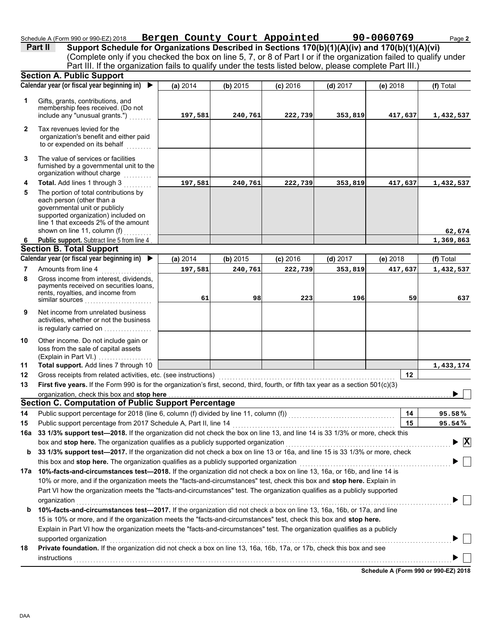#### Schedule A (Form 990 or 990-EZ) 2018 **Bergen County Court Appointed 90-0060769** Page 2 **Bergen County Court Appointed 90-0060769**

(Complete only if you checked the box on line 5, 7, or 8 of Part I or if the organization failed to qualify under **Part II Support Schedule for Organizations Described in Sections 170(b)(1)(A)(iv) and 170(b)(1)(A)(vi)** Part III. If the organization fails to qualify under the tests listed below, please complete Part III.)

|              | <b>Section A. Public Support</b>                                                                                                                                                                                   |          |          |            |            |          |                                             |
|--------------|--------------------------------------------------------------------------------------------------------------------------------------------------------------------------------------------------------------------|----------|----------|------------|------------|----------|---------------------------------------------|
|              | Calendar year (or fiscal year beginning in)<br>▶                                                                                                                                                                   | (a) 2014 | (b) 2015 | $(c)$ 2016 | $(d)$ 2017 | (e) 2018 | (f) Total                                   |
| 1            | Gifts, grants, contributions, and<br>membership fees received. (Do not<br>include any "unusual grants.")                                                                                                           | 197,581  | 240,761  | 222,739    | 353,819    | 417,637  | 1,432,537                                   |
| $\mathbf{2}$ | Tax revenues levied for the<br>organization's benefit and either paid<br>to or expended on its behalf                                                                                                              |          |          |            |            |          |                                             |
| 3            | The value of services or facilities<br>furnished by a governmental unit to the<br>organization without charge                                                                                                      |          |          |            |            |          |                                             |
| 4            | Total. Add lines 1 through 3                                                                                                                                                                                       | 197,581  | 240,761  | 222,739    | 353,819    | 417,637  | 1,432,537                                   |
| 5            | The portion of total contributions by<br>each person (other than a<br>governmental unit or publicly<br>supported organization) included on<br>line 1 that exceeds 2% of the amount<br>shown on line 11, column (f) |          |          |            |            |          | 62,674                                      |
| 6            | Public support. Subtract line 5 from line 4                                                                                                                                                                        |          |          |            |            |          | 1,369,863                                   |
|              | <b>Section B. Total Support</b>                                                                                                                                                                                    |          |          |            |            |          |                                             |
|              | Calendar year (or fiscal year beginning in)<br>▶                                                                                                                                                                   | (a) 2014 | (b) 2015 | $(c)$ 2016 | $(d)$ 2017 | (e) 2018 | (f) Total                                   |
| 7            | Amounts from line 4                                                                                                                                                                                                | 197,581  | 240,761  | 222,739    | 353,819    | 417,637  | 1,432,537                                   |
| 8            | Gross income from interest, dividends,<br>payments received on securities loans,<br>rents, royalties, and income from<br>similar sources                                                                           | 61       | 98       | 223        | 196        | 59       | 637                                         |
| 9            | Net income from unrelated business<br>activities, whether or not the business<br>is regularly carried on                                                                                                           |          |          |            |            |          |                                             |
| 10           | Other income. Do not include gain or<br>loss from the sale of capital assets<br>(Explain in Part VI.)                                                                                                              |          |          |            |            |          |                                             |
| 11           | Total support. Add lines 7 through 10                                                                                                                                                                              |          |          |            |            |          | 1,433,174                                   |
| 12           | Gross receipts from related activities, etc. (see instructions)                                                                                                                                                    |          |          |            |            | 12       |                                             |
| 13           | First five years. If the Form 990 is for the organization's first, second, third, fourth, or fifth tax year as a section 501(c)(3)                                                                                 |          |          |            |            |          |                                             |
|              | organization, check this box and stop here                                                                                                                                                                         |          |          |            |            |          |                                             |
|              | Section C. Computation of Public Support Percentage                                                                                                                                                                |          |          |            |            |          |                                             |
| 14           | Public support percentage for 2018 (line 6, column (f) divided by line 11, column (f)) [[[[[[[[[[[[[[[[[[[[[[                                                                                                      |          |          |            |            | 14       | 95.58%                                      |
| 15           | Public support percentage from 2017 Schedule A, Part II, line 14                                                                                                                                                   |          |          |            |            | 15       | 95.54%                                      |
|              | 16a 33 1/3% support test-2018. If the organization did not check the box on line 13, and line 14 is 33 1/3% or more, check this                                                                                    |          |          |            |            |          |                                             |
|              | box and stop here. The organization qualifies as a publicly supported organization                                                                                                                                 |          |          |            |            |          | $\blacktriangleright \overline{\mathbf{X}}$ |
| b            | 33 1/3% support test-2017. If the organization did not check a box on line 13 or 16a, and line 15 is 33 1/3% or more, check                                                                                        |          |          |            |            |          |                                             |
|              | this box and stop here. The organization qualifies as a publicly supported organization                                                                                                                            |          |          |            |            |          |                                             |
|              | 17a 10%-facts-and-circumstances test-2018. If the organization did not check a box on line 13, 16a, or 16b, and line 14 is                                                                                         |          |          |            |            |          |                                             |
|              | 10% or more, and if the organization meets the "facts-and-circumstances" test, check this box and stop here. Explain in                                                                                            |          |          |            |            |          |                                             |
|              | Part VI how the organization meets the "facts-and-circumstances" test. The organization qualifies as a publicly supported                                                                                          |          |          |            |            |          |                                             |
|              | organization                                                                                                                                                                                                       |          |          |            |            |          |                                             |
| b            | 10%-facts-and-circumstances test-2017. If the organization did not check a box on line 13, 16a, 16b, or 17a, and line                                                                                              |          |          |            |            |          |                                             |
|              | 15 is 10% or more, and if the organization meets the "facts-and-circumstances" test, check this box and stop here.                                                                                                 |          |          |            |            |          |                                             |
|              | Explain in Part VI how the organization meets the "facts-and-circumstances" test. The organization qualifies as a publicly                                                                                         |          |          |            |            |          |                                             |
|              | supported organization                                                                                                                                                                                             |          |          |            |            |          |                                             |
| 18           | Private foundation. If the organization did not check a box on line 13, 16a, 16b, 17a, or 17b, check this box and see                                                                                              |          |          |            |            |          |                                             |
|              | instructions                                                                                                                                                                                                       |          |          |            |            |          |                                             |
|              |                                                                                                                                                                                                                    |          |          |            |            |          |                                             |

**Schedule A (Form 990 or 990-EZ) 2018**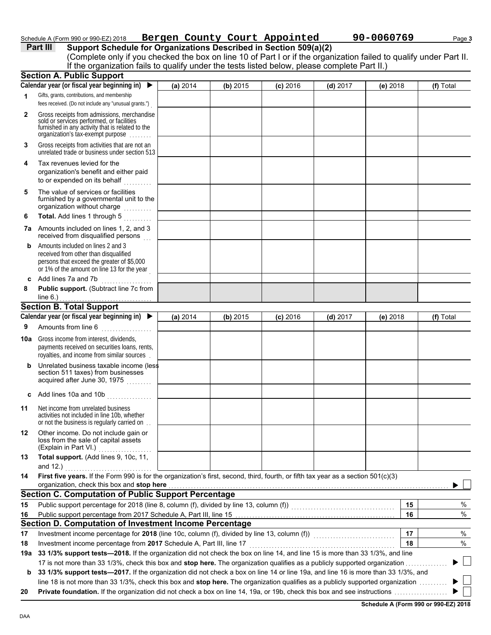# Schedule A (Form 990 or 990-EZ) 2018 **Bergen County Court Appointed 90-0060769** Page 3

**Part III Support Schedule for Organizations Described in Section 509(a)(2)** (Complete only if you checked the box on line 10 of Part I or if the organization failed to qualify under Part II. **Section A. Public Support** If the organization fails to qualify under the tests listed below, please complete Part II.)

|              | Secuon A. Public Support                                                                                                                                                          |          |          |            |            |            |    |           |
|--------------|-----------------------------------------------------------------------------------------------------------------------------------------------------------------------------------|----------|----------|------------|------------|------------|----|-----------|
|              | Calendar year (or fiscal year beginning in) ▶                                                                                                                                     | (a) 2014 | (b) 2015 | $(c)$ 2016 | $(d)$ 2017 | $(e)$ 2018 |    | (f) Total |
| 1            | Gifts, grants, contributions, and membership<br>fees received. (Do not include any "unusual grants.")                                                                             |          |          |            |            |            |    |           |
| $\mathbf{2}$ | Gross receipts from admissions, merchandise<br>sold or services performed, or facilities<br>furnished in any activity that is related to the<br>organization's tax-exempt purpose |          |          |            |            |            |    |           |
| 3            | Gross receipts from activities that are not an<br>unrelated trade or business under section 513                                                                                   |          |          |            |            |            |    |           |
| 4            | Tax revenues levied for the<br>organization's benefit and either paid<br>to or expended on its behalf<br>a sa sala sa S                                                           |          |          |            |            |            |    |           |
| 5            | The value of services or facilities<br>furnished by a governmental unit to the<br>organization without charge<br>.                                                                |          |          |            |            |            |    |           |
| 6            | Total. Add lines 1 through 5                                                                                                                                                      |          |          |            |            |            |    |           |
| 7a           | Amounts included on lines 1, 2, and 3<br>received from disqualified persons                                                                                                       |          |          |            |            |            |    |           |
| b            | Amounts included on lines 2 and 3<br>received from other than disqualified<br>persons that exceed the greater of \$5,000<br>or 1% of the amount on line 13 for the year           |          |          |            |            |            |    |           |
| C            | Add lines 7a and 7b<br><u>.</u>                                                                                                                                                   |          |          |            |            |            |    |           |
| 8            | Public support. (Subtract line 7c from<br>line $6.$ )                                                                                                                             |          |          |            |            |            |    |           |
|              | <b>Section B. Total Support</b>                                                                                                                                                   |          |          |            |            |            |    |           |
|              | Calendar year (or fiscal year beginning in) ▶                                                                                                                                     | (a) 2014 | (b) 2015 | $(c)$ 2016 | $(d)$ 2017 | $(e)$ 2018 |    | (f) Total |
| 9            | Amounts from line 6<br>.                                                                                                                                                          |          |          |            |            |            |    |           |
| 10a          | Gross income from interest, dividends,<br>payments received on securities loans, rents,<br>royalties, and income from similar sources                                             |          |          |            |            |            |    |           |
| b            | Unrelated business taxable income (less<br>section 511 taxes) from businesses<br>acquired after June 30, 1975                                                                     |          |          |            |            |            |    |           |
| c            | Add lines 10a and 10b                                                                                                                                                             |          |          |            |            |            |    |           |
| 11           | Net income from unrelated business<br>activities not included in line 10b, whether<br>or not the business is regularly carried on                                                 |          |          |            |            |            |    |           |
| 12           | Other income. Do not include gain or<br>loss from the sale of capital assets<br>(Explain in Part VI.)                                                                             |          |          |            |            |            |    |           |
| 13           | Total support. (Add lines 9, 10c, 11,<br>and $12.$ )                                                                                                                              |          |          |            |            |            |    |           |
| 14           | First five years. If the Form 990 is for the organization's first, second, third, fourth, or fifth tax year as a section 501(c)(3)                                                |          |          |            |            |            |    |           |
|              | organization, check this box and stop here                                                                                                                                        |          |          |            |            |            |    |           |
|              | <b>Section C. Computation of Public Support Percentage</b>                                                                                                                        |          |          |            |            |            |    |           |
| 15           |                                                                                                                                                                                   |          |          |            |            |            | 15 | %         |
| 16           |                                                                                                                                                                                   |          |          |            |            |            | 16 | $\%$      |
|              | Section D. Computation of Investment Income Percentage                                                                                                                            |          |          |            |            |            |    |           |
| 17           | Investment income percentage for 2018 (line 10c, column (f), divided by line 13, column (f)) [[[[[[[[[[[[[[[[                                                                     |          |          |            |            |            | 17 | %         |
| 18           | Investment income percentage from 2017 Schedule A, Part III, line 17                                                                                                              |          |          |            |            |            | 18 | %         |
| 19a          | 33 1/3% support tests-2018. If the organization did not check the box on line 14, and line 15 is more than 33 1/3%, and line                                                      |          |          |            |            |            |    |           |
|              | 17 is not more than 33 1/3%, check this box and stop here. The organization qualifies as a publicly supported organization                                                        |          |          |            |            |            |    |           |
| b            | 33 1/3% support tests-2017. If the organization did not check a box on line 14 or line 19a, and line 16 is more than 33 1/3%, and                                                 |          |          |            |            |            |    |           |
|              | line 18 is not more than 33 1/3%, check this box and stop here. The organization qualifies as a publicly supported organization                                                   |          |          |            |            |            |    |           |
| 20           |                                                                                                                                                                                   |          |          |            |            |            |    |           |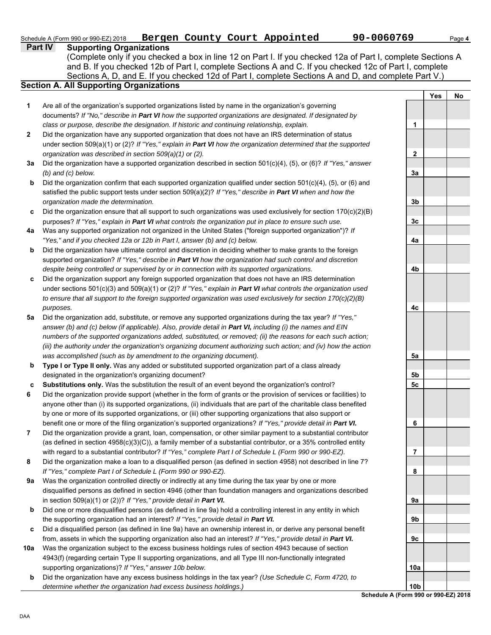**Yes No**

**1**

**2**

**3a**

**Part IV Supporting Organizations** Sections A, D, and E. If you checked 12d of Part I, complete Sections A and D, and complete Part V.) Schedule A (Form 990 or 990-EZ) 2018 **Bergen County Court Appointed 90-0060769** Page 4 **Section A. All Supporting Organizations** (Complete only if you checked a box in line 12 on Part I. If you checked 12a of Part I, complete Sections A and B. If you checked 12b of Part I, complete Sections A and C. If you checked 12c of Part I, complete Are all of the organization's supported organizations listed by name in the organization's governing documents? *If "No," describe in Part VI how the supported organizations are designated. If designated by class or purpose, describe the designation. If historic and continuing relationship, explain.* Did the organization have any supported organization that does not have an IRS determination of status under section 509(a)(1) or (2)? *If "Yes," explain in Part VI how the organization determined that the supported organization was described in section 509(a)(1) or (2).* **3a** Did the organization have a supported organization described in section 501(c)(4), (5), or (6)? *If "Yes," answer* **b c 4a b c 5a** Did the organization add, substitute, or remove any supported organizations during the tax year? *If "Yes,"* **b c 9a** Was the organization controlled directly or indirectly at any time during the tax year by one or more **b c 10a** Was the organization subject to the excess business holdings rules of section 4943 because of section *(b) and (c) below.* Did the organization confirm that each supported organization qualified under section  $501(c)(4)$ ,  $(5)$ , or  $(6)$  and satisfied the public support tests under section 509(a)(2)? *If "Yes," describe in Part VI when and how the organization made the determination.* Did the organization ensure that all support to such organizations was used exclusively for section  $170(c)(2)(B)$ purposes? *If "Yes," explain in Part VI what controls the organization put in place to ensure such use.* Was any supported organization not organized in the United States ("foreign supported organization")? *If "Yes," and if you checked 12a or 12b in Part I, answer (b) and (c) below.* Did the organization have ultimate control and discretion in deciding whether to make grants to the foreign supported organization? *If "Yes," describe in Part VI how the organization had such control and discretion despite being controlled or supervised by or in connection with its supported organizations.* Did the organization support any foreign supported organization that does not have an IRS determination under sections 501(c)(3) and 509(a)(1) or (2)? *If "Yes," explain in Part VI what controls the organization used to ensure that all support to the foreign supported organization was used exclusively for section 170(c)(2)(B) purposes. answer (b) and (c) below (if applicable). Also, provide detail in Part VI, including (i) the names and EIN numbers of the supported organizations added, substituted, or removed; (ii) the reasons for each such action; (iii) the authority under the organization's organizing document authorizing such action; and (iv) how the action was accomplished (such as by amendment to the organizing document).* **Type I or Type II only.** Was any added or substituted supported organization part of a class already designated in the organization's organizing document? **Substitutions only.** Was the substitution the result of an event beyond the organization's control? Did the organization provide support (whether in the form of grants or the provision of services or facilities) to anyone other than (i) its supported organizations, (ii) individuals that are part of the charitable class benefited by one or more of its supported organizations, or (iii) other supporting organizations that also support or benefit one or more of the filing organization's supported organizations? *If "Yes," provide detail in Part VI.* Did the organization provide a grant, loan, compensation, or other similar payment to a substantial contributor (as defined in section 4958(c)(3)(C)), a family member of a substantial contributor, or a 35% controlled entity with regard to a substantial contributor? *If "Yes," complete Part I of Schedule L (Form 990 or 990-EZ).* Did the organization make a loan to a disqualified person (as defined in section 4958) not described in line 7? *If "Yes," complete Part I of Schedule L (Form 990 or 990-EZ).* disqualified persons as defined in section 4946 (other than foundation managers and organizations described in section 509(a)(1) or (2))? *If "Yes," provide detail in Part VI.* Did one or more disqualified persons (as defined in line 9a) hold a controlling interest in any entity in which the supporting organization had an interest? *If "Yes," provide detail in Part VI.* Did a disqualified person (as defined in line 9a) have an ownership interest in, or derive any personal benefit from, assets in which the supporting organization also had an interest? *If "Yes," provide detail in Part VI.* 4943(f) (regarding certain Type II supporting organizations, and all Type III non-functionally integrated supporting organizations)? *If "Yes," answer 10b below.*

**b** Did the organization have any excess business holdings in the tax year? *(Use Schedule C, Form 4720, to determine whether the organization had excess business holdings.)*

| 3 <sub>b</sub> |  |
|----------------|--|
|                |  |
| 3 <sub>c</sub> |  |
|                |  |
| 4a             |  |
|                |  |
|                |  |
| 4b             |  |
|                |  |
|                |  |
|                |  |
|                |  |
| 4c             |  |
|                |  |
|                |  |
|                |  |
|                |  |
| 5a             |  |
|                |  |
| 5b             |  |
| 5c             |  |
|                |  |
|                |  |
|                |  |
| 6              |  |
|                |  |
|                |  |
| 7              |  |
|                |  |
| 8              |  |
|                |  |
|                |  |
| 9а             |  |
|                |  |
| 9b             |  |
|                |  |
| 9c             |  |
|                |  |
|                |  |
| 10a            |  |
|                |  |
|                |  |
|                |  |
|                |  |
|                |  |
|                |  |

**Schedule A (Form** 

**6**

**7**

**8**

**1**

**2**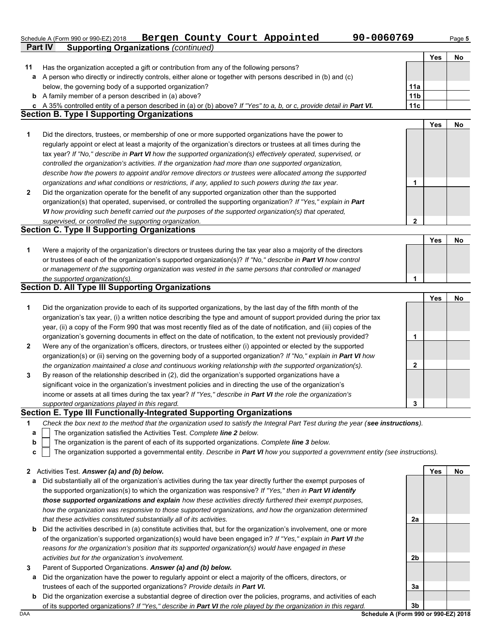# Schedule A (Form 990 or 990-EZ) 2018 **Bergen County Court Appointed 90-0060769** Page 5

|              | Part IV<br><b>Supporting Organizations (continued)</b>                                                                            |                 |            |    |
|--------------|-----------------------------------------------------------------------------------------------------------------------------------|-----------------|------------|----|
|              |                                                                                                                                   |                 | <b>Yes</b> | No |
| 11           | Has the organization accepted a gift or contribution from any of the following persons?                                           |                 |            |    |
| а            | A person who directly or indirectly controls, either alone or together with persons described in (b) and (c)                      |                 |            |    |
|              | below, the governing body of a supported organization?                                                                            | 11a             |            |    |
| $\mathbf b$  | A family member of a person described in (a) above?                                                                               | 11 <sub>b</sub> |            |    |
|              | c A 35% controlled entity of a person described in (a) or (b) above? If "Yes" to a, b, or c, provide detail in Part VI.           | 11c             |            |    |
|              | <b>Section B. Type I Supporting Organizations</b>                                                                                 |                 |            |    |
|              |                                                                                                                                   |                 | <b>Yes</b> | No |
| 1            | Did the directors, trustees, or membership of one or more supported organizations have the power to                               |                 |            |    |
|              | regularly appoint or elect at least a majority of the organization's directors or trustees at all times during the                |                 |            |    |
|              | tax year? If "No," describe in Part VI how the supported organization(s) effectively operated, supervised, or                     |                 |            |    |
|              | controlled the organization's activities. If the organization had more than one supported organization,                           |                 |            |    |
|              | describe how the powers to appoint and/or remove directors or trustees were allocated among the supported                         |                 |            |    |
|              | organizations and what conditions or restrictions, if any, applied to such powers during the tax year.                            | 1               |            |    |
| $\mathbf{2}$ | Did the organization operate for the benefit of any supported organization other than the supported                               |                 |            |    |
|              | organization(s) that operated, supervised, or controlled the supporting organization? If "Yes," explain in Part                   |                 |            |    |
|              | VI how providing such benefit carried out the purposes of the supported organization(s) that operated,                            |                 |            |    |
|              | supervised, or controlled the supporting organization.                                                                            | 2               |            |    |
|              | <b>Section C. Type II Supporting Organizations</b>                                                                                |                 |            |    |
|              |                                                                                                                                   |                 | <b>Yes</b> | No |
| 1            | Were a majority of the organization's directors or trustees during the tax year also a majority of the directors                  |                 |            |    |
|              | or trustees of each of the organization's supported organization(s)? If "No," describe in Part VI how control                     |                 |            |    |
|              | or management of the supporting organization was vested in the same persons that controlled or managed                            | 1               |            |    |
|              | the supported organization(s).<br><b>Section D. All Type III Supporting Organizations</b>                                         |                 |            |    |
|              |                                                                                                                                   |                 | <b>Yes</b> | No |
| 1            | Did the organization provide to each of its supported organizations, by the last day of the fifth month of the                    |                 |            |    |
|              | organization's tax year, (i) a written notice describing the type and amount of support provided during the prior tax             |                 |            |    |
|              | year, (ii) a copy of the Form 990 that was most recently filed as of the date of notification, and (iii) copies of the            |                 |            |    |
|              | organization's governing documents in effect on the date of notification, to the extent not previously provided?                  | 1               |            |    |
| 2            | Were any of the organization's officers, directors, or trustees either (i) appointed or elected by the supported                  |                 |            |    |
|              | organization(s) or (ii) serving on the governing body of a supported organization? If "No," explain in Part VI how                |                 |            |    |
|              | the organization maintained a close and continuous working relationship with the supported organization(s).                       | $\mathbf{2}$    |            |    |
| 3            | By reason of the relationship described in (2), did the organization's supported organizations have a                             |                 |            |    |
|              | significant voice in the organization's investment policies and in directing the use of the organization's                        |                 |            |    |
|              | income or assets at all times during the tax year? If "Yes," describe in Part VI the role the organization's                      |                 |            |    |
|              | supported organizations played in this regard.                                                                                    | 3               |            |    |
|              | Section E. Type III Functionally-Integrated Supporting Organizations                                                              |                 |            |    |
| 1            | Check the box next to the method that the organization used to satisfy the Integral Part Test during the year (see instructions). |                 |            |    |
| а            | The organization satisfied the Activities Test. Complete line 2 below.                                                            |                 |            |    |
| b            | The organization is the parent of each of its supported organizations. Complete line 3 below.                                     |                 |            |    |
| c            | The organization supported a governmental entity. Describe in Part VI how you supported a government entity (see instructions).   |                 |            |    |
|              |                                                                                                                                   |                 |            |    |
| $\mathbf{z}$ | Activities Test. Answer (a) and (b) below.                                                                                        |                 | Yes        | No |
| а            | Did substantially all of the organization's activities during the tax year directly further the exempt purposes of                |                 |            |    |
|              | the supported organization(s) to which the organization was responsive? If "Yes," then in Part VI identify                        |                 |            |    |
|              | those supported organizations and explain how these activities directly furthered their exempt purposes,                          |                 |            |    |
|              | how the organization was responsive to those supported organizations, and how the organization determined                         |                 |            |    |
|              | that these activities constituted substantially all of its activities.                                                            | 2a              |            |    |
| $\mathbf b$  | Did the activities described in (a) constitute activities that, but for the organization's involvement, one or more               |                 |            |    |
|              | of the organization's supported organization(s) would have been engaged in? If "Yes," explain in Part VI the                      |                 |            |    |
|              | reasons for the organization's position that its supported organization(s) would have engaged in these                            |                 |            |    |
|              | activities but for the organization's involvement.                                                                                | 2b              |            |    |
| 3            | Parent of Supported Organizations. Answer (a) and (b) below.                                                                      |                 |            |    |
| а            | Did the organization have the power to regularly appoint or elect a majority of the officers, directors, or                       |                 |            |    |
|              | trustees of each of the supported organizations? Provide details in Part VI.                                                      | За              |            |    |
|              | examination exercise a substantial degree of direction ever the policies pregrams, and estimities                                 |                 |            |    |

DAA **Schedule A (Form 990 or 990-EZ) 2018 b** Did the organization exercise a substantial degree of direction over the policies, programs, and activities of each of its supported organizations? *If "Yes," describe in Part VI the role played by the organization in this regard.*

**3b**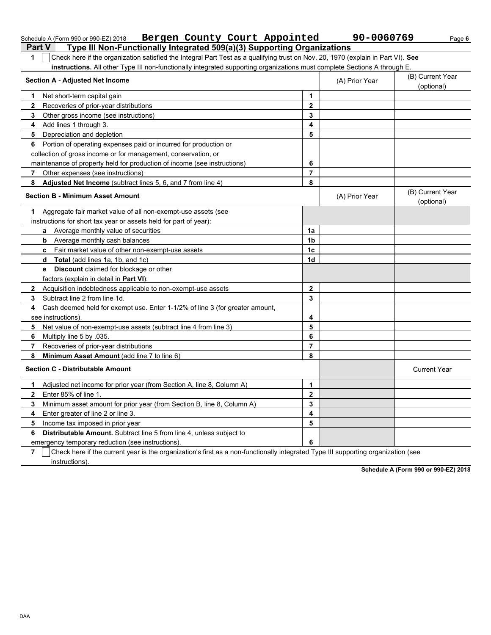| Bergen County Court Appointed<br>Schedule A (Form 990 or 990-EZ) 2018                                                                               |                         | 90-0060769     | Page 6                         |
|-----------------------------------------------------------------------------------------------------------------------------------------------------|-------------------------|----------------|--------------------------------|
| <b>Part V</b><br>Type III Non-Functionally Integrated 509(a)(3) Supporting Organizations                                                            |                         |                |                                |
| Check here if the organization satisfied the Integral Part Test as a qualifying trust on Nov. 20, 1970 (explain in Part VI). See<br>1               |                         |                |                                |
| instructions. All other Type III non-functionally integrated supporting organizations must complete Sections A through E.                           |                         |                |                                |
| <b>Section A - Adjusted Net Income</b>                                                                                                              |                         | (A) Prior Year | (B) Current Year<br>(optional) |
| Net short-term capital gain<br>1                                                                                                                    | 1                       |                |                                |
| $\mathbf{2}$<br>Recoveries of prior-year distributions                                                                                              | $\overline{2}$          |                |                                |
| Other gross income (see instructions)<br>3                                                                                                          | 3                       |                |                                |
| Add lines 1 through 3.<br>4                                                                                                                         | 4                       |                |                                |
| Depreciation and depletion<br>5                                                                                                                     | 5                       |                |                                |
| Portion of operating expenses paid or incurred for production or<br>6                                                                               |                         |                |                                |
| collection of gross income or for management, conservation, or                                                                                      |                         |                |                                |
| maintenance of property held for production of income (see instructions)                                                                            | 6                       |                |                                |
| Other expenses (see instructions)<br>7                                                                                                              | $\overline{7}$          |                |                                |
| Adjusted Net Income (subtract lines 5, 6, and 7 from line 4)<br>8                                                                                   | 8                       |                |                                |
| <b>Section B - Minimum Asset Amount</b>                                                                                                             |                         | (A) Prior Year | (B) Current Year<br>(optional) |
| Aggregate fair market value of all non-exempt-use assets (see<br>1.                                                                                 |                         |                |                                |
| instructions for short tax year or assets held for part of year):                                                                                   |                         |                |                                |
| a Average monthly value of securities                                                                                                               | 1a                      |                |                                |
| <b>b</b> Average monthly cash balances                                                                                                              | 1 <sub>b</sub>          |                |                                |
| Fair market value of other non-exempt-use assets<br>C                                                                                               | 1 <sub>c</sub>          |                |                                |
| Total (add lines 1a, 1b, and 1c)<br>d                                                                                                               | 1 <sub>d</sub>          |                |                                |
| <b>Discount</b> claimed for blockage or other<br>е                                                                                                  |                         |                |                                |
| factors (explain in detail in Part VI):                                                                                                             |                         |                |                                |
| Acquisition indebtedness applicable to non-exempt-use assets<br>2                                                                                   | $\mathbf{2}$            |                |                                |
| Subtract line 2 from line 1d.<br>3                                                                                                                  | 3                       |                |                                |
| Cash deemed held for exempt use. Enter 1-1/2% of line 3 (for greater amount,<br>4                                                                   |                         |                |                                |
| see instructions).                                                                                                                                  | 4                       |                |                                |
| Net value of non-exempt-use assets (subtract line 4 from line 3)<br>5                                                                               | 5                       |                |                                |
| Multiply line 5 by .035.<br>6                                                                                                                       | 6                       |                |                                |
| Recoveries of prior-year distributions<br>7                                                                                                         | $\overline{7}$          |                |                                |
| 8<br>Minimum Asset Amount (add line 7 to line 6)                                                                                                    | 8                       |                |                                |
| <b>Section C - Distributable Amount</b>                                                                                                             |                         |                | <b>Current Year</b>            |
| Adjusted net income for prior year (from Section A, line 8, Column A)                                                                               | 1                       |                |                                |
| $\mathbf{2}$<br>Enter 85% of line 1.                                                                                                                | $\overline{\mathbf{2}}$ |                |                                |
| Minimum asset amount for prior year (from Section B, line 8, Column A)<br>3                                                                         | 3                       |                |                                |
| Enter greater of line 2 or line 3.<br>4                                                                                                             | 4                       |                |                                |
| 5<br>Income tax imposed in prior year                                                                                                               | 5                       |                |                                |
| Distributable Amount. Subtract line 5 from line 4, unless subject to<br>6                                                                           |                         |                |                                |
| emergency temporary reduction (see instructions).                                                                                                   | 6                       |                |                                |
| Check here if the current year is the organization's first as a non-functionally integrated Type III supporting organization (see<br>$\overline{7}$ |                         |                |                                |
| instructions).                                                                                                                                      |                         |                |                                |

**Schedule A (Form 990 or 990-EZ) 2018**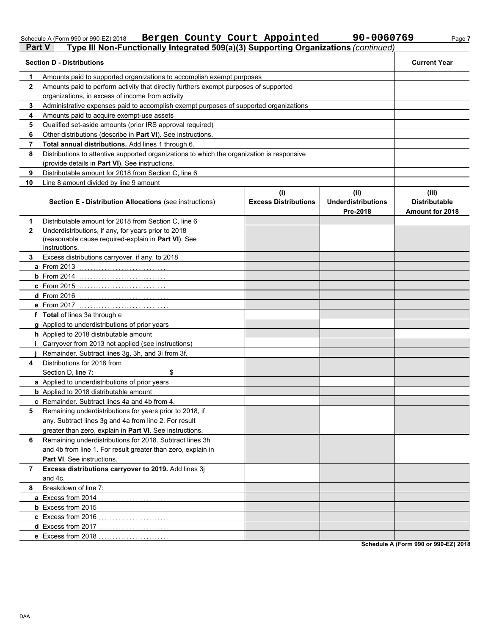### **Part V Type III Non-Functionally Integrated 509(a)(3) Supporting Organizations** *(continued)* **Section D - Distributions Current Year 1 2 3 4 5 6 7 8 9 10** Amounts paid to supported organizations to accomplish exempt purposes Amounts paid to perform activity that directly furthers exempt purposes of supported organizations, in excess of income from activity Administrative expenses paid to accomplish exempt purposes of supported organizations Amounts paid to acquire exempt-use assets Qualified set-aside amounts (prior IRS approval required) Other distributions (describe in **Part VI**). See instructions. **Total annual distributions.** Add lines 1 through 6. Distributions to attentive supported organizations to which the organization is responsive (provide details in **Part VI**). See instructions. Distributable amount for 2018 from Section C, line 6 Line 8 amount divided by line 9 amount **Section E - Distribution Allocations** (see instructions) **Excess Distributions (i) (ii) Underdistributions Pre-2018 (iii) Distributable Amount for 2018 8 7 Excess distributions carryover to 2019.** Add lines 3j **6 5** Remaining underdistributions for years prior to 2018, if **4** Distributions for 2018 from **3 2 1 a** From 2013 . . . . . . . . . . . . . . . . . . . . . . . . . . . . . . . **b** From 2014 . . . . . . . . . . . . . . . . . . . . . . . . . . . . . . . **c** From 2015 . . . . . . . . . . . . . . . . . . . . . . . . . . . . . . . **d** From 2016 . . . . . . . . . . . . . . . . . . . . . . . . . . . . . . . . **e** From 2017 . . . . . . . . . . . . . . . . . . . . . . . . . . . . . . . . **f Total** of lines 3a through e **g** Applied to underdistributions of prior years **h** Applied to 2018 distributable amount **i** Carryover from 2013 not applied (see instructions) **j** Remainder. Subtract lines 3g, 3h, and 3i from 3f. **a** Applied to underdistributions of prior years **b** Applied to 2018 distributable amount **c** Remainder. Subtract lines 4a and 4b from 4. **a** Excess from 2014 . . . . . . . . . . . . . . . . . . . . . . . . **b** Excess from 2015 . . . . . . . . . . . . . . . . . . . . . . . . **c** Excess from 2016 . . . . . . . . . . . . . . . . . . . . . . . . . **d** Excess from 2017 . . . . . . . . . . . . . . . . . . . . . . . . . **e** Excess from 2018 . . . . . . . . . . . . . . . . . . . . . . . . . Distributable amount for 2018 from Section C, line 6 Underdistributions, if any, for years prior to 2018 (reasonable cause required-explain in **Part VI**). See Excess distributions carryover, if any, to 2018 Section D, line 7: \$ any. Subtract lines 3g and 4a from line 2. For result greater than zero, explain in **Part VI**. See instructions. Remaining underdistributions for 2018. Subtract lines 3h and 4b from line 1. For result greater than zero, explain in **Part VI**. See instructions. and 4c. Breakdown of line 7: instructions.

Schedule A (Form 990 or 990-EZ) 2018 **Bergen County Court Appointed 90-0060769** Page 7

**Schedule A (Form 990 or 990-EZ) 2018**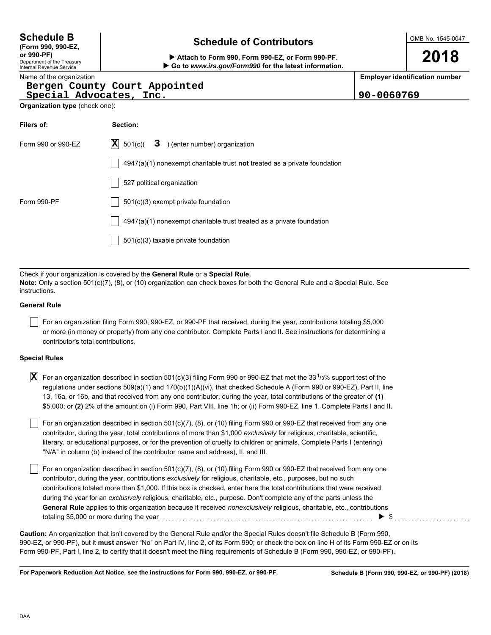| <b>Schedule B</b> |  |
|-------------------|--|
|-------------------|--|

**(Form 990, 990-EZ,**

Department of the Treasury Internal Revenue Service

# **Schedule of Contributors**

OMB No. 1545-0047

**2018**

**or 990-PF) Attach to Form 990, Form 990-EZ, or Form 990-PF. Go to** *www.irs.gov/Form990* **for the latest information.**

**Employer identification number**

Name of the organization

### **Bergen County Court Appointed Special Advocates, Inc. 90-0060769**

| Organization type (check one): |  |  |
|--------------------------------|--|--|
|                                |  |  |

| Filers of:         | Section:                                                                    |  |  |  |  |
|--------------------|-----------------------------------------------------------------------------|--|--|--|--|
| Form 990 or 990-EZ | $ \mathbf{X} $ 501(c)( <b>3</b> ) (enter number) organization               |  |  |  |  |
|                    | $4947(a)(1)$ nonexempt charitable trust not treated as a private foundation |  |  |  |  |
|                    | 527 political organization                                                  |  |  |  |  |
| Form 990-PF        | $501(c)(3)$ exempt private foundation                                       |  |  |  |  |
|                    | $4947(a)(1)$ nonexempt charitable trust treated as a private foundation     |  |  |  |  |
|                    | 501(c)(3) taxable private foundation                                        |  |  |  |  |

Check if your organization is covered by the **General Rule** or a **Special Rule. Note:** Only a section 501(c)(7), (8), or (10) organization can check boxes for both the General Rule and a Special Rule. See instructions.

### **General Rule**

For an organization filing Form 990, 990-EZ, or 990-PF that received, during the year, contributions totaling \$5,000 or more (in money or property) from any one contributor. Complete Parts I and II. See instructions for determining a contributor's total contributions.

### **Special Rules**

 $\overline{\bf X}$  For an organization described in section 501(c)(3) filing Form 990 or 990-EZ that met the 33<sup>1</sup>/3% support test of the regulations under sections 509(a)(1) and 170(b)(1)(A)(vi), that checked Schedule A (Form 990 or 990-EZ), Part II, line 13, 16a, or 16b, and that received from any one contributor, during the year, total contributions of the greater of **(1)** \$5,000; or **(2)** 2% of the amount on (i) Form 990, Part VIII, line 1h; or (ii) Form 990-EZ, line 1. Complete Parts I and II.

literary, or educational purposes, or for the prevention of cruelty to children or animals. Complete Parts I (entering) For an organization described in section 501(c)(7), (8), or (10) filing Form 990 or 990-EZ that received from any one contributor, during the year, total contributions of more than \$1,000 *exclusively* for religious, charitable, scientific, "N/A" in column (b) instead of the contributor name and address), II, and III.

For an organization described in section 501(c)(7), (8), or (10) filing Form 990 or 990-EZ that received from any one contributor, during the year, contributions *exclusively* for religious, charitable, etc., purposes, but no such contributions totaled more than \$1,000. If this box is checked, enter here the total contributions that were received during the year for an *exclusively* religious, charitable, etc., purpose. Don't complete any of the parts unless the **General Rule** applies to this organization because it received *nonexclusively* religious, charitable, etc., contributions totaling \$5,000 or more during the year  $\ldots$   $\ldots$   $\ldots$   $\ldots$   $\ldots$   $\ldots$   $\ldots$   $\ldots$   $\ldots$   $\ldots$   $\ldots$   $\ldots$ 

990-EZ, or 990-PF), but it **must** answer "No" on Part IV, line 2, of its Form 990; or check the box on line H of its Form 990-EZ or on its Form 990-PF, Part I, line 2, to certify that it doesn't meet the filing requirements of Schedule B (Form 990, 990-EZ, or 990-PF). **Caution:** An organization that isn't covered by the General Rule and/or the Special Rules doesn't file Schedule B (Form 990,

**For Paperwork Reduction Act Notice, see the instructions for Form 990, 990-EZ, or 990-PF.**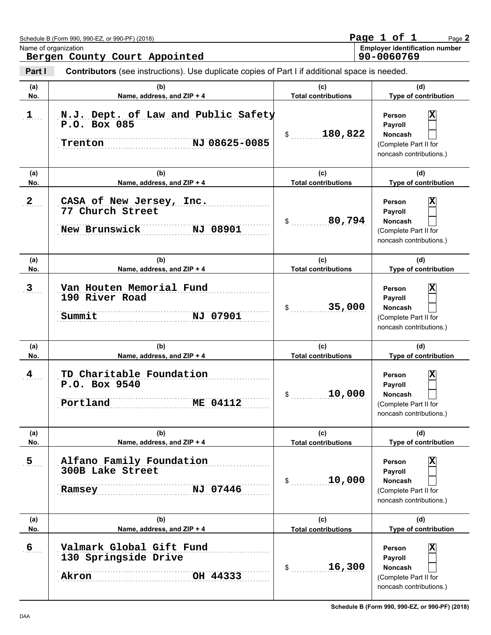| Schedule B (Form 990, 990-EZ, or 990-PF) (2018) | Page 1 of  |  | Page $2$                              |
|-------------------------------------------------|------------|--|---------------------------------------|
| Name of organization                            |            |  | <b>Employer identification number</b> |
| Bergen County Court Appointed                   | 90-0060769 |  |                                       |

| Part I         | <b>Contributors</b> (see instructions). Use duplicate copies of Part I if additional space is needed. |                                   |                                                                                                                      |
|----------------|-------------------------------------------------------------------------------------------------------|-----------------------------------|----------------------------------------------------------------------------------------------------------------------|
| (a)<br>No.     | (b)<br>Name, address, and ZIP + 4                                                                     | (c)<br><b>Total contributions</b> | (d)<br>Type of contribution                                                                                          |
| $1$            | N.J. Dept. of Law and Public Safety<br>P.O. Box 085<br>NJ 08625-0085<br>Trenton                       | 180,822                           | x<br>Person<br>Payroll<br><b>Noncash</b><br>(Complete Part II for<br>noncash contributions.)                         |
| (a)<br>No.     | (b)<br>Name, address, and ZIP + 4                                                                     | (c)<br><b>Total contributions</b> | (d)<br>Type of contribution                                                                                          |
| 2              | CASA of New Jersey, Inc.<br>77 Church Street<br>New Brunswick<br>NJ 08901                             | 80,794<br>$\sim$                  | x<br>Person<br>Payroll<br><b>Noncash</b><br>(Complete Part II for<br>noncash contributions.)                         |
| (a)            | (b)                                                                                                   | (c)                               | (d)                                                                                                                  |
| No.            | Name, address, and ZIP + 4                                                                            | <b>Total contributions</b>        | Type of contribution                                                                                                 |
| 3              | Van Houten Memorial Fund<br>190 River Road<br>Summit<br>NJ 07901                                      | 35,000<br>$\mathsf{\$}$           | x<br>Person<br>Payroll<br><b>Noncash</b><br>(Complete Part II for<br>noncash contributions.)                         |
| (a)            | (b)                                                                                                   | (c)<br><b>Total contributions</b> | (d)                                                                                                                  |
| No.<br>4       | Name, address, and ZIP + 4<br>TD Charitable Foundation<br>P.O. Box 9540<br>Portland<br>ME 04112       | 10,000<br>$\mathsf{\$}$           | Type of contribution<br>x<br>Person<br>Payroll<br><b>Noncash</b><br>(Complete Part II for<br>noncash contributions.) |
| (a)<br>No.     | (b)<br>Name, address, and ZIP + 4                                                                     | (c)<br><b>Total contributions</b> | (d)<br>Type of contribution                                                                                          |
| 5 <sub>1</sub> | Alfano Family Foundation<br>300B Lake Street<br>NJ 07446<br>Ramsey                                    | 10,000<br>\$                      | Χ<br>Person<br>Payroll<br>Noncash<br>(Complete Part II for<br>noncash contributions.)                                |
| (a)<br>No.     | (b)<br>Name, address, and ZIP + 4                                                                     | (c)<br><b>Total contributions</b> | (d)<br>Type of contribution                                                                                          |
| 6              | Valmark Global Gift Fund<br>130 Springside Drive<br>OH 44333<br>Akron                                 | 16,300<br>\$                      | X<br>Person<br>Payroll<br><b>Noncash</b><br>(Complete Part II for<br>noncash contributions.)                         |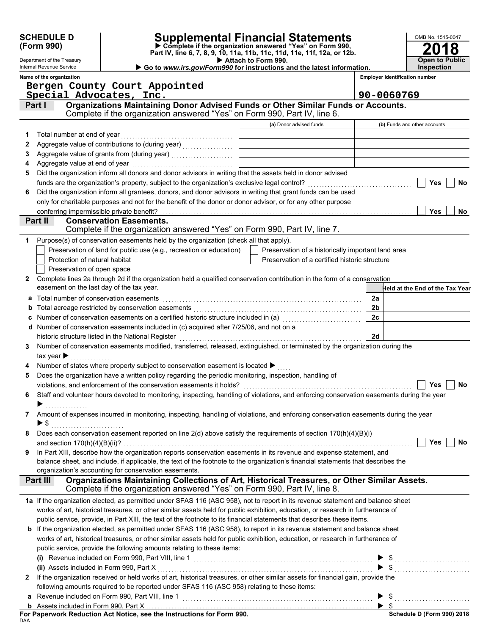|              | <b>SCHEDULE D</b>                                                                                                                                  |                                                                                                                                                              | Supplemental Financial Statements                                                                    |                                       | OMB No. 1545-0047               |
|--------------|----------------------------------------------------------------------------------------------------------------------------------------------------|--------------------------------------------------------------------------------------------------------------------------------------------------------------|------------------------------------------------------------------------------------------------------|---------------------------------------|---------------------------------|
|              | Complete if the organization answered "Yes" on Form 990,<br>(Form 990)<br>Part IV, line 6, 7, 8, 9, 10, 11a, 11b, 11c, 11d, 11e, 11f, 12a, or 12b. |                                                                                                                                                              |                                                                                                      |                                       |                                 |
|              | Department of the Treasury                                                                                                                         |                                                                                                                                                              | Attach to Form 990.                                                                                  |                                       | <b>Open to Public</b>           |
|              | Internal Revenue Service                                                                                                                           | Go to www.irs.gov/Form990 for instructions and the latest information.                                                                                       |                                                                                                      |                                       | <b>Inspection</b>               |
|              | Name of the organization                                                                                                                           |                                                                                                                                                              |                                                                                                      | <b>Employer identification number</b> |                                 |
|              |                                                                                                                                                    | Bergen County Court Appointed<br>Special Advocates, Inc.                                                                                                     |                                                                                                      | 90-0060769                            |                                 |
|              | Part I                                                                                                                                             | Organizations Maintaining Donor Advised Funds or Other Similar Funds or Accounts.                                                                            |                                                                                                      |                                       |                                 |
|              |                                                                                                                                                    | Complete if the organization answered "Yes" on Form 990, Part IV, line 6.                                                                                    |                                                                                                      |                                       |                                 |
|              |                                                                                                                                                    |                                                                                                                                                              | (a) Donor advised funds                                                                              |                                       | (b) Funds and other accounts    |
| 1            |                                                                                                                                                    |                                                                                                                                                              |                                                                                                      |                                       |                                 |
| 2            |                                                                                                                                                    |                                                                                                                                                              |                                                                                                      |                                       |                                 |
| 3            |                                                                                                                                                    |                                                                                                                                                              | <u> 1989 - Johann Stein, mars an deus Fran</u>                                                       |                                       |                                 |
| 4            |                                                                                                                                                    |                                                                                                                                                              |                                                                                                      |                                       |                                 |
| 5            |                                                                                                                                                    | Did the organization inform all donors and donor advisors in writing that the assets held in donor advised                                                   |                                                                                                      |                                       |                                 |
|              |                                                                                                                                                    |                                                                                                                                                              |                                                                                                      |                                       | Yes<br><b>No</b>                |
| 6            |                                                                                                                                                    | Did the organization inform all grantees, donors, and donor advisors in writing that grant funds can be used                                                 |                                                                                                      |                                       |                                 |
|              |                                                                                                                                                    | only for charitable purposes and not for the benefit of the donor or donor advisor, or for any other purpose                                                 |                                                                                                      |                                       |                                 |
|              | conferring impermissible private benefit?                                                                                                          |                                                                                                                                                              |                                                                                                      |                                       | Yes<br><b>No</b>                |
|              | Part II                                                                                                                                            | <b>Conservation Easements.</b><br>Complete if the organization answered "Yes" on Form 990, Part IV, line 7.                                                  |                                                                                                      |                                       |                                 |
|              |                                                                                                                                                    |                                                                                                                                                              |                                                                                                      |                                       |                                 |
| 1.           |                                                                                                                                                    | Purpose(s) of conservation easements held by the organization (check all that apply).<br>Preservation of land for public use (e.g., recreation or education) |                                                                                                      |                                       |                                 |
|              | Protection of natural habitat                                                                                                                      |                                                                                                                                                              | Preservation of a historically important land area<br>Preservation of a certified historic structure |                                       |                                 |
|              | Preservation of open space                                                                                                                         |                                                                                                                                                              |                                                                                                      |                                       |                                 |
| $\mathbf{2}$ |                                                                                                                                                    | Complete lines 2a through 2d if the organization held a qualified conservation contribution in the form of a conservation                                    |                                                                                                      |                                       |                                 |
|              | easement on the last day of the tax year.                                                                                                          |                                                                                                                                                              |                                                                                                      |                                       | Held at the End of the Tax Year |
|              | Total number of conservation easements                                                                                                             |                                                                                                                                                              |                                                                                                      | 2a                                    |                                 |
|              |                                                                                                                                                    |                                                                                                                                                              |                                                                                                      | 2 <sub>b</sub>                        |                                 |
|              |                                                                                                                                                    | Number of conservation easements on a certified historic structure included in (a) [[[[[[[[[[[[[[[[[[[[[[[[[]]                                               |                                                                                                      | 2c                                    |                                 |
|              |                                                                                                                                                    | d Number of conservation easements included in (c) acquired after 7/25/06, and not on a                                                                      |                                                                                                      |                                       |                                 |
|              |                                                                                                                                                    |                                                                                                                                                              |                                                                                                      | 2d                                    |                                 |
| 3            |                                                                                                                                                    | Number of conservation easements modified, transferred, released, extinguished, or terminated by the organization during the                                 |                                                                                                      |                                       |                                 |
|              | tax year $\blacktriangleright$                                                                                                                     |                                                                                                                                                              |                                                                                                      |                                       |                                 |
|              |                                                                                                                                                    | Number of states where property subject to conservation easement is located >                                                                                |                                                                                                      |                                       |                                 |
| 5            |                                                                                                                                                    | Does the organization have a written policy regarding the periodic monitoring, inspection, handling of                                                       |                                                                                                      |                                       |                                 |
|              |                                                                                                                                                    |                                                                                                                                                              |                                                                                                      |                                       | Yes<br>No                       |
| 6            |                                                                                                                                                    | Staff and volunteer hours devoted to monitoring, inspecting, handling of violations, and enforcing conservation easements during the year                    |                                                                                                      |                                       |                                 |
|              | .                                                                                                                                                  |                                                                                                                                                              |                                                                                                      |                                       |                                 |
| 7            |                                                                                                                                                    | Amount of expenses incurred in monitoring, inspecting, handling of violations, and enforcing conservation easements during the year                          |                                                                                                      |                                       |                                 |
|              |                                                                                                                                                    |                                                                                                                                                              |                                                                                                      |                                       |                                 |
| 8            |                                                                                                                                                    | Does each conservation easement reported on line $2(d)$ above satisfy the requirements of section $170(h)(4)(B)(i)$                                          |                                                                                                      |                                       |                                 |
|              |                                                                                                                                                    |                                                                                                                                                              |                                                                                                      |                                       | <b>Yes</b><br><b>No</b>         |
| 9            |                                                                                                                                                    | In Part XIII, describe how the organization reports conservation easements in its revenue and expense statement, and                                         |                                                                                                      |                                       |                                 |
|              |                                                                                                                                                    | balance sheet, and include, if applicable, the text of the footnote to the organization's financial statements that describes the                            |                                                                                                      |                                       |                                 |
|              | Part III                                                                                                                                           | organization's accounting for conservation easements.<br>Organizations Maintaining Collections of Art, Historical Treasures, or Other Similar Assets.        |                                                                                                      |                                       |                                 |
|              |                                                                                                                                                    | Complete if the organization answered "Yes" on Form 990, Part IV, line 8.                                                                                    |                                                                                                      |                                       |                                 |
|              |                                                                                                                                                    | 1a If the organization elected, as permitted under SFAS 116 (ASC 958), not to report in its revenue statement and balance sheet                              |                                                                                                      |                                       |                                 |
|              |                                                                                                                                                    | works of art, historical treasures, or other similar assets held for public exhibition, education, or research in furtherance of                             |                                                                                                      |                                       |                                 |
|              |                                                                                                                                                    | public service, provide, in Part XIII, the text of the footnote to its financial statements that describes these items.                                      |                                                                                                      |                                       |                                 |
|              |                                                                                                                                                    | b If the organization elected, as permitted under SFAS 116 (ASC 958), to report in its revenue statement and balance sheet                                   |                                                                                                      |                                       |                                 |
|              |                                                                                                                                                    | works of art, historical treasures, or other similar assets held for public exhibition, education, or research in furtherance of                             |                                                                                                      |                                       |                                 |
|              |                                                                                                                                                    | public service, provide the following amounts relating to these items:                                                                                       |                                                                                                      |                                       |                                 |
|              |                                                                                                                                                    |                                                                                                                                                              |                                                                                                      |                                       |                                 |
|              |                                                                                                                                                    |                                                                                                                                                              |                                                                                                      |                                       | $\blacktriangleright$ \$        |
| 2            |                                                                                                                                                    | If the organization received or held works of art, historical treasures, or other similar assets for financial gain, provide the                             |                                                                                                      |                                       |                                 |
|              |                                                                                                                                                    | following amounts required to be reported under SFAS 116 (ASC 958) relating to these items:                                                                  |                                                                                                      |                                       |                                 |
|              |                                                                                                                                                    |                                                                                                                                                              |                                                                                                      |                                       |                                 |
|              |                                                                                                                                                    |                                                                                                                                                              |                                                                                                      |                                       |                                 |
| DAA          |                                                                                                                                                    |                                                                                                                                                              |                                                                                                      |                                       | Schedule D (Form 990) 2018      |
|              |                                                                                                                                                    |                                                                                                                                                              |                                                                                                      |                                       |                                 |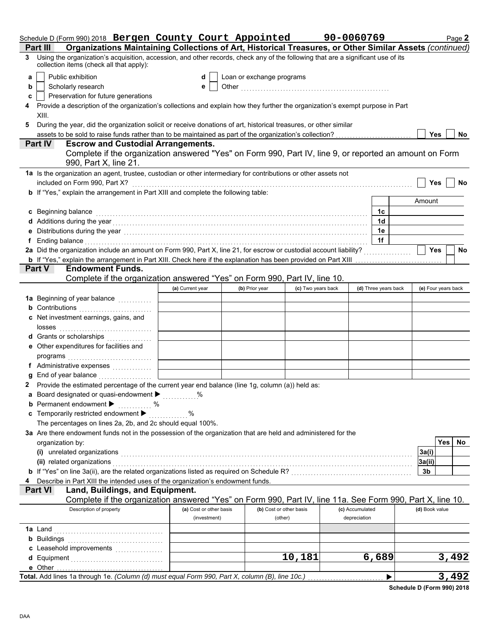|   | Schedule D (Form 990) 2018 Bergen County Court Appointed                                                                                                                                                                       |                  |                         |                           |                    | 90-0060769      |                      | Page 2                  |
|---|--------------------------------------------------------------------------------------------------------------------------------------------------------------------------------------------------------------------------------|------------------|-------------------------|---------------------------|--------------------|-----------------|----------------------|-------------------------|
|   | Organizations Maintaining Collections of Art, Historical Treasures, or Other Similar Assets (continued)<br><b>Part III</b>                                                                                                     |                  |                         |                           |                    |                 |                      |                         |
| 3 | Using the organization's acquisition, accession, and other records, check any of the following that are a significant use of its<br>collection items (check all that apply):                                                   |                  |                         |                           |                    |                 |                      |                         |
| a | Public exhibition                                                                                                                                                                                                              |                  | d                       | Loan or exchange programs |                    |                 |                      |                         |
| b | Scholarly research                                                                                                                                                                                                             |                  | е                       |                           |                    |                 |                      |                         |
| c | Preservation for future generations                                                                                                                                                                                            |                  |                         |                           |                    |                 |                      |                         |
|   | Provide a description of the organization's collections and explain how they further the organization's exempt purpose in Part<br>XIII.                                                                                        |                  |                         |                           |                    |                 |                      |                         |
| 5 | During the year, did the organization solicit or receive donations of art, historical treasures, or other similar                                                                                                              |                  |                         |                           |                    |                 |                      |                         |
|   | assets to be sold to raise funds rather than to be maintained as part of the organization's collection?                                                                                                                        |                  |                         |                           |                    |                 |                      | <b>Yes</b><br>No        |
|   | <b>Escrow and Custodial Arrangements.</b><br><b>Part IV</b>                                                                                                                                                                    |                  |                         |                           |                    |                 |                      |                         |
|   | Complete if the organization answered "Yes" on Form 990, Part IV, line 9, or reported an amount on Form                                                                                                                        |                  |                         |                           |                    |                 |                      |                         |
|   | 990, Part X, line 21.                                                                                                                                                                                                          |                  |                         |                           |                    |                 |                      |                         |
|   | 1a Is the organization an agent, trustee, custodian or other intermediary for contributions or other assets not                                                                                                                |                  |                         |                           |                    |                 |                      |                         |
|   |                                                                                                                                                                                                                                |                  |                         |                           |                    |                 |                      | Yes<br>No               |
|   | b If "Yes," explain the arrangement in Part XIII and complete the following table:                                                                                                                                             |                  |                         |                           |                    |                 |                      |                         |
|   |                                                                                                                                                                                                                                |                  |                         |                           |                    |                 |                      | Amount                  |
|   | c Beginning balance                                                                                                                                                                                                            |                  |                         |                           |                    |                 | 1с                   |                         |
|   | d Additions during the year manufactured and contact the year manufactured and a determinant contact the year                                                                                                                  |                  |                         |                           |                    |                 | 1 <sub>d</sub>       |                         |
|   | Distributions during the year [1, 1, 2010] [1, 2010] [1, 2010] [1, 2010] [1, 2010] [1, 2010] [1, 2010] [1, 2010                                                                                                                |                  |                         |                           |                    |                 | 1e                   |                         |
|   | Ending balance with a construction of the construction of the construction of the construction of the construction of the construction of the construction of the construction of the construction of the construction of the  |                  |                         |                           |                    |                 | 1f                   |                         |
|   | 2a Did the organization include an amount on Form 990, Part X, line 21, for escrow or custodial account liability?                                                                                                             |                  |                         |                           |                    |                 |                      | <b>Yes</b><br><b>No</b> |
|   |                                                                                                                                                                                                                                |                  |                         |                           |                    |                 |                      |                         |
|   | <b>Endowment Funds.</b><br><b>Part V</b>                                                                                                                                                                                       |                  |                         |                           |                    |                 |                      |                         |
|   | Complete if the organization answered "Yes" on Form 990, Part IV, line 10.                                                                                                                                                     |                  |                         |                           |                    |                 |                      |                         |
|   |                                                                                                                                                                                                                                | (a) Current year |                         | (b) Prior year            | (c) Two years back |                 | (d) Three years back | (e) Four years back     |
|   | 1a Beginning of year balance <i>minimizing</i>                                                                                                                                                                                 |                  |                         |                           |                    |                 |                      |                         |
|   | <b>b</b> Contributions                                                                                                                                                                                                         |                  |                         |                           |                    |                 |                      |                         |
|   | c Net investment earnings, gains, and                                                                                                                                                                                          |                  |                         |                           |                    |                 |                      |                         |
|   |                                                                                                                                                                                                                                |                  |                         |                           |                    |                 |                      |                         |
|   | d Grants or scholarships                                                                                                                                                                                                       |                  |                         |                           |                    |                 |                      |                         |
|   |                                                                                                                                                                                                                                |                  |                         |                           |                    |                 |                      |                         |
|   | e Other expenditures for facilities and                                                                                                                                                                                        |                  |                         |                           |                    |                 |                      |                         |
|   |                                                                                                                                                                                                                                |                  |                         |                           |                    |                 |                      |                         |
|   | f Administrative expenses                                                                                                                                                                                                      |                  |                         |                           |                    |                 |                      |                         |
|   | End of year balance <i>[[[[[[[[[[[[[[[[[[[[[[[[]]]]</i>                                                                                                                                                                        |                  |                         |                           |                    |                 |                      |                         |
|   | 2 Provide the estimated percentage of the current year end balance (line 1g, column (a)) held as:                                                                                                                              |                  |                         |                           |                    |                 |                      |                         |
|   | <b>a</b> Board designated or quasi-endowment $\blacktriangleright$                                                                                                                                                             |                  |                         |                           |                    |                 |                      |                         |
|   | <b>b</b> Permanent endowment $\blacktriangleright$<br>. %                                                                                                                                                                      |                  |                         |                           |                    |                 |                      |                         |
|   | c Temporarily restricted endowment >                                                                                                                                                                                           | . %              |                         |                           |                    |                 |                      |                         |
|   | The percentages on lines 2a, 2b, and 2c should equal 100%.                                                                                                                                                                     |                  |                         |                           |                    |                 |                      |                         |
|   | 3a Are there endowment funds not in the possession of the organization that are held and administered for the                                                                                                                  |                  |                         |                           |                    |                 |                      |                         |
|   | organization by:                                                                                                                                                                                                               |                  |                         |                           |                    |                 |                      | Yes  <br>No.            |
|   | (i) unrelated organizations with the contract of the contract of the contract of the contract of the contract or the contract of the contract of the contract of the contract of the contract of the contract of the contract  |                  |                         |                           |                    |                 |                      | 3a(i)                   |
|   | (ii) related organizations with an array contract of the contract of the contract of the contract of the contract of the contract of the contract of the contract of the contract of the contract of the contract of the contr |                  |                         |                           |                    |                 |                      | 3a(ii)                  |
|   |                                                                                                                                                                                                                                |                  |                         |                           |                    |                 |                      | 3b                      |
|   | Describe in Part XIII the intended uses of the organization's endowment funds.                                                                                                                                                 |                  |                         |                           |                    |                 |                      |                         |
|   | Land, Buildings, and Equipment.<br><b>Part VI</b>                                                                                                                                                                              |                  |                         |                           |                    |                 |                      |                         |
|   | Complete if the organization answered "Yes" on Form 990, Part IV, line 11a. See Form 990, Part X, line 10.                                                                                                                     |                  |                         |                           |                    |                 |                      |                         |
|   | Description of property                                                                                                                                                                                                        |                  | (a) Cost or other basis | (b) Cost or other basis   |                    | (c) Accumulated |                      | (d) Book value          |
|   |                                                                                                                                                                                                                                |                  | (investment)            | (other)                   |                    | depreciation    |                      |                         |
|   |                                                                                                                                                                                                                                |                  |                         |                           |                    |                 |                      |                         |
|   |                                                                                                                                                                                                                                |                  |                         |                           |                    |                 |                      |                         |
|   | c Leasehold improvements                                                                                                                                                                                                       |                  |                         |                           |                    |                 |                      |                         |
|   | d Equipment                                                                                                                                                                                                                    |                  |                         |                           | 10,181             |                 | 6,689                | 3,492                   |
|   |                                                                                                                                                                                                                                |                  |                         |                           |                    |                 |                      |                         |
|   | Total. Add lines 1a through 1e. (Column (d) must equal Form 990, Part X, column (B), line 10c.).                                                                                                                               |                  |                         |                           |                    |                 |                      | 3,492                   |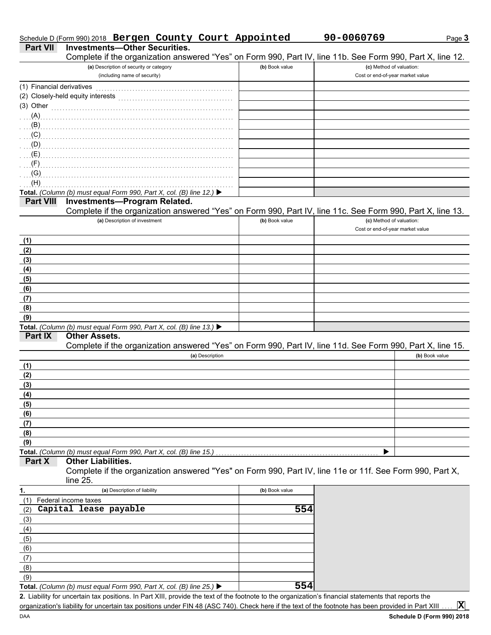| (A)                      |                                                                                                            |                |                                  |                |
|--------------------------|------------------------------------------------------------------------------------------------------------|----------------|----------------------------------|----------------|
| (B)                      |                                                                                                            |                |                                  |                |
| (C)                      |                                                                                                            |                |                                  |                |
| (D)                      |                                                                                                            |                |                                  |                |
| (E)                      |                                                                                                            |                |                                  |                |
| (F)                      |                                                                                                            |                |                                  |                |
| (G)                      |                                                                                                            |                |                                  |                |
| (H)                      |                                                                                                            |                |                                  |                |
|                          | Total. (Column (b) must equal Form 990, Part X, col. (B) line 12.) ▶                                       |                |                                  |                |
| <b>Part VIII</b>         | <b>Investments-Program Related.</b>                                                                        |                |                                  |                |
|                          | Complete if the organization answered "Yes" on Form 990, Part IV, line 11c. See Form 990, Part X, line 13. |                |                                  |                |
|                          | (a) Description of investment                                                                              | (b) Book value | (c) Method of valuation:         |                |
|                          |                                                                                                            |                | Cost or end-of-year market value |                |
|                          |                                                                                                            |                |                                  |                |
| (1)                      |                                                                                                            |                |                                  |                |
| (2)                      |                                                                                                            |                |                                  |                |
| (3)                      |                                                                                                            |                |                                  |                |
| (4)                      |                                                                                                            |                |                                  |                |
| (5)                      |                                                                                                            |                |                                  |                |
| (6)                      |                                                                                                            |                |                                  |                |
| (7)                      |                                                                                                            |                |                                  |                |
| (8)                      |                                                                                                            |                |                                  |                |
| (9)                      |                                                                                                            |                |                                  |                |
|                          | Total. (Column (b) must equal Form 990, Part X, col. (B) line 13.) ▶                                       |                |                                  |                |
| Part IX                  | <b>Other Assets.</b>                                                                                       |                |                                  |                |
|                          | Complete if the organization answered "Yes" on Form 990, Part IV, line 11d. See Form 990, Part X, line 15. |                |                                  |                |
|                          | (a) Description                                                                                            |                |                                  | (b) Book value |
| (1)                      |                                                                                                            |                |                                  |                |
| (2)                      |                                                                                                            |                |                                  |                |
| (3)                      |                                                                                                            |                |                                  |                |
| (4)                      |                                                                                                            |                |                                  |                |
| (5)                      |                                                                                                            |                |                                  |                |
| (6)                      |                                                                                                            |                |                                  |                |
| (7)                      |                                                                                                            |                |                                  |                |
| (8)                      |                                                                                                            |                |                                  |                |
| (9)                      |                                                                                                            |                |                                  |                |
|                          | Total. (Column (b) must equal Form 990, Part X, col. (B) line 15.)                                         |                |                                  |                |
| Part X                   | <b>Other Liabilities.</b>                                                                                  |                |                                  |                |
|                          | Complete if the organization answered "Yes" on Form 990, Part IV, line 11e or 11f. See Form 990, Part X,   |                |                                  |                |
|                          | line $25.$                                                                                                 |                |                                  |                |
| 1.                       | (a) Description of liability                                                                               | (b) Book value |                                  |                |
|                          |                                                                                                            |                |                                  |                |
| (1) Federal income taxes | Capital lease payable                                                                                      |                |                                  |                |
| (2)                      |                                                                                                            | 554            |                                  |                |
| (3)                      |                                                                                                            |                |                                  |                |
| (4)                      |                                                                                                            |                |                                  |                |
| (5)                      |                                                                                                            |                |                                  |                |
| (6)                      |                                                                                                            |                |                                  |                |
| (7)                      |                                                                                                            |                |                                  |                |
| (8)                      |                                                                                                            |                |                                  |                |

# Schedule D (Form 990) 2018 Bergen County Court Appointed 90-0060769

# **Part VII** Investments-Other Securities.

**(a)** Description of security or category (including name of security) Financial derivatives . . . . . . . . . . . . . . . . . . . . . . . . . . . . . . . . . . . . . . . . . . . . . . . . . (1) Closely-held equity interests . . . . . . . . . . . . . . . . . . . . . . . . . . . . . . . . . . . . . . . . . (2) Other . . . . . . . . . . . . . . . . . . . . . . . . . . . . . . . . . . . . . . . . . . . . . . . . . . . . . . . . . . . . . . . . . (3)

Complete if the organization answered "Yes" on Form 990, Part IV, line 11b. See Form 990, Part X, line 12.

Liability for uncertain tax positions. In Part XIII, provide the text of the footnote to the organization's financial statements that reports the **2.** organization's liability for uncertain tax positions under FIN 48 (ASC 740). Check here if the text of the footnote has been provided in Part XIII. **Total.** *(Column (b) must equal Form 990, Part X, col. (B) line 25.)*  **X**

**554**

DAA

(9)

Page **3**

Cost or end-of-year market value

**(b)** Book value **(c)** Method of valuation: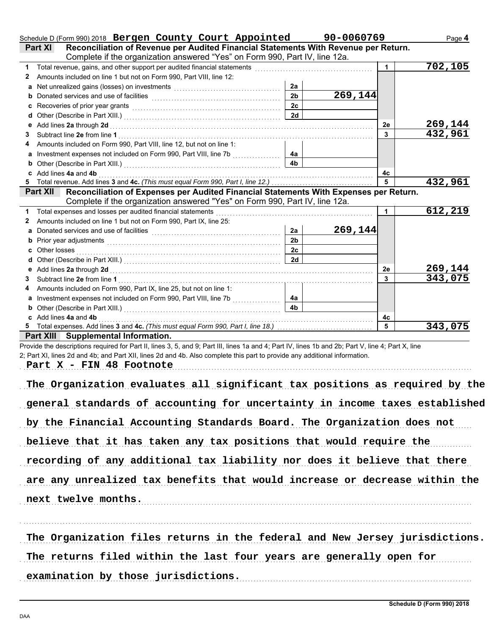|              | Schedule D (Form 990) 2018 Bergen County Court Appointed 90-0060769                                                                                             |                      |                      |                | Page 4   |
|--------------|-----------------------------------------------------------------------------------------------------------------------------------------------------------------|----------------------|----------------------|----------------|----------|
|              | Reconciliation of Revenue per Audited Financial Statements With Revenue per Return.<br><b>Part XI</b>                                                           |                      |                      |                |          |
|              | Complete if the organization answered "Yes" on Form 990, Part IV, line 12a.                                                                                     |                      |                      |                |          |
| 1            | Total revenue, gains, and other support per audited financial statements [11] [11] Total revenue in the control of the support per audited financial statements |                      |                      | $\mathbf 1$    | 702, 105 |
| $\mathbf{2}$ | Amounts included on line 1 but not on Form 990, Part VIII, line 12:                                                                                             |                      |                      |                |          |
|              |                                                                                                                                                                 | 2a<br>2 <sub>b</sub> | $\overline{269,144}$ |                |          |
|              |                                                                                                                                                                 |                      |                      |                |          |
|              | Recoveries of prior year grants [11] Martin Martin Martin Martin Martin Martin Martin Martin Martin Martin Mar                                                  | 2c<br>2d             |                      |                |          |
| d            |                                                                                                                                                                 |                      |                      | 2e             | 269,144  |
| 3            |                                                                                                                                                                 |                      |                      | 3 <sup>1</sup> | 432,961  |
| 4            | Amounts included on Form 990, Part VIII, line 12, but not on line 1:                                                                                            |                      |                      |                |          |
|              | a Investment expenses not included on Form 990, Part VIII, line 7b                                                                                              | 4a                   |                      |                |          |
| b            |                                                                                                                                                                 | 4 <sub>b</sub>       |                      |                |          |
|              | c Add lines 4a and 4b                                                                                                                                           |                      |                      | 4с             |          |
|              |                                                                                                                                                                 |                      |                      | 5              | 432,961  |
|              | Part XII Reconciliation of Expenses per Audited Financial Statements With Expenses per Return.                                                                  |                      |                      |                |          |
|              | Complete if the organization answered "Yes" on Form 990, Part IV, line 12a.                                                                                     |                      |                      |                |          |
| 1            |                                                                                                                                                                 |                      |                      | $\mathbf{1}$   | 612,219  |
| $\mathbf{2}$ | Amounts included on line 1 but not on Form 990, Part IX, line 25:                                                                                               |                      |                      |                |          |
|              | a Donated services and use of facilities <b>constructed and all allegers</b> and an alleger and all all all all all a                                           | 2a                   | 269, 144             |                |          |
| b            |                                                                                                                                                                 | 2 <sub>b</sub>       |                      |                |          |
|              | Other losses <b>contracts Other losses</b>                                                                                                                      | 2c                   |                      |                |          |
| d            |                                                                                                                                                                 | 2d                   |                      |                |          |
|              |                                                                                                                                                                 |                      |                      | 2e             | 269,144  |
| 3            |                                                                                                                                                                 |                      |                      | 3 <sup>1</sup> | 343,075  |
| 4            | Amounts included on Form 990, Part IX, line 25, but not on line 1:                                                                                              |                      |                      |                |          |
|              | a Investment expenses not included on Form 990, Part VIII, line 7b                                                                                              | 4a                   |                      |                |          |
|              |                                                                                                                                                                 | 4 <sub>b</sub>       |                      |                |          |
|              | c Add lines 4a and 4b                                                                                                                                           |                      |                      | 4с             |          |
|              |                                                                                                                                                                 |                      |                      | 5              | 343,075  |
|              | Part XIII Supplemental Information.                                                                                                                             |                      |                      |                |          |
|              | Provide the descriptions required for Part II, lines 3, 5, and 9; Part III, lines 1a and 4; Part IV, lines 1b and 2b; Part V, line 4; Part X, line              |                      |                      |                |          |
|              | 2; Part XI, lines 2d and 4b; and Part XII, lines 2d and 4b. Also complete this part to provide any additional information.                                      |                      |                      |                |          |
|              | Part X - FIN 48 Footnote                                                                                                                                        |                      |                      |                |          |
|              |                                                                                                                                                                 |                      |                      |                |          |
|              | The Organization evaluates all significant tax positions as required by the                                                                                     |                      |                      |                |          |
|              |                                                                                                                                                                 |                      |                      |                |          |
|              | general standards of accounting for uncertainty in income taxes established                                                                                     |                      |                      |                |          |
|              |                                                                                                                                                                 |                      |                      |                |          |
|              | by the Financial Accounting Standards Board. The Organization does not                                                                                          |                      |                      |                |          |
|              |                                                                                                                                                                 |                      |                      |                |          |
|              | believe that it has taken any tax positions that would require the                                                                                              |                      |                      |                |          |
|              |                                                                                                                                                                 |                      |                      |                |          |
|              | recording of any additional tax liability nor does it believe that there                                                                                        |                      |                      |                |          |
|              | are any unrealized tax benefits that would increase or decrease within the                                                                                      |                      |                      |                |          |
|              |                                                                                                                                                                 |                      |                      |                |          |
|              | next twelve months.                                                                                                                                             |                      |                      |                |          |
|              |                                                                                                                                                                 |                      |                      |                |          |
|              |                                                                                                                                                                 |                      |                      |                |          |
|              |                                                                                                                                                                 |                      |                      |                |          |
|              | The Organization files returns in the federal and New Jersey jurisdictions.                                                                                     |                      |                      |                |          |
|              |                                                                                                                                                                 |                      |                      |                |          |
|              | The returns filed within the last four years are generally open for                                                                                             |                      |                      |                |          |
|              | examination by those jurisdictions.                                                                                                                             |                      |                      |                |          |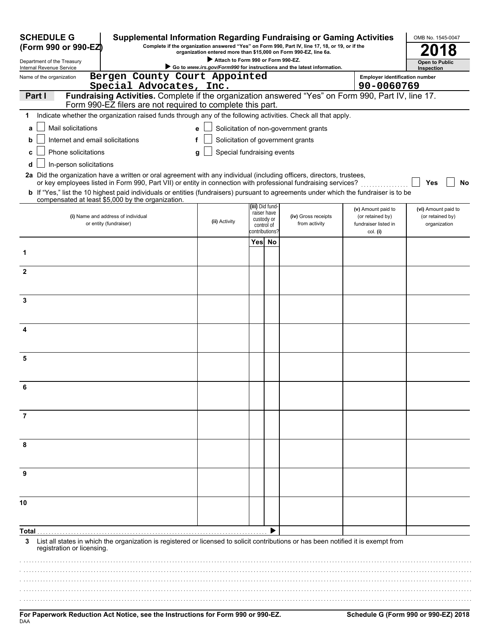| <b>SCHEDULE G</b><br><b>Supplemental Information Regarding Fundraising or Gaming Activities</b><br>Complete if the organization answered "Yes" on Form 990, Part IV, line 17, 18, or 19, or if the<br>(Form 990 or 990-EZ) |                                                                                                                                                                  |                                 |                                                          |  |                                                                        | OMB No. 1545-0047                                    |                                  |
|----------------------------------------------------------------------------------------------------------------------------------------------------------------------------------------------------------------------------|------------------------------------------------------------------------------------------------------------------------------------------------------------------|---------------------------------|----------------------------------------------------------|--|------------------------------------------------------------------------|------------------------------------------------------|----------------------------------|
| organization entered more than \$15,000 on Form 990-EZ, line 6a.<br>Attach to Form 990 or Form 990-EZ.<br>Department of the Treasury                                                                                       |                                                                                                                                                                  |                                 |                                                          |  |                                                                        | <b>Open to Public</b>                                |                                  |
| Internal Revenue Service                                                                                                                                                                                                   |                                                                                                                                                                  |                                 |                                                          |  | Go to www.irs.gov/Form990 for instructions and the latest information. |                                                      | Inspection                       |
| Name of the organization                                                                                                                                                                                                   | Bergen County Court Appointed<br>Special Advocates, Inc.                                                                                                         |                                 |                                                          |  |                                                                        | <b>Employer identification number</b><br>90-0060769  |                                  |
| Part I                                                                                                                                                                                                                     | Fundraising Activities. Complete if the organization answered "Yes" on Form 990, Part IV, line 17.<br>Form 990-EZ filers are not required to complete this part. |                                 |                                                          |  |                                                                        |                                                      |                                  |
| 1                                                                                                                                                                                                                          | Indicate whether the organization raised funds through any of the following activities. Check all that apply.                                                    |                                 |                                                          |  |                                                                        |                                                      |                                  |
| Mail solicitations<br>a                                                                                                                                                                                                    |                                                                                                                                                                  | е                               |                                                          |  | Solicitation of non-government grants                                  |                                                      |                                  |
| Internet and email solicitations                                                                                                                                                                                           |                                                                                                                                                                  | f                               |                                                          |  | Solicitation of government grants                                      |                                                      |                                  |
| Phone solicitations<br>c                                                                                                                                                                                                   |                                                                                                                                                                  | Special fundraising events<br>g |                                                          |  |                                                                        |                                                      |                                  |
| In-person solicitations<br>d                                                                                                                                                                                               |                                                                                                                                                                  |                                 |                                                          |  |                                                                        |                                                      |                                  |
| 2a Did the organization have a written or oral agreement with any individual (including officers, directors, trustees,                                                                                                     | or key employees listed in Form 990, Part VII) or entity in connection with professional fundraising services?                                                   |                                 |                                                          |  |                                                                        |                                                      | Yes<br>No                        |
| b If "Yes," list the 10 highest paid individuals or entities (fundraisers) pursuant to agreements under which the fundraiser is to be<br>compensated at least \$5,000 by the organization.                                 |                                                                                                                                                                  |                                 |                                                          |  |                                                                        |                                                      |                                  |
|                                                                                                                                                                                                                            |                                                                                                                                                                  |                                 | (iii) Did fund-                                          |  |                                                                        | (v) Amount paid to                                   | (vi) Amount paid to              |
| (i) Name and address of individual<br>or entity (fundraiser)                                                                                                                                                               |                                                                                                                                                                  | (ii) Activity                   | raiser have<br>custody or<br>control of<br>:ontributions |  | (iv) Gross receipts<br>from activity                                   | (or retained by)<br>fundraiser listed in<br>col. (i) | (or retained by)<br>organization |
|                                                                                                                                                                                                                            |                                                                                                                                                                  |                                 | Yes No                                                   |  |                                                                        |                                                      |                                  |
| 1                                                                                                                                                                                                                          |                                                                                                                                                                  |                                 |                                                          |  |                                                                        |                                                      |                                  |
| $\mathbf{2}$                                                                                                                                                                                                               |                                                                                                                                                                  |                                 |                                                          |  |                                                                        |                                                      |                                  |
| 3                                                                                                                                                                                                                          |                                                                                                                                                                  |                                 |                                                          |  |                                                                        |                                                      |                                  |
|                                                                                                                                                                                                                            |                                                                                                                                                                  |                                 |                                                          |  |                                                                        |                                                      |                                  |
| 4                                                                                                                                                                                                                          |                                                                                                                                                                  |                                 |                                                          |  |                                                                        |                                                      |                                  |
| 5                                                                                                                                                                                                                          |                                                                                                                                                                  |                                 |                                                          |  |                                                                        |                                                      |                                  |
| ĥ                                                                                                                                                                                                                          |                                                                                                                                                                  |                                 |                                                          |  |                                                                        |                                                      |                                  |
| 7                                                                                                                                                                                                                          |                                                                                                                                                                  |                                 |                                                          |  |                                                                        |                                                      |                                  |
| 8                                                                                                                                                                                                                          |                                                                                                                                                                  |                                 |                                                          |  |                                                                        |                                                      |                                  |
| 9                                                                                                                                                                                                                          |                                                                                                                                                                  |                                 |                                                          |  |                                                                        |                                                      |                                  |
| 10                                                                                                                                                                                                                         |                                                                                                                                                                  |                                 |                                                          |  |                                                                        |                                                      |                                  |
| Total                                                                                                                                                                                                                      |                                                                                                                                                                  |                                 |                                                          |  |                                                                        |                                                      |                                  |
| 3<br>registration or licensing.                                                                                                                                                                                            | List all states in which the organization is registered or licensed to solicit contributions or has been notified it is exempt from                              |                                 |                                                          |  |                                                                        |                                                      |                                  |
|                                                                                                                                                                                                                            |                                                                                                                                                                  |                                 |                                                          |  |                                                                        |                                                      |                                  |
|                                                                                                                                                                                                                            |                                                                                                                                                                  |                                 |                                                          |  |                                                                        |                                                      |                                  |
|                                                                                                                                                                                                                            |                                                                                                                                                                  |                                 |                                                          |  |                                                                        |                                                      |                                  |
|                                                                                                                                                                                                                            |                                                                                                                                                                  |                                 |                                                          |  |                                                                        |                                                      |                                  |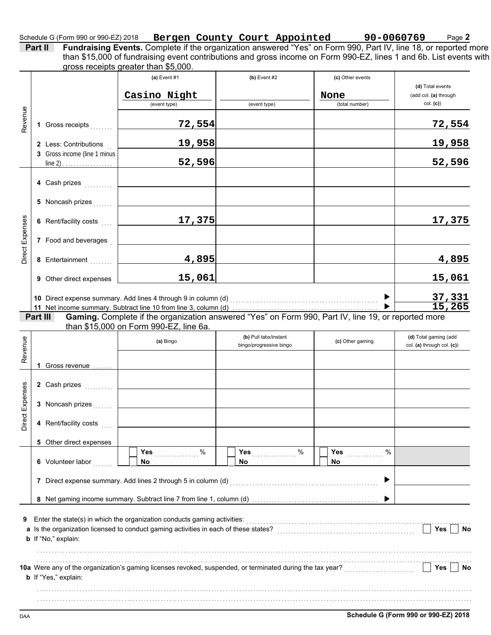## Schedule G (Form 990 or 990-EZ) 2018 **Bergen County Court Appointed 90-0060769** Page **2**

**Part II** Fundraising Events. Complete if the organization answered "Yes" on Form 990, Part IV, line 18, or reported more gross receipts greater than \$5,000. than \$15,000 of fundraising event contributions and gross income on Form 990-EZ, lines 1 and 6b. List events with

| Revenue         |                                                                                                                                                                                                      | 1 Gross receipts                                                              | (a) Event $#1$<br>Casino Night<br>(event type)<br>72,554                                                  | $(b)$ Event #2<br>(event type)                   | (c) Other events<br>None<br>(total number) | (d) Total events<br>(add col. (a) through<br>col. (c)<br>72,554 |  |  |
|-----------------|------------------------------------------------------------------------------------------------------------------------------------------------------------------------------------------------------|-------------------------------------------------------------------------------|-----------------------------------------------------------------------------------------------------------|--------------------------------------------------|--------------------------------------------|-----------------------------------------------------------------|--|--|
|                 |                                                                                                                                                                                                      | 2 Less: Contributions<br>3 Gross income (line 1 minus                         | 19,958<br>52,596                                                                                          |                                                  |                                            | 19,958                                                          |  |  |
|                 |                                                                                                                                                                                                      | 4 Cash prizes                                                                 |                                                                                                           |                                                  |                                            | 52,596                                                          |  |  |
|                 |                                                                                                                                                                                                      | 5 Noncash prizes                                                              |                                                                                                           |                                                  |                                            |                                                                 |  |  |
| Direct Expenses |                                                                                                                                                                                                      | 6 Rent/facility costs<br>7 Food and beverages                                 | 17,375                                                                                                    |                                                  |                                            | 17,375                                                          |  |  |
|                 |                                                                                                                                                                                                      | 8 Entertainment                                                               | 4,895                                                                                                     |                                                  |                                            | <u>4,895</u>                                                    |  |  |
|                 |                                                                                                                                                                                                      | 9 Other direct expenses                                                       | 15,061                                                                                                    |                                                  |                                            | 15,061                                                          |  |  |
|                 | Part III                                                                                                                                                                                             |                                                                               | Gaming. Complete if the organization answered "Yes" on Form 990, Part IV, line 19, or reported more       |                                                  | ▶                                          | 37,331<br>15,265                                                |  |  |
| Revenue         |                                                                                                                                                                                                      |                                                                               | than \$15,000 on Form 990-EZ, line 6a.<br>(a) Bingo                                                       | (b) Pull tabs/instant<br>bingo/progressive bingo | (c) Other gaming                           | (d) Total gaming (add<br>col. (a) through col. (c))             |  |  |
| Direct Expenses |                                                                                                                                                                                                      | 1 Gross revenue<br>2 Cash prizes<br>3 Noncash prizes<br>4 Rent/facility costs |                                                                                                           |                                                  |                                            |                                                                 |  |  |
|                 |                                                                                                                                                                                                      | 5 Other direct expenses<br>6 Volunteer labor                                  | Yes<br>%<br><b>No</b><br>7 Direct expense summary. Add lines 2 through 5 in column (d)                    | Yes<br>%<br>No                                   | %<br>Yes<br>No.<br>Þ                       |                                                                 |  |  |
| 9               | Enter the state(s) in which the organization conducts gaming activities:<br>a Is the organization licensed to conduct gaming activities in each of these states?<br>Yes<br>No<br>b If "No," explain: |                                                                               |                                                                                                           |                                                  |                                            |                                                                 |  |  |
|                 |                                                                                                                                                                                                      | <b>b</b> If "Yes," explain:                                                   | 10a Were any of the organization's gaming licenses revoked, suspended, or terminated during the tax year? |                                                  |                                            | Yes<br>No                                                       |  |  |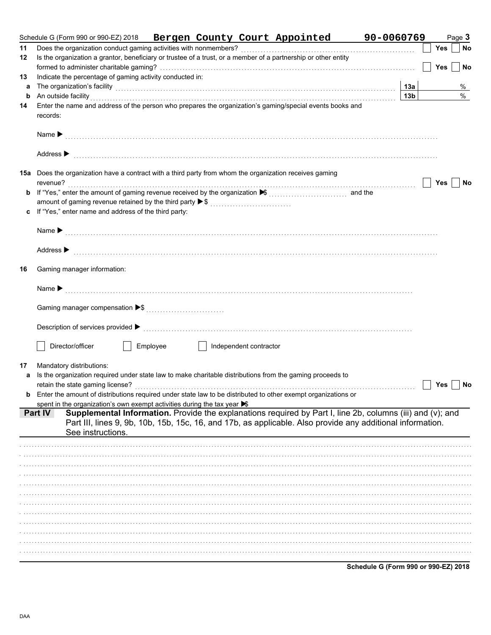|        | Schedule G (Form 990 or 990-EZ) 2018<br>Bergen County Court Appointed 90-0060769                                                                                                                                                                                                                                                                                                                                                                                 |                 |            | Page 3 |      |
|--------|------------------------------------------------------------------------------------------------------------------------------------------------------------------------------------------------------------------------------------------------------------------------------------------------------------------------------------------------------------------------------------------------------------------------------------------------------------------|-----------------|------------|--------|------|
| 11     | Does the organization conduct gaming activities with nonmembers?                                                                                                                                                                                                                                                                                                                                                                                                 |                 | <b>Yes</b> |        | No   |
| 12     | Is the organization a grantor, beneficiary or trustee of a trust, or a member of a partnership or other entity                                                                                                                                                                                                                                                                                                                                                   |                 |            |        |      |
|        |                                                                                                                                                                                                                                                                                                                                                                                                                                                                  |                 | Yes        |        | No   |
| 13     | Indicate the percentage of gaming activity conducted in:                                                                                                                                                                                                                                                                                                                                                                                                         | 13a             |            |        | %    |
| a<br>b | The organization's facility [1, 2003] The organization's facility [1, 2014] The organization's facility [1, 2014] The organization's facility [1, 2014] The organization's facility [1, 2014] The organization of the organiza<br>An outside facility with an account of the contract of the contract of the contract of the contract of the contract of the contract of the contract of the contract of the contract of the contract of the contract of the con | 13 <sub>b</sub> |            |        | $\%$ |
| 14     | Enter the name and address of the person who prepares the organization's gaming/special events books and                                                                                                                                                                                                                                                                                                                                                         |                 |            |        |      |
|        | records:                                                                                                                                                                                                                                                                                                                                                                                                                                                         |                 |            |        |      |
|        |                                                                                                                                                                                                                                                                                                                                                                                                                                                                  |                 |            |        |      |
|        | Address $\blacktriangleright$                                                                                                                                                                                                                                                                                                                                                                                                                                    |                 |            |        |      |
|        | 15a Does the organization have a contract with a third party from whom the organization receives gaming                                                                                                                                                                                                                                                                                                                                                          |                 | <b>Yes</b> |        | No   |
|        |                                                                                                                                                                                                                                                                                                                                                                                                                                                                  |                 |            |        |      |
|        | amount of gaming revenue retained by the third party ▶ \$                                                                                                                                                                                                                                                                                                                                                                                                        |                 |            |        |      |
|        | c If "Yes," enter name and address of the third party:                                                                                                                                                                                                                                                                                                                                                                                                           |                 |            |        |      |
|        |                                                                                                                                                                                                                                                                                                                                                                                                                                                                  |                 |            |        |      |
|        | Address $\blacktriangleright$                                                                                                                                                                                                                                                                                                                                                                                                                                    |                 |            |        |      |
| 16     | Gaming manager information:                                                                                                                                                                                                                                                                                                                                                                                                                                      |                 |            |        |      |
|        |                                                                                                                                                                                                                                                                                                                                                                                                                                                                  |                 |            |        |      |
|        |                                                                                                                                                                                                                                                                                                                                                                                                                                                                  |                 |            |        |      |
|        |                                                                                                                                                                                                                                                                                                                                                                                                                                                                  |                 |            |        |      |
|        | Director/officer<br>Employee<br>Independent contractor                                                                                                                                                                                                                                                                                                                                                                                                           |                 |            |        |      |
| 17     | Mandatory distributions:                                                                                                                                                                                                                                                                                                                                                                                                                                         |                 |            |        |      |
|        | Is the organization required under state law to make charitable distributions from the gaming proceeds to                                                                                                                                                                                                                                                                                                                                                        |                 |            |        |      |
|        | retain the state gaming license?                                                                                                                                                                                                                                                                                                                                                                                                                                 |                 | <b>Yes</b> |        | No   |
|        | <b>b</b> Enter the amount of distributions required under state law to be distributed to other exempt organizations or                                                                                                                                                                                                                                                                                                                                           |                 |            |        |      |
|        | spent in the organization's own exempt activities during the tax year S<br>Supplemental Information. Provide the explanations required by Part I, line 2b, columns (iii) and (v); and<br>Part IV                                                                                                                                                                                                                                                                 |                 |            |        |      |
|        | Part III, lines 9, 9b, 10b, 15b, 15c, 16, and 17b, as applicable. Also provide any additional information.                                                                                                                                                                                                                                                                                                                                                       |                 |            |        |      |
|        | See instructions.                                                                                                                                                                                                                                                                                                                                                                                                                                                |                 |            |        |      |
|        |                                                                                                                                                                                                                                                                                                                                                                                                                                                                  |                 |            |        |      |
|        |                                                                                                                                                                                                                                                                                                                                                                                                                                                                  |                 |            |        |      |
|        |                                                                                                                                                                                                                                                                                                                                                                                                                                                                  |                 |            |        |      |
|        |                                                                                                                                                                                                                                                                                                                                                                                                                                                                  |                 |            |        |      |
|        |                                                                                                                                                                                                                                                                                                                                                                                                                                                                  |                 |            |        |      |
|        |                                                                                                                                                                                                                                                                                                                                                                                                                                                                  |                 |            |        |      |
|        |                                                                                                                                                                                                                                                                                                                                                                                                                                                                  |                 |            |        |      |
|        |                                                                                                                                                                                                                                                                                                                                                                                                                                                                  |                 |            |        |      |
|        |                                                                                                                                                                                                                                                                                                                                                                                                                                                                  |                 |            |        |      |
|        |                                                                                                                                                                                                                                                                                                                                                                                                                                                                  |                 |            |        |      |
|        |                                                                                                                                                                                                                                                                                                                                                                                                                                                                  |                 |            |        |      |
|        |                                                                                                                                                                                                                                                                                                                                                                                                                                                                  |                 |            |        |      |

Schedule G (Form 990 or 990-EZ) 2018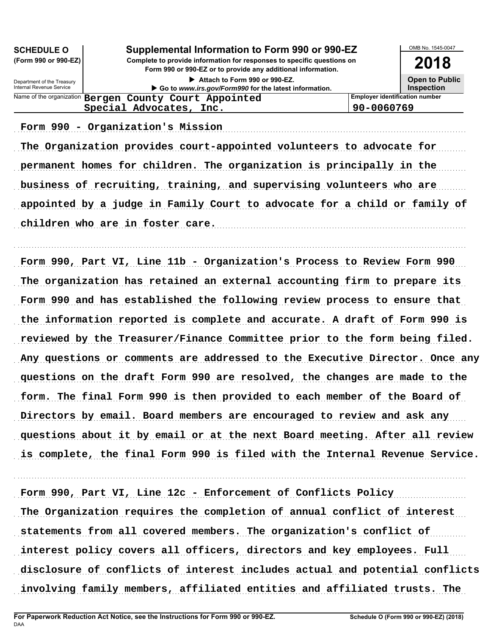| Supplemental Information to Form 990 or 990-EZ<br><b>SCHEDULE O</b> |                                                                                        |                                       |  |  |  |
|---------------------------------------------------------------------|----------------------------------------------------------------------------------------|---------------------------------------|--|--|--|
| (Form 990 or 990-EZ)                                                | 2018                                                                                   |                                       |  |  |  |
| Department of the Treasury<br>Internal Revenue Service              | Attach to Form 990 or 990-EZ.<br>Go to www.irs.gov/Form990 for the latest information. |                                       |  |  |  |
|                                                                     | Name of the organization Bergen County Court Appointed                                 | <b>Employer identification number</b> |  |  |  |
| Special Advocates, Inc.<br>90-0060769                               |                                                                                        |                                       |  |  |  |
|                                                                     |                                                                                        |                                       |  |  |  |

Form 990 - Organization's Mission (1999) 75-10 (1999) 76-10-2008 70-2008 70-2008 70-2008 70-2008 70-2008 70-20

The Organization provides court-appointed volunteers to advocate for permanent homes for children. The organization is principally in the business of recruiting, training, and supervising volunteers who are appointed by a judge in Family Court to advocate for a child or family of children who are in foster care.

. . . . . . . . . . . . . . . . . . . . . . . . . . . . . . . . . . . . . . . . . . . . . . . . . . . . . . . . . . . . . . . . . . . . . . . . . . . . . . . . . . . . . . . . . . . . . . . . . . . . . . . . . . . . . . . . . . . . . . . . . . . . . . . . . . . . . . . . . . . . . . . . . . . . . . . . . . . . . . . . .

Form 990, Part VI, Line 11b - Organization's Process to Review Form 990 The organization has retained an external accounting firm to prepare its Form 990 and has established the following review process to ensure that the information reported is complete and accurate. A draft of Form 990 is reviewed by the Treasurer/Finance Committee prior to the form being filed. Any questions or comments are addressed to the Executive Director. Once any questions on the draft Form 990 are resolved, the changes are made to the form. The final Form 990 is then provided to each member of the Board of Directors by email. Board members are encouraged to review and ask any questions about it by email or at the next Board meeting. After all review is complete, the final Form 990 is filed with the Internal Revenue Service.

Form 990, Part VI, Line 12c - Enforcement of Conflicts Policy The Organization requires the completion of annual conflict of interest statements from all covered members. The organization's conflict of interest policy covers all officers, directors and key employees. Full disclosure of conflicts of interest includes actual and potential conflicts involving family members, affiliated entities and affiliated trusts. The

. . . . . . . . . . . . . . . . . . . . . . . . . . . . . . . . . . . . . . . . . . . . . . . . . . . . . . . . . . . . . . . . . . . . . . . . . . . . . . . . . . . . . . . . . . . . . . . . . . . . . . . . . . . . . . . . . . . . . . . . . . . . . . . . . . . . . . . . . . . . . . . . . . . . . . . . . . . . . . . . .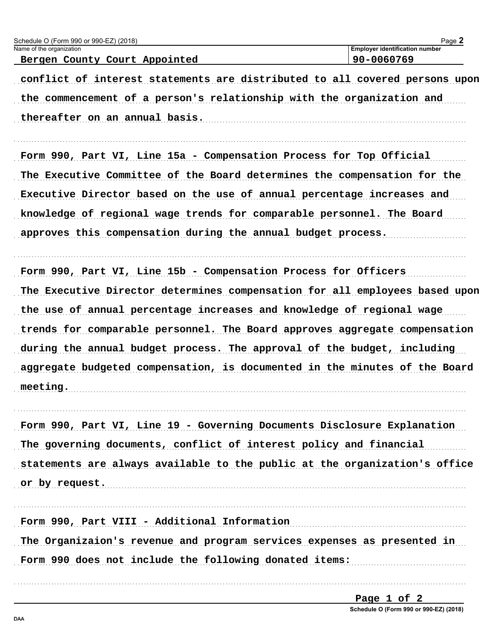| Schedule O (Form 990 or 990-EZ) (2018)                                                                                                                                                 | Page 2                                |
|----------------------------------------------------------------------------------------------------------------------------------------------------------------------------------------|---------------------------------------|
| Name of the organization                                                                                                                                                               | <b>Employer identification number</b> |
| Bergen County Court Appointed                                                                                                                                                          | 90-0060769                            |
| conflict of interest statements are distributed to all covered persons upon<br>the commencement of a person's relationship with the organization and<br>thereafter on an annual basis. |                                       |
| Form 990, Part VI, Line 15a - Compensation Process for Top Official                                                                                                                    |                                       |
| The Executive Committee of the Board determines the compensation for the                                                                                                               |                                       |
| Executive Director based on the use of annual percentage increases and                                                                                                                 |                                       |
| knowledge of regional wage trends for comparable personnel. The Board                                                                                                                  |                                       |
| approves this compensation during the annual budget process.                                                                                                                           |                                       |

Form 990, Part VI, Line 15b - Compensation Process for Officers The Executive Director determines compensation for all employees based upon the use of annual percentage increases and knowledge of regional wage trends for comparable personnel. The Board approves aggregate compensation during the annual budget process. The approval of the budget, including aggregate budgeted compensation, is documented in the minutes of the Board meeting.

Form 990, Part VI, Line 19 - Governing Documents Disclosure Explanation The governing documents, conflict of interest policy and financial statements are always available to the public at the organization's office or by request.

Form 990, Part VIII - Additional Information The Organizaion's revenue and program services expenses as presented in Form 990 does not include the following donated items: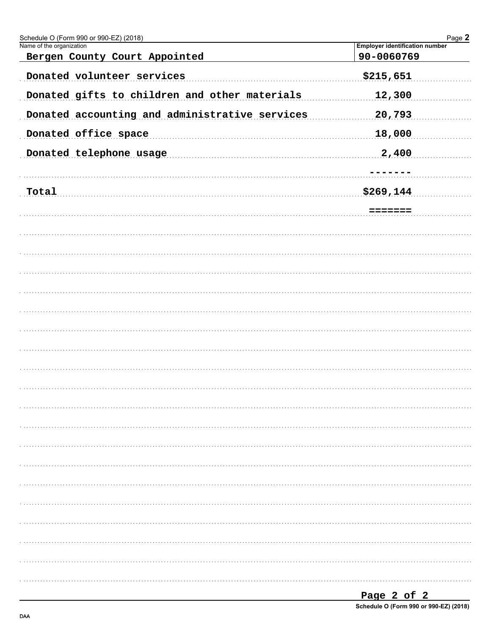| Schedule O (Form 990 or 990-EZ) (2018)         | Page 2                                |
|------------------------------------------------|---------------------------------------|
| Name of the organization                       | <b>Employer identification number</b> |
| Bergen County Court Appointed                  | 90-0060769                            |
| Donated volunteer services                     | \$215,651                             |
| Donated gifts to children and other materials  | 12,300                                |
| Donated accounting and administrative services | 20,793                                |
| Donated office space                           | 18,000                                |
| Donated telephone usage                        | 2,400                                 |
|                                                |                                       |
| Total                                          | \$269,144                             |
|                                                | =======                               |
|                                                |                                       |
|                                                |                                       |
|                                                |                                       |
|                                                |                                       |
|                                                |                                       |
|                                                |                                       |
|                                                |                                       |
|                                                |                                       |
|                                                |                                       |
|                                                |                                       |
|                                                |                                       |
|                                                |                                       |
|                                                |                                       |
|                                                |                                       |
|                                                |                                       |
|                                                |                                       |
|                                                |                                       |
|                                                |                                       |
|                                                |                                       |
|                                                |                                       |
|                                                |                                       |
|                                                |                                       |
|                                                |                                       |
|                                                |                                       |
|                                                |                                       |
|                                                |                                       |

| Page 2 of 2                                |  |  |  |
|--------------------------------------------|--|--|--|
| <b>O-L-J-L-O/E---- 000---000 E71 (0040</b> |  |  |  |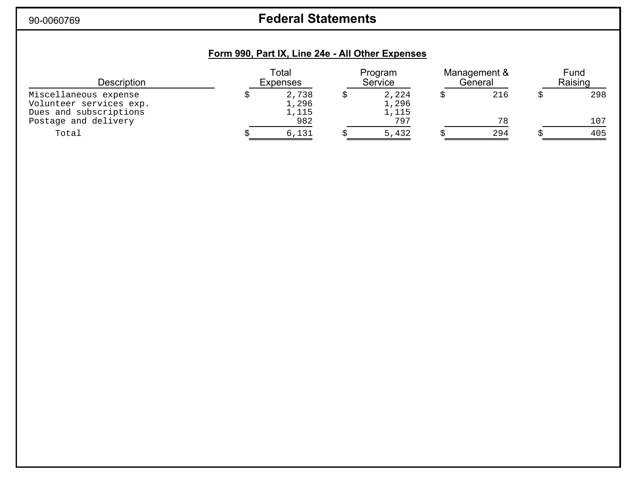90-0060769

# **Federal Statements**

# **Form 990, Part IX, Line 24e - All Other Expenses**

| <b>Description</b>                                                         | Total<br>Expenses |                         | Program<br>Service      |  | Management &<br>General |  | Fund<br>Raising |
|----------------------------------------------------------------------------|-------------------|-------------------------|-------------------------|--|-------------------------|--|-----------------|
| Miscellaneous expense<br>Volunteer services exp.<br>Dues and subscriptions |                   | 2,738<br>1,296<br>1,115 | 2,224<br>1,296<br>1,115 |  | 216                     |  | 298             |
| Postage and delivery                                                       |                   | 982                     | 797                     |  | 78                      |  | 107             |
| Total                                                                      |                   | 6,131                   | 5,432                   |  | 294                     |  | 405             |